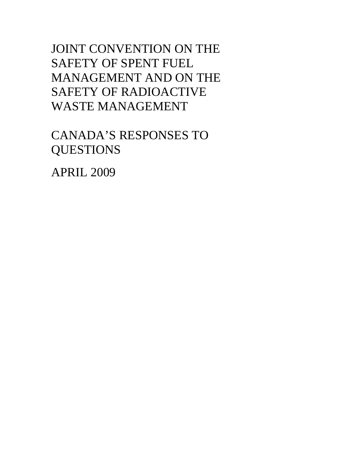JOINT CONVENTION ON THE SAFETY OF SPENT FUEL MANAGEMENT AND ON THE SAFETY OF RADIOACTIVE WASTE MANAGEMENT

CANADA'S RESPONSES TO **QUESTIONS** 

APRIL 2009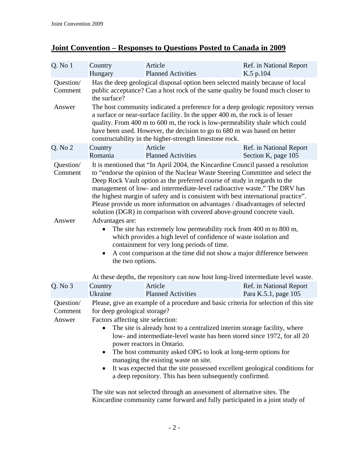## **Joint Convention – Responses to Questions Posted to Canada in 2009**

| $Q.$ No $1$                    | Country<br>Hungary                                                                                                                                                                                                                                                                                                                                                                                                                                                                                                                                                                                   | Article<br><b>Planned Activities</b>                                                                                                                            | Ref. in National Report<br>K.5 p.104            |  |
|--------------------------------|------------------------------------------------------------------------------------------------------------------------------------------------------------------------------------------------------------------------------------------------------------------------------------------------------------------------------------------------------------------------------------------------------------------------------------------------------------------------------------------------------------------------------------------------------------------------------------------------------|-----------------------------------------------------------------------------------------------------------------------------------------------------------------|-------------------------------------------------|--|
| Question/<br>Comment           | the surface?                                                                                                                                                                                                                                                                                                                                                                                                                                                                                                                                                                                         | Has the deep geological disposal option been selected mainly because of local<br>public acceptance? Can a host rock of the same quality be found much closer to |                                                 |  |
| Answer                         | The host community indicated a preference for a deep geologic repository versus<br>a surface or near-surface facility. In the upper 400 m, the rock is of lesser<br>quality. From 400 m to 600 m, the rock is low-permeability shale which could<br>have been used. However, the decision to go to 680 m was based on better<br>constructability in the higher-strength limestone rock.                                                                                                                                                                                                              |                                                                                                                                                                 |                                                 |  |
| Q. No 2                        | Country<br>Romania                                                                                                                                                                                                                                                                                                                                                                                                                                                                                                                                                                                   | Article<br><b>Planned Activities</b>                                                                                                                            | Ref. in National Report<br>Section K, page 105  |  |
| Question/<br>Comment           | It is mentioned that "In April 2004, the Kincardine Council passed a resolution<br>to "endorse the opinion of the Nuclear Waste Steering Committee and select the<br>Deep Rock Vault option as the preferred course of study in regards to the<br>management of low- and intermediate-level radioactive waste." The DRV has<br>the highest margin of safety and is consistent with best international practice".<br>Please provide us more information on advantages / disadvantages of selected<br>solution (DGR) in comparison with covered above-ground concrete vault.                           |                                                                                                                                                                 |                                                 |  |
| Answer                         | Advantages are:<br>The site has extremely low permeability rock from 400 m to 800 m,<br>which provides a high level of confidence of waste isolation and<br>containment for very long periods of time.<br>A cost comparison at the time did not show a major difference between<br>the two options.                                                                                                                                                                                                                                                                                                  |                                                                                                                                                                 |                                                 |  |
| Q. No 3                        | Country<br>Ukraine                                                                                                                                                                                                                                                                                                                                                                                                                                                                                                                                                                                   | At these depths, the repository can now host long-lived intermediate level waste.<br>Article<br><b>Planned Activities</b>                                       | Ref. in National Report<br>Para K.5.1, page 105 |  |
| Question/<br>Comment<br>Answer | Please, give an example of a procedure and basic criteria for selection of this site<br>for deep geological storage?<br>Factors affecting site selection:<br>The site is already host to a centralized interim storage facility, where<br>low- and intermediate-level waste has been stored since 1972, for all 20<br>power reactors in Ontario.<br>The host community asked OPG to look at long-term options for<br>managing the existing waste on site.<br>It was expected that the site possessed excellent geological conditions for<br>a deep repository. This has been subsequently confirmed. |                                                                                                                                                                 |                                                 |  |
|                                |                                                                                                                                                                                                                                                                                                                                                                                                                                                                                                                                                                                                      | The site was not selected through an assessment of alternative sites. The                                                                                       |                                                 |  |

The site was not selected through an assessment of alternative sites. The Kincardine community came forward and fully participated in a joint study of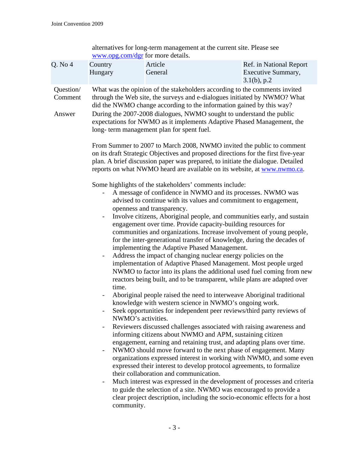|                                |                                                                                                                           | alternatives for long-term management at the current site. Please see<br>www.opg.com/dgr for more details.                                                                                                                                                                                                                                                                                                                                                                                                                                                                                                                                                                                                                                                                                                                                                                                                                                     |                                                                                                                                                                                                                                                                                                                                                                                                                                                                                                                                                                                                                                                                                                                                                                                                                                                                                                                                                                                                                                                                                                                                                                                                                                                                                                                                                                                                                                                                                                                                                                                                                                  |
|--------------------------------|---------------------------------------------------------------------------------------------------------------------------|------------------------------------------------------------------------------------------------------------------------------------------------------------------------------------------------------------------------------------------------------------------------------------------------------------------------------------------------------------------------------------------------------------------------------------------------------------------------------------------------------------------------------------------------------------------------------------------------------------------------------------------------------------------------------------------------------------------------------------------------------------------------------------------------------------------------------------------------------------------------------------------------------------------------------------------------|----------------------------------------------------------------------------------------------------------------------------------------------------------------------------------------------------------------------------------------------------------------------------------------------------------------------------------------------------------------------------------------------------------------------------------------------------------------------------------------------------------------------------------------------------------------------------------------------------------------------------------------------------------------------------------------------------------------------------------------------------------------------------------------------------------------------------------------------------------------------------------------------------------------------------------------------------------------------------------------------------------------------------------------------------------------------------------------------------------------------------------------------------------------------------------------------------------------------------------------------------------------------------------------------------------------------------------------------------------------------------------------------------------------------------------------------------------------------------------------------------------------------------------------------------------------------------------------------------------------------------------|
| Q. No 4                        | Country<br>Hungary                                                                                                        | Article<br>General                                                                                                                                                                                                                                                                                                                                                                                                                                                                                                                                                                                                                                                                                                                                                                                                                                                                                                                             | Ref. in National Report<br>Executive Summary,<br>$3.1(b)$ , p.2                                                                                                                                                                                                                                                                                                                                                                                                                                                                                                                                                                                                                                                                                                                                                                                                                                                                                                                                                                                                                                                                                                                                                                                                                                                                                                                                                                                                                                                                                                                                                                  |
| Question/<br>Comment<br>Answer | $\blacksquare$<br>time.<br>$\overline{\phantom{a}}$<br>$\overline{\phantom{a}}$<br>$\overline{\phantom{a}}$<br>community. | did the NWMO change according to the information gained by this way?<br>During the 2007-2008 dialogues, NWMO sought to understand the public<br>long- term management plan for spent fuel.<br>Some highlights of the stakeholders' comments include:<br>A message of confidence in NWMO and its processes. NWMO was<br>advised to continue with its values and commitment to engagement,<br>openness and transparency.<br>engagement over time. Provide capacity-building resources for<br>implementing the Adaptive Phased Management.<br>Address the impact of changing nuclear energy policies on the<br>knowledge with western science in NWMO's ongoing work.<br>NWMO's activities.<br>informing citizens about NWMO and APM, sustaining citizen<br>expressed their interest to develop protocol agreements, to formalize<br>their collaboration and communication.<br>to guide the selection of a site. NWMO was encouraged to provide a | What was the opinion of the stakeholders according to the comments invited<br>through the Web site, the surveys and e-dialogues initiated by NWMO? What<br>expectations for NWMO as it implements Adaptive Phased Management, the<br>From Summer to 2007 to March 2008, NWMO invited the public to comment<br>on its draft Strategic Objectives and proposed directions for the first five-year<br>plan. A brief discussion paper was prepared, to initiate the dialogue. Detailed<br>reports on what NWMO heard are available on its website, at www.nwmo.ca.<br>Involve citizens, Aboriginal people, and communities early, and sustain<br>communities and organizations. Increase involvement of young people,<br>for the inter-generational transfer of knowledge, during the decades of<br>implementation of Adaptive Phased Management. Most people urged<br>NWMO to factor into its plans the additional used fuel coming from new<br>reactors being built, and to be transparent, while plans are adapted over<br>Aboriginal people raised the need to interweave Aboriginal traditional<br>Seek opportunities for independent peer reviews/third party reviews of<br>Reviewers discussed challenges associated with raising awareness and<br>engagement, earning and retaining trust, and adapting plans over time.<br>NWMO should move forward to the next phase of engagement. Many<br>organizations expressed interest in working with NWMO, and some even<br>Much interest was expressed in the development of processes and criteria<br>clear project description, including the socio-economic effects for a host |
|                                |                                                                                                                           |                                                                                                                                                                                                                                                                                                                                                                                                                                                                                                                                                                                                                                                                                                                                                                                                                                                                                                                                                |                                                                                                                                                                                                                                                                                                                                                                                                                                                                                                                                                                                                                                                                                                                                                                                                                                                                                                                                                                                                                                                                                                                                                                                                                                                                                                                                                                                                                                                                                                                                                                                                                                  |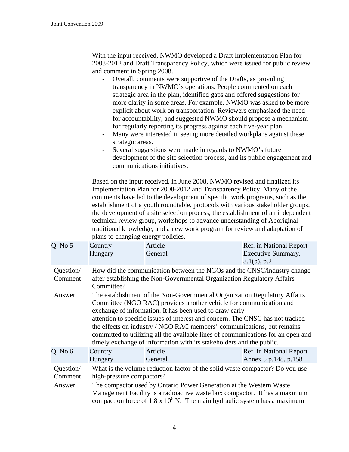With the input received, NWMO developed a Draft Implementation Plan for 2008-2012 and Draft Transparency Policy, which were issued for public review and comment in Spring 2008.

- Overall, comments were supportive of the Drafts, as providing transparency in NWMO's operations. People commented on each strategic area in the plan, identified gaps and offered suggestions for more clarity in some areas. For example, NWMO was asked to be more explicit about work on transportation. Reviewers emphasized the need for accountability, and suggested NWMO should propose a mechanism for regularly reporting its progress against each five-year plan.
- Many were interested in seeing more detailed workplans against these strategic areas.
- Several suggestions were made in regards to NWMO's future development of the site selection process, and its public engagement and communications initiatives.

Based on the input received, in June 2008, NWMO revised and finalized its Implementation Plan for 2008-2012 and Transparency Policy. Many of the comments have led to the development of specific work programs, such as the establishment of a youth roundtable, protocols with various stakeholder groups, the development of a site selection process, the establishment of an independent technical review group, workshops to advance understanding of Aboriginal traditional knowledge, and a new work program for review and adaptation of plans to changing energy policies.

| Q. No 5                        | Country<br>Hungary                                                                                                                                                                                                                                                                                                                                                                                                                                                                                                                 | Article<br>General                                                                                                                                                                                                                                                                                                    | Ref. in National Report<br>Executive Summary,<br>$3.1(b)$ , p.2 |  |  |
|--------------------------------|------------------------------------------------------------------------------------------------------------------------------------------------------------------------------------------------------------------------------------------------------------------------------------------------------------------------------------------------------------------------------------------------------------------------------------------------------------------------------------------------------------------------------------|-----------------------------------------------------------------------------------------------------------------------------------------------------------------------------------------------------------------------------------------------------------------------------------------------------------------------|-----------------------------------------------------------------|--|--|
| Question/<br>Comment           | How did the communication between the NGOs and the CNSC/industry change<br>after establishing the Non-Governmental Organization Regulatory Affairs<br>Committee?                                                                                                                                                                                                                                                                                                                                                                   |                                                                                                                                                                                                                                                                                                                       |                                                                 |  |  |
| Answer                         | The establishment of the Non-Governmental Organization Regulatory Affairs<br>Committee (NGO RAC) provides another vehicle for communication and<br>exchange of information. It has been used to draw early<br>attention to specific issues of interest and concern. The CNSC has not tracked<br>the effects on industry / NGO RAC members' communications, but remains<br>committed to utilizing all the available lines of communications for an open and<br>timely exchange of information with its stakeholders and the public. |                                                                                                                                                                                                                                                                                                                       |                                                                 |  |  |
| $Q.$ No $6$                    | Country<br>Hungary                                                                                                                                                                                                                                                                                                                                                                                                                                                                                                                 | Article<br>General                                                                                                                                                                                                                                                                                                    | Ref. in National Report<br>Annex 5 p.148, p.158                 |  |  |
| Question/<br>Comment<br>Answer | high-pressure compactors?                                                                                                                                                                                                                                                                                                                                                                                                                                                                                                          | What is the volume reduction factor of the solid waste compactor? Do you use<br>The compactor used by Ontario Power Generation at the Western Waste<br>Management Facility is a radioactive waste box compactor. It has a maximum<br>compaction force of $1.8 \times 10^6$ N. The main hydraulic system has a maximum |                                                                 |  |  |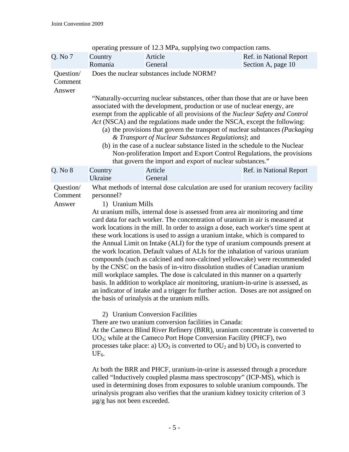| Q. No 7                        | Country<br>Romania                                                                                                                                                                                                                                                                                                                                                                                                                                                                                                                                                                                                                                                                          | Article<br>General                                                                                                                                                                                                                                                                                                                                                                                                                                                                                                                                                                                                                                                                                                                                                                                                                                                                                                                                                                                                                                          | Ref. in National Report<br>Section A, page 10                                                                                                                                                                                                                                                                                                                                                                                                                                                                                                                                                  |  |
|--------------------------------|---------------------------------------------------------------------------------------------------------------------------------------------------------------------------------------------------------------------------------------------------------------------------------------------------------------------------------------------------------------------------------------------------------------------------------------------------------------------------------------------------------------------------------------------------------------------------------------------------------------------------------------------------------------------------------------------|-------------------------------------------------------------------------------------------------------------------------------------------------------------------------------------------------------------------------------------------------------------------------------------------------------------------------------------------------------------------------------------------------------------------------------------------------------------------------------------------------------------------------------------------------------------------------------------------------------------------------------------------------------------------------------------------------------------------------------------------------------------------------------------------------------------------------------------------------------------------------------------------------------------------------------------------------------------------------------------------------------------------------------------------------------------|------------------------------------------------------------------------------------------------------------------------------------------------------------------------------------------------------------------------------------------------------------------------------------------------------------------------------------------------------------------------------------------------------------------------------------------------------------------------------------------------------------------------------------------------------------------------------------------------|--|
| Question/<br>Comment<br>Answer |                                                                                                                                                                                                                                                                                                                                                                                                                                                                                                                                                                                                                                                                                             | Does the nuclear substances include NORM?                                                                                                                                                                                                                                                                                                                                                                                                                                                                                                                                                                                                                                                                                                                                                                                                                                                                                                                                                                                                                   |                                                                                                                                                                                                                                                                                                                                                                                                                                                                                                                                                                                                |  |
|                                | "Naturally-occurring nuclear substances, other than those that are or have been<br>associated with the development, production or use of nuclear energy, are<br>exempt from the applicable of all provisions of the Nuclear Safety and Control<br>Act (NSCA) and the regulations made under the NSCA, except the following:<br>(a) the provisions that govern the transport of nuclear substances (Packaging<br>& Transport of Nuclear Substances Regulations); and<br>(b) in the case of a nuclear substance listed in the schedule to the Nuclear<br>Non-proliferation Import and Export Control Regulations, the provisions<br>that govern the import and export of nuclear substances." |                                                                                                                                                                                                                                                                                                                                                                                                                                                                                                                                                                                                                                                                                                                                                                                                                                                                                                                                                                                                                                                             |                                                                                                                                                                                                                                                                                                                                                                                                                                                                                                                                                                                                |  |
| Q. No 8                        | Country<br>Ukraine                                                                                                                                                                                                                                                                                                                                                                                                                                                                                                                                                                                                                                                                          | Article<br>General                                                                                                                                                                                                                                                                                                                                                                                                                                                                                                                                                                                                                                                                                                                                                                                                                                                                                                                                                                                                                                          | Ref. in National Report                                                                                                                                                                                                                                                                                                                                                                                                                                                                                                                                                                        |  |
| Question/<br>Comment<br>Answer | personnel?<br>1) Uranium Mills<br>UF <sub>6</sub> .                                                                                                                                                                                                                                                                                                                                                                                                                                                                                                                                                                                                                                         | At uranium mills, internal dose is assessed from area air monitoring and time<br>card data for each worker. The concentration of uranium in air is measured at<br>these work locations is used to assign a uranium intake, which is compared to<br>by the CNSC on the basis of in-vitro dissolution studies of Canadian uranium<br>mill workplace samples. The dose is calculated in this manner on a quarterly<br>basis. In addition to workplace air monitoring, uranium-in-urine is assessed, as<br>the basis of urinalysis at the uranium mills.<br>2) Uranium Conversion Facilities<br>There are two uranium conversion facilities in Canada:<br>$UO3$ ; while at the Cameco Port Hope Conversion Facility (PHCF), two<br>processes take place: a) $UO_3$ is converted to $OU_2$ and b) $UO_3$ is converted to<br>At both the BRR and PHCF, uranium-in-urine is assessed through a procedure<br>called "Inductively coupled plasma mass spectroscopy" (ICP-MS), which is<br>used in determining doses from exposures to soluble uranium compounds. The | What methods of internal dose calculation are used for uranium recovery facility<br>work locations in the mill. In order to assign a dose, each worker's time spent at<br>the Annual Limit on Intake (ALI) for the type of uranium compounds present at<br>the work location. Default values of ALIs for the inhalation of various uranium<br>compounds (such as calcined and non-calcined yellowcake) were recommended<br>an indicator of intake and a trigger for further action. Doses are not assigned on<br>At the Cameco Blind River Refinery (BRR), uranium concentrate is converted to |  |

operating pressure of 12.3 MPa, supplying two compaction rams.

urinalysis program also verifies that the uranium kidney toxicity criterion of 3

µg/g has not been exceeded.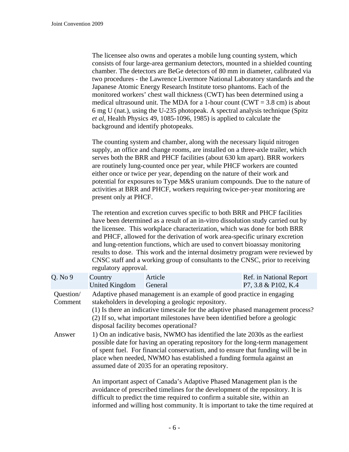The licensee also owns and operates a mobile lung counting system, which consists of four large-area germanium detectors, mounted in a shielded counting chamber. The detectors are BeGe detectors of 80 mm in diameter, calibrated via two procedures - the Lawrence Livermore National Laboratory standards and the Japanese Atomic Energy Research Institute torso phantoms. Each of the monitored workers' chest wall thickness (CWT) has been determined using a medical ultrasound unit. The MDA for a 1-hour count ( $CWT = 3.8$  cm) is about 6 mg U (nat.), using the U-235 photopeak. A spectral analysis technique (Spitz *et al*, Health Physics 49, 1085-1096, 1985) is applied to calculate the background and identify photopeaks.

The counting system and chamber, along with the necessary liquid nitrogen supply, an office and change rooms, are installed on a three-axle trailer, which serves both the BRR and PHCF facilities (about 630 km apart). BRR workers are routinely lung-counted once per year, while PHCF workers are counted either once or twice per year, depending on the nature of their work and potential for exposures to Type M&S uranium compounds. Due to the nature of activities at BRR and PHCF, workers requiring twice-per-year monitoring are present only at PHCF.

The retention and excretion curves specific to both BRR and PHCF facilities have been determined as a result of an in-vitro dissolution study carried out by the licensee. This workplace characterization, which was done for both BRR and PHCF, allowed for the derivation of work area-specific urinary excretion and lung-retention functions, which are used to convert bioassay monitoring results to dose. This work and the internal dosimetry program were reviewed by CNSC staff and a working group of consultants to the CNSC, prior to receiving regulatory approval.

| Q. No 9              | Country<br>United Kingdom                                                                                                                                                                                                                                                                                                                                                       | Article<br>General | Ref. in National Report<br>P7, 3.8 & P102, K.4                                                                                                                                                                                                                                                                                |  |
|----------------------|---------------------------------------------------------------------------------------------------------------------------------------------------------------------------------------------------------------------------------------------------------------------------------------------------------------------------------------------------------------------------------|--------------------|-------------------------------------------------------------------------------------------------------------------------------------------------------------------------------------------------------------------------------------------------------------------------------------------------------------------------------|--|
| Question/<br>Comment | Adaptive phased management is an example of good practice in engaging<br>stakeholders in developing a geologic repository.<br>(1) Is there an indicative timescale for the adaptive phased management process?<br>(2) If so, what important milestones have been identified before a geologic<br>disposal facility becomes operational?                                         |                    |                                                                                                                                                                                                                                                                                                                               |  |
| Answer               | 1) On an indicative basis, NWMO has identified the late 2030s as the earliest<br>possible date for having an operating repository for the long-term management<br>of spent fuel. For financial conservatism, and to ensure that funding will be in<br>place when needed, NWMO has established a funding formula against an<br>assumed date of 2035 for an operating repository. |                    |                                                                                                                                                                                                                                                                                                                               |  |
|                      |                                                                                                                                                                                                                                                                                                                                                                                 |                    | An important aspect of Canada's Adaptive Phased Management plan is the<br>avoidance of prescribed timelines for the development of the repository. It is<br>difficult to predict the time required to confirm a suitable site, within an<br>informed and willing host community. It is important to take the time required at |  |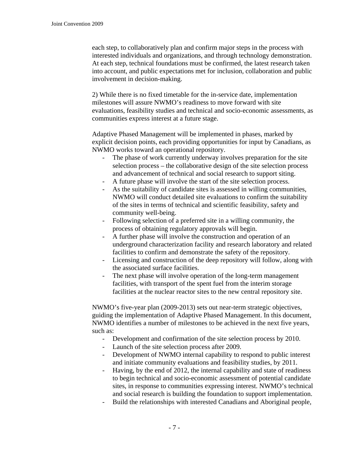each step, to collaboratively plan and confirm major steps in the process with interested individuals and organizations, and through technology demonstration. At each step, technical foundations must be confirmed, the latest research taken into account, and public expectations met for inclusion, collaboration and public involvement in decision-making.

2) While there is no fixed timetable for the in-service date, implementation milestones will assure NWMO's readiness to move forward with site evaluations, feasibility studies and technical and socio-economic assessments, as communities express interest at a future stage.

Adaptive Phased Management will be implemented in phases, marked by explicit decision points, each providing opportunities for input by Canadians, as NWMO works toward an operational repository.

- The phase of work currently underway involves preparation for the site selection process – the collaborative design of the site selection process and advancement of technical and social research to support siting.
- A future phase will involve the start of the site selection process.
- As the suitability of candidate sites is assessed in willing communities, NWMO will conduct detailed site evaluations to confirm the suitability of the sites in terms of technical and scientific feasibility, safety and community well-being.
- Following selection of a preferred site in a willing community, the process of obtaining regulatory approvals will begin.
- A further phase will involve the construction and operation of an underground characterization facility and research laboratory and related facilities to confirm and demonstrate the safety of the repository.
- Licensing and construction of the deep repository will follow, along with the associated surface facilities.
- The next phase will involve operation of the long-term management facilities, with transport of the spent fuel from the interim storage facilities at the nuclear reactor sites to the new central repository site.

NWMO's five-year plan (2009-2013) sets out near-term strategic objectives, guiding the implementation of Adaptive Phased Management. In this document, NWMO identifies a number of milestones to be achieved in the next five years, such as:

- Development and confirmation of the site selection process by 2010.
- Launch of the site selection process after 2009.
- Development of NWMO internal capability to respond to public interest and initiate community evaluations and feasibility studies, by 2011.
- Having, by the end of 2012, the internal capability and state of readiness to begin technical and socio-economic assessment of potential candidate sites, in response to communities expressing interest. NWMO's technical and social research is building the foundation to support implementation.
- Build the relationships with interested Canadians and Aboriginal people,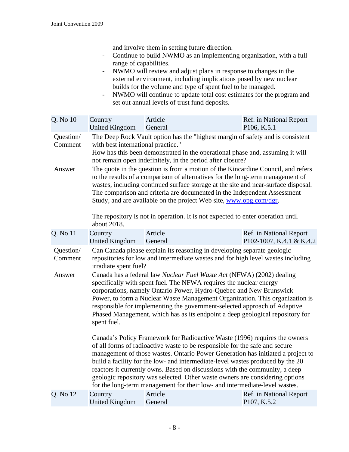and involve them in setting future direction.

- Continue to build NWMO as an implementing organization, with a full range of capabilities.
- NWMO will review and adjust plans in response to changes in the external environment, including implications posed by new nuclear builds for the volume and type of spent fuel to be managed.
- NWMO will continue to update total cost estimates for the program and set out annual levels of trust fund deposits.

| Q. No 10                       | Country<br>United Kingdom                                                                                                                                                                                                                                                                                                                                                                                                                                                                                                                                                                                                                                                                                                                                            | Article<br>General                                                                                                                                                                                                                                                                                                                                                                                                                                                                                                                                                          | Ref. in National Report<br>P106, K.5.1 |  |
|--------------------------------|----------------------------------------------------------------------------------------------------------------------------------------------------------------------------------------------------------------------------------------------------------------------------------------------------------------------------------------------------------------------------------------------------------------------------------------------------------------------------------------------------------------------------------------------------------------------------------------------------------------------------------------------------------------------------------------------------------------------------------------------------------------------|-----------------------------------------------------------------------------------------------------------------------------------------------------------------------------------------------------------------------------------------------------------------------------------------------------------------------------------------------------------------------------------------------------------------------------------------------------------------------------------------------------------------------------------------------------------------------------|----------------------------------------|--|
| Question/<br>Comment<br>Answer | The Deep Rock Vault option has the "highest margin of safety and is consistent<br>with best international practice."<br>How has this been demonstrated in the operational phase and, assuming it will<br>not remain open indefinitely, in the period after closure?<br>The quote in the question is from a motion of the Kincardine Council, and refers<br>to the results of a comparison of alternatives for the long-term management of<br>wastes, including continued surface storage at the site and near-surface disposal.<br>The comparison and criteria are documented in the Independent Assessment<br>Study, and are available on the project Web site, www.opg.com/dgr.<br>The repository is not in operation. It is not expected to enter operation until |                                                                                                                                                                                                                                                                                                                                                                                                                                                                                                                                                                             |                                        |  |
|                                |                                                                                                                                                                                                                                                                                                                                                                                                                                                                                                                                                                                                                                                                                                                                                                      |                                                                                                                                                                                                                                                                                                                                                                                                                                                                                                                                                                             |                                        |  |
| Q. No 11                       | about 2018.<br>Country                                                                                                                                                                                                                                                                                                                                                                                                                                                                                                                                                                                                                                                                                                                                               | Article                                                                                                                                                                                                                                                                                                                                                                                                                                                                                                                                                                     | Ref. in National Report                |  |
| Question/<br>Comment<br>Answer | <b>United Kingdom</b><br>General<br>P102-1007, K.4.1 & K.4.2<br>Can Canada please explain its reasoning in developing separate geologic<br>repositories for low and intermediate wastes and for high level wastes including<br>irradiate spent fuel?<br>Canada has a federal law Nuclear Fuel Waste Act (NFWA) (2002) dealing<br>specifically with spent fuel. The NFWA requires the nuclear energy<br>corporations, namely Ontario Power, Hydro-Quebec and New Brunswick<br>Power, to form a Nuclear Waste Management Organization. This organization is<br>responsible for implementing the government-selected approach of Adaptive<br>Phased Management, which has as its endpoint a deep geological repository for<br>spent fuel.                               |                                                                                                                                                                                                                                                                                                                                                                                                                                                                                                                                                                             |                                        |  |
|                                |                                                                                                                                                                                                                                                                                                                                                                                                                                                                                                                                                                                                                                                                                                                                                                      | Canada's Policy Framework for Radioactive Waste (1996) requires the owners<br>of all forms of radioactive waste to be responsible for the safe and secure<br>management of those wastes. Ontario Power Generation has initiated a project to<br>build a facility for the low- and intermediate-level wastes produced by the 20<br>reactors it currently owns. Based on discussions with the community, a deep<br>geologic repository was selected. Other waste owners are considering options<br>for the long-term management for their low- and intermediate-level wastes. |                                        |  |
| Q. No 12                       | Country<br><b>United Kingdom</b>                                                                                                                                                                                                                                                                                                                                                                                                                                                                                                                                                                                                                                                                                                                                     | Article<br>General                                                                                                                                                                                                                                                                                                                                                                                                                                                                                                                                                          | Ref. in National Report<br>P107, K.5.2 |  |
|                                |                                                                                                                                                                                                                                                                                                                                                                                                                                                                                                                                                                                                                                                                                                                                                                      |                                                                                                                                                                                                                                                                                                                                                                                                                                                                                                                                                                             |                                        |  |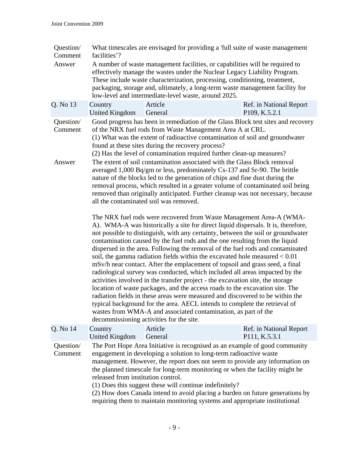| Question/<br>Comment | facilities'?                       |                                                   |                                                                                                                                                          | What timescales are envisaged for providing a 'full suite of waste management                                                                                                                                                                                                                                                                                                                                                                                                                                                                                                                                                                                                                                                                                                                                                                                                                               |  |
|----------------------|------------------------------------|---------------------------------------------------|----------------------------------------------------------------------------------------------------------------------------------------------------------|-------------------------------------------------------------------------------------------------------------------------------------------------------------------------------------------------------------------------------------------------------------------------------------------------------------------------------------------------------------------------------------------------------------------------------------------------------------------------------------------------------------------------------------------------------------------------------------------------------------------------------------------------------------------------------------------------------------------------------------------------------------------------------------------------------------------------------------------------------------------------------------------------------------|--|
| Answer               |                                    |                                                   | low-level and intermediate-level waste, around 2025.                                                                                                     | A number of waste management facilities, or capabilities will be required to<br>effectively manage the wastes under the Nuclear Legacy Liability Program.<br>These include waste characterization, processing, conditioning, treatment,<br>packaging, storage and, ultimately, a long-term waste management facility for                                                                                                                                                                                                                                                                                                                                                                                                                                                                                                                                                                                    |  |
| Q. No 13             | Country<br><b>United Kingdom</b>   | Article<br>General                                |                                                                                                                                                          | Ref. in National Report<br>P109, K.5.2.1                                                                                                                                                                                                                                                                                                                                                                                                                                                                                                                                                                                                                                                                                                                                                                                                                                                                    |  |
| Question/<br>Comment |                                    | found at these sites during the recovery process? | of the NRX fuel rods from Waste Management Area A at CRL.<br>(2) Has the level of contamination required further clean-up measures?                      | Good progress has been in remediation of the Glass Block test sites and recovery<br>(1) What was the extent of radioactive contamination of soil and groundwater                                                                                                                                                                                                                                                                                                                                                                                                                                                                                                                                                                                                                                                                                                                                            |  |
| Answer               |                                    | all the contaminated soil was removed.            | The extent of soil contamination associated with the Glass Block removal<br>nature of the blocks led to the generation of chips and fine dust during the | averaged 1,000 Bq/gm or less, predominately Cs-137 and Sr-90. The brittle<br>removal process, which resulted in a greater volume of contaminated soil being<br>removed than originally anticipated. Further cleanup was not necessary, because                                                                                                                                                                                                                                                                                                                                                                                                                                                                                                                                                                                                                                                              |  |
|                      |                                    | decommissioning activities for the site.          | activities involved in the transfer project - the excavation site, the storage<br>wastes from WMA-A and associated contamination, as part of the         | The NRX fuel rods were recovered from Waste Management Area-A (WMA-<br>A). WMA-A was historically a site for direct liquid dispersals. It is, therefore,<br>not possible to distinguish, with any certainty, between the soil or groundwater<br>contamination caused by the fuel rods and the one resulting from the liquid<br>dispersed in the area. Following the removal of the fuel rods and contaminated<br>soil, the gamma radiation fields within the excavated hole measured $< 0.01$<br>mSv/h near contact. After the emplacement of topsoil and grass seed, a final<br>radiological survey was conducted, which included all areas impacted by the<br>location of waste packages, and the access roads to the excavation site. The<br>radiation fields in these areas were measured and discovered to be within the<br>typical background for the area. AECL intends to complete the retrieval of |  |
| Q. No 14             | Country<br><b>United Kingdom</b>   | Article<br>General                                |                                                                                                                                                          | Ref. in National Report<br>P111, K.5.3.1                                                                                                                                                                                                                                                                                                                                                                                                                                                                                                                                                                                                                                                                                                                                                                                                                                                                    |  |
| Question/<br>Comment | released from institution control. |                                                   | engagement in developing a solution to long-term radioactive waste<br>(1) Does this suggest these will continue indefinitely?                            | The Port Hope Area Initiative is recognised as an example of good community<br>management. However, the report does not seem to provide any information on<br>the planned timescale for long-term monitoring or when the facility might be<br>(2) How does Canada intend to avoid placing a burden on future generations by<br>requiring them to maintain monitoring systems and appropriate institutional                                                                                                                                                                                                                                                                                                                                                                                                                                                                                                  |  |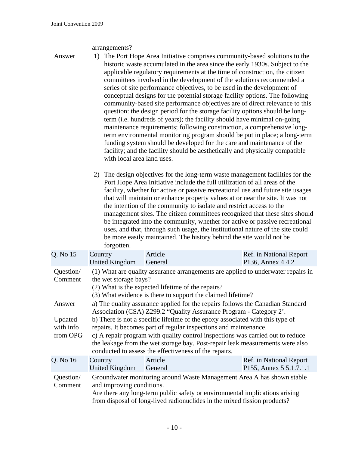## arrangements?

Answer 1) The Port Hope Area Initiative comprises community-based solutions to the historic waste accumulated in the area since the early 1930s. Subject to the applicable regulatory requirements at the time of construction, the citizen committees involved in the development of the solutions recommended a series of site performance objectives, to be used in the development of conceptual designs for the potential storage facility options. The following community-based site performance objectives are of direct relevance to this question: the design period for the storage facility options should be longterm (i.e. hundreds of years); the facility should have minimal on-going maintenance requirements; following construction, a comprehensive longterm environmental monitoring program should be put in place; a long-term funding system should be developed for the care and maintenance of the facility; and the facility should be aesthetically and physically compatible with local area land uses.

> 2) The design objectives for the long-term waste management facilities for the Port Hope Area Initiative include the full utilization of all areas of the facility, whether for active or passive recreational use and future site usages that will maintain or enhance property values at or near the site. It was not the intention of the community to isolate and restrict access to the management sites. The citizen committees recognized that these sites should be integrated into the community, whether for active or passive recreational uses, and that, through such usage, the institutional nature of the site could be more easily maintained. The history behind the site would not be forgotten.

| Q. No 15                                   | Country<br>United Kingdom                                                                                                                                                                                                                                                                                                                                                                                                                                                                                                             | Article<br>General | Ref. in National Report<br>P136, Annex 4 4.2       |  |
|--------------------------------------------|---------------------------------------------------------------------------------------------------------------------------------------------------------------------------------------------------------------------------------------------------------------------------------------------------------------------------------------------------------------------------------------------------------------------------------------------------------------------------------------------------------------------------------------|--------------------|----------------------------------------------------|--|
| Question/<br>Comment                       | (1) What are quality assurance arrangements are applied to underwater repairs in<br>the wet storage bays?<br>(2) What is the expected lifetime of the repairs?<br>(3) What evidence is there to support the claimed lifetime?                                                                                                                                                                                                                                                                                                         |                    |                                                    |  |
| Answer<br>Updated<br>with info<br>from OPG | a) The quality assurance applied for the repairs follows the Canadian Standard<br>Association (CSA) Z299.2 "Quality Assurance Program - Category 2".<br>b) There is not a specific lifetime of the epoxy associated with this type of<br>repairs. It becomes part of regular inspections and maintenance.<br>c) A repair program with quality control inspections was carried out to reduce<br>the leakage from the wet storage bay. Post-repair leak measurements were also<br>conducted to assess the effectiveness of the repairs. |                    |                                                    |  |
| Q. No 16                                   | Country<br>United Kingdom                                                                                                                                                                                                                                                                                                                                                                                                                                                                                                             | Article<br>General | Ref. in National Report<br>P155, Annex 5 5.1.7.1.1 |  |
| Question/<br>Comment                       | Groundwater monitoring around Waste Management Area A has shown stable<br>and improving conditions.<br>Are there any long-term public safety or environmental implications arising<br>from disposal of long-lived radionuclides in the mixed fission products?                                                                                                                                                                                                                                                                        |                    |                                                    |  |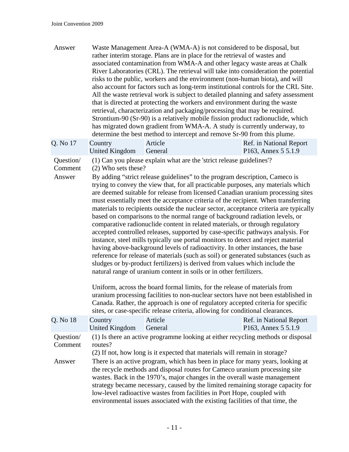| Answer                         |                                                                                                                                                                                                                                                                                                                                                                                                                                                                                                                                                                                                                                                                                                                                                                                                                                                                                                                                                                                                                                                                                                                                                                                                                                                                                                                                                                                                                                                                                                                                              |                    | Waste Management Area-A (WMA-A) is not considered to be disposal, but<br>rather interim storage. Plans are in place for the retrieval of wastes and<br>associated contamination from WMA-A and other legacy waste areas at Chalk<br>River Laboratories (CRL). The retrieval will take into consideration the potential<br>risks to the public, workers and the environment (non-human biota), and will<br>also account for factors such as long-term institutional controls for the CRL Site.<br>All the waste retrieval work is subject to detailed planning and safety assessment<br>that is directed at protecting the workers and environment during the waste<br>retrieval, characterization and packaging/processing that may be required.<br>Strontium-90 (Sr-90) is a relatively mobile fission product radionuclide, which<br>has migrated down gradient from WMA-A. A study is currently underway, to<br>determine the best method to intercept and remove Sr-90 from this plume. |  |
|--------------------------------|----------------------------------------------------------------------------------------------------------------------------------------------------------------------------------------------------------------------------------------------------------------------------------------------------------------------------------------------------------------------------------------------------------------------------------------------------------------------------------------------------------------------------------------------------------------------------------------------------------------------------------------------------------------------------------------------------------------------------------------------------------------------------------------------------------------------------------------------------------------------------------------------------------------------------------------------------------------------------------------------------------------------------------------------------------------------------------------------------------------------------------------------------------------------------------------------------------------------------------------------------------------------------------------------------------------------------------------------------------------------------------------------------------------------------------------------------------------------------------------------------------------------------------------------|--------------------|---------------------------------------------------------------------------------------------------------------------------------------------------------------------------------------------------------------------------------------------------------------------------------------------------------------------------------------------------------------------------------------------------------------------------------------------------------------------------------------------------------------------------------------------------------------------------------------------------------------------------------------------------------------------------------------------------------------------------------------------------------------------------------------------------------------------------------------------------------------------------------------------------------------------------------------------------------------------------------------------|--|
| Q. No 17                       | Country<br><b>United Kingdom</b>                                                                                                                                                                                                                                                                                                                                                                                                                                                                                                                                                                                                                                                                                                                                                                                                                                                                                                                                                                                                                                                                                                                                                                                                                                                                                                                                                                                                                                                                                                             | Article<br>General | Ref. in National Report<br>P163, Annex 5 5.1.9                                                                                                                                                                                                                                                                                                                                                                                                                                                                                                                                                                                                                                                                                                                                                                                                                                                                                                                                              |  |
| Question/<br>Comment<br>Answer | (1) Can you please explain what are the 'strict release guidelines'?<br>(2) Who sets these?<br>By adding "strict release guidelines" to the program description, Cameco is<br>trying to convey the view that, for all practicable purposes, any materials which<br>are deemed suitable for release from licensed Canadian uranium processing sites<br>must essentially meet the acceptance criteria of the recipient. When transferring<br>materials to recipients outside the nuclear sector, acceptance criteria are typically<br>based on comparisons to the normal range of background radiation levels, or<br>comparative radionuclide content in related materials, or through regulatory<br>accepted controlled releases, supported by case-specific pathways analysis. For<br>instance, steel mills typically use portal monitors to detect and reject material<br>having above-background levels of radioactivity. In other instances, the base<br>reference for release of materials (such as soil) or generated substances (such as<br>sludges or by-product fertilizers) is derived from values which include the<br>natural range of uranium content in soils or in other fertilizers.<br>Uniform, across the board formal limits, for the release of materials from<br>uranium processing facilities to non-nuclear sectors have not been established in<br>Canada. Rather, the approach is one of regulatory accepted criteria for specific<br>sites, or case-specific release criteria, allowing for conditional clearances. |                    |                                                                                                                                                                                                                                                                                                                                                                                                                                                                                                                                                                                                                                                                                                                                                                                                                                                                                                                                                                                             |  |
| Q. No 18                       | Country<br><b>United Kingdom</b>                                                                                                                                                                                                                                                                                                                                                                                                                                                                                                                                                                                                                                                                                                                                                                                                                                                                                                                                                                                                                                                                                                                                                                                                                                                                                                                                                                                                                                                                                                             | Article<br>General | Ref. in National Report<br>P <sub>163</sub> , Annex 5 5.1.9                                                                                                                                                                                                                                                                                                                                                                                                                                                                                                                                                                                                                                                                                                                                                                                                                                                                                                                                 |  |
| Question/<br>Comment<br>Answer | routes?                                                                                                                                                                                                                                                                                                                                                                                                                                                                                                                                                                                                                                                                                                                                                                                                                                                                                                                                                                                                                                                                                                                                                                                                                                                                                                                                                                                                                                                                                                                                      |                    | (1) Is there an active programme looking at either recycling methods or disposal<br>(2) If not, how long is it expected that materials will remain in storage?<br>There is an active program, which has been in place for many years, looking at<br>the recycle methods and disposal routes for Cameco uranium processing site<br>wastes. Back in the 1970's, major changes in the overall waste management<br>strategy became necessary, caused by the limited remaining storage capacity for<br>low-level radioactive wastes from facilities in Port Hope, coupled with<br>environmental issues associated with the existing facilities of that time, the                                                                                                                                                                                                                                                                                                                                 |  |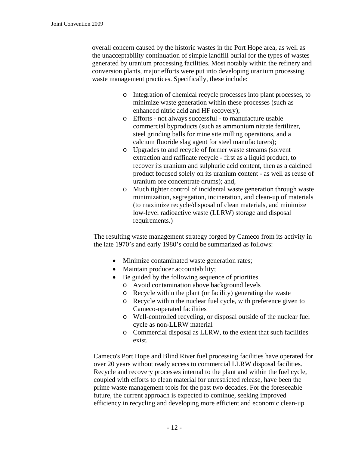overall concern caused by the historic wastes in the Port Hope area, as well as the unacceptability continuation of simple landfill burial for the types of wastes generated by uranium processing facilities. Most notably within the refinery and conversion plants, major efforts were put into developing uranium processing waste management practices. Specifically, these include:

- o Integration of chemical recycle processes into plant processes, to minimize waste generation within these processes (such as enhanced nitric acid and HF recovery);
- o Efforts not always successful to manufacture usable commercial byproducts (such as ammonium nitrate fertilizer, steel grinding balls for mine site milling operations, and a calcium fluoride slag agent for steel manufacturers);
- o Upgrades to and recycle of former waste streams (solvent extraction and raffinate recycle - first as a liquid product, to recover its uranium and sulphuric acid content, then as a calcined product focused solely on its uranium content - as well as reuse of uranium ore concentrate drums); and,
- o Much tighter control of incidental waste generation through waste minimization, segregation, incineration, and clean-up of materials (to maximize recycle/disposal of clean materials, and minimize low-level radioactive waste (LLRW) storage and disposal requirements.)

The resulting waste management strategy forged by Cameco from its activity in the late 1970's and early 1980's could be summarized as follows:

- Minimize contaminated waste generation rates;
- Maintain producer accountability;
- Be guided by the following sequence of priorities
	- o Avoid contamination above background levels
	- o Recycle within the plant (or facility) generating the waste
	- o Recycle within the nuclear fuel cycle, with preference given to Cameco-operated facilities
	- o Well-controlled recycling, or disposal outside of the nuclear fuel cycle as non-LLRW material
	- o Commercial disposal as LLRW, to the extent that such facilities exist.

Cameco's Port Hope and Blind River fuel processing facilities have operated for over 20 years without ready access to commercial LLRW disposal facilities. Recycle and recovery processes internal to the plant and within the fuel cycle, coupled with efforts to clean material for unrestricted release, have been the prime waste management tools for the past two decades. For the foreseeable future, the current approach is expected to continue, seeking improved efficiency in recycling and developing more efficient and economic clean-up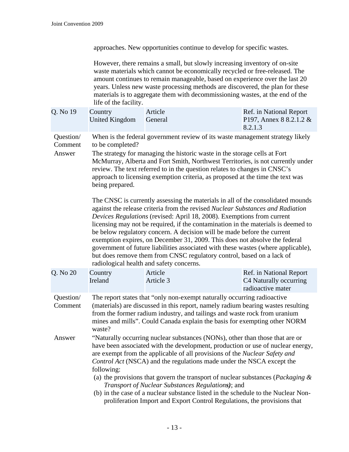approaches. New opportunities continue to develop for specific wastes.

However, there remains a small, but slowly increasing inventory of on-site waste materials which cannot be economically recycled or free-released. The amount continues to remain manageable, based on experience over the last 20 years. Unless new waste processing methods are discovered, the plan for these materials is to aggregate them with decommissioning wastes, at the end of the life of the facility.

| Q. No 19 | Country<br>United Kingdom General | Article | Ref. in National Report<br>P197, Annex 8 8.2.1.2 &<br>8.2.1.3 |
|----------|-----------------------------------|---------|---------------------------------------------------------------|
|          |                                   |         |                                                               |

- Question/ Comment When is the federal government review of its waste management strategy likely to be completed?
- Answer The strategy for managing the historic waste in the storage cells at Fort McMurray, Alberta and Fort Smith, Northwest Territories, is not currently under review. The text referred to in the question relates to changes in CNSC's approach to licensing exemption criteria, as proposed at the time the text was being prepared.

The CNSC is currently assessing the materials in all of the consolidated mounds against the release criteria from the revised *Nuclear Substances and Radiation Devices Regulations* (revised: April 18, 2008). Exemptions from current licensing may not be required, if the contamination in the materials is deemed to be below regulatory concern. A decision will be made before the current exemption expires, on December 31, 2009. This does not absolve the federal government of future liabilities associated with these wastes (where applicable), but does remove them from CNSC regulatory control, based on a lack of radiological health and safety concerns.

| Q. No 20             | Country                                                                                                                                                                                                                                                                                                                                                                                                                                           | Article   | Ref. in National Report                     |
|----------------------|---------------------------------------------------------------------------------------------------------------------------------------------------------------------------------------------------------------------------------------------------------------------------------------------------------------------------------------------------------------------------------------------------------------------------------------------------|-----------|---------------------------------------------|
|                      | Ireland                                                                                                                                                                                                                                                                                                                                                                                                                                           | Article 3 | C4 Naturally occurring<br>radioactive mater |
| Question/<br>Comment | The report states that "only non-exempt naturally occurring radioactive"<br>(materials) are discussed in this report, namely radium bearing wastes resulting<br>from the former radium industry, and tailings and waste rock from uranium<br>mines and mills". Could Canada explain the basis for exempting other NORM<br>waste?                                                                                                                  |           |                                             |
| Answer               | "Naturally occurring nuclear substances (NONs), other than those that are or<br>have been associated with the development, production or use of nuclear energy,<br>are exempt from the applicable of all provisions of the <i>Nuclear Safety and</i><br><i>Control Act</i> (NSCA) and the regulations made under the NSCA except the<br>following:<br>(a) the provisions that govern the transport of nuclear substances ( <i>Packaging &amp;</i> |           |                                             |

*Transport of Nuclear Substances Regulations)*; and (b) in the case of a nuclear substance listed in the schedule to the Nuclear Nonproliferation Import and Export Control Regulations, the provisions that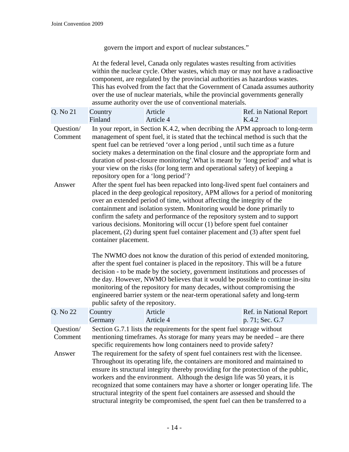govern the import and export of nuclear substances."

At the federal level, Canada only regulates wastes resulting from activities within the nuclear cycle. Other wastes, which may or may not have a radioactive component, are regulated by the provincial authorities as hazardous wastes. This has evolved from the fact that the Government of Canada assumes authority over the use of nuclear materials, while the provincial governments generally assume authority over the use of conventional materials.

| Q. No 21 Country |         | Article   | Ref. in National Report |
|------------------|---------|-----------|-------------------------|
|                  | Finland | Article 4 | K.4.2                   |

Question/ Comment In your report, in Section K.4.2, when decribing the APM approach to long-term management of spent fuel, it is stated that the techincal method is such that the spent fuel can be retrieved 'over a long period , until such time as a future society makes a determination on the final closure and the appropriate form and duration of post-closure monitoring'.What is meant by 'long period' and what is your view on the risks (for long term and operational safety) of keeping a repository open for a 'long period'?

Answer After the spent fuel has been repacked into long-lived spent fuel containers and placed in the deep geological repository, APM allows for a period of monitoring over an extended period of time, without affecting the integrity of the containment and isolation system. Monitoring would be done primarily to confirm the safety and performance of the repository system and to support various decisions. Monitoring will occur (1) before spent fuel container placement, (2) during spent fuel container placement and (3) after spent fuel container placement.

> The NWMO does not know the duration of this period of extended monitoring, after the spent fuel container is placed in the repository. This will be a future decision - to be made by the society, government institutions and processes of the day. However, NWMO believes that it would be possible to continue in-situ monitoring of the repository for many decades, without compromising the engineered barrier system or the near-term operational safety and long-term public safety of the repository.

| Q. No 22             | Country                                                                                                                                                                                                                     | Article                                                                                                                                                                                                                                                                                                                                                                                                                                                                                                                                                                                       | Ref. in National Report |
|----------------------|-----------------------------------------------------------------------------------------------------------------------------------------------------------------------------------------------------------------------------|-----------------------------------------------------------------------------------------------------------------------------------------------------------------------------------------------------------------------------------------------------------------------------------------------------------------------------------------------------------------------------------------------------------------------------------------------------------------------------------------------------------------------------------------------------------------------------------------------|-------------------------|
|                      | Germany                                                                                                                                                                                                                     | Article 4                                                                                                                                                                                                                                                                                                                                                                                                                                                                                                                                                                                     | p. 71; Sec. G.7         |
| Question/<br>Comment | Section G.7.1 lists the requirements for the spent fuel storage without<br>mentioning time frames. As storage for many years may be needed – are there<br>specific requirements how long containers need to provide safety? |                                                                                                                                                                                                                                                                                                                                                                                                                                                                                                                                                                                               |                         |
| Answer               |                                                                                                                                                                                                                             | The requirement for the safety of spent fuel containers rest with the licensee.<br>Throughout its operating life, the containers are monitored and maintained to<br>ensure its structural integrity thereby providing for the protection of the public,<br>workers and the environment. Although the design life was 50 years, it is<br>recognized that some containers may have a shorter or longer operating life. The<br>structural integrity of the spent fuel containers are assessed and should the<br>structural integrity be compromised, the spent fuel can then be transferred to a |                         |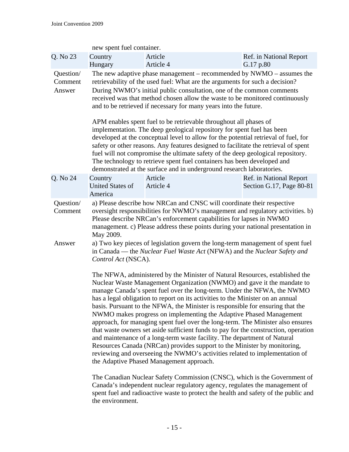|                                                                               | new spent fuel container.                                                                                                                                                                                                                                           |                                                                                                                                                                                                                                                                                                                                                                                                                                                                                                                                                                                                                                                                                                                                                                                                                                                                                                                                            |                                                     |  |
|-------------------------------------------------------------------------------|---------------------------------------------------------------------------------------------------------------------------------------------------------------------------------------------------------------------------------------------------------------------|--------------------------------------------------------------------------------------------------------------------------------------------------------------------------------------------------------------------------------------------------------------------------------------------------------------------------------------------------------------------------------------------------------------------------------------------------------------------------------------------------------------------------------------------------------------------------------------------------------------------------------------------------------------------------------------------------------------------------------------------------------------------------------------------------------------------------------------------------------------------------------------------------------------------------------------------|-----------------------------------------------------|--|
| Q. No 23                                                                      | Country<br>Hungary                                                                                                                                                                                                                                                  | Article<br>Article 4                                                                                                                                                                                                                                                                                                                                                                                                                                                                                                                                                                                                                                                                                                                                                                                                                                                                                                                       | Ref. in National Report<br>G.17 p.80                |  |
| Question/<br>Comment<br>Answer                                                |                                                                                                                                                                                                                                                                     | The new adaptive phase management – recommended by $NWMO -$ assumes the<br>retrievability of the used fuel: What are the arguments for such a decision?<br>During NWMO's initial public consultation, one of the common comments<br>received was that method chosen allow the waste to be monitored continuously<br>and to be retrieved if necessary for many years into the future.<br>APM enables spent fuel to be retrievable throughout all phases of<br>implementation. The deep geological repository for spent fuel has been<br>developed at the conceptual level to allow for the potential retrieval of fuel, for<br>safety or other reasons. Any features designed to facilitate the retrieval of spent<br>fuel will not compromise the ultimate safety of the deep geological repository.<br>The technology to retrieve spent fuel containers has been developed and                                                            |                                                     |  |
| Q. No 24                                                                      | Country<br><b>United States of</b>                                                                                                                                                                                                                                  | demonstrated at the surface and in underground research laboratories.<br>Article<br>Article 4                                                                                                                                                                                                                                                                                                                                                                                                                                                                                                                                                                                                                                                                                                                                                                                                                                              | Ref. in National Report<br>Section G.17, Page 80-81 |  |
| America<br>Question/<br>Comment<br>May 2009.<br>Answer<br>Control Act (NSCA). |                                                                                                                                                                                                                                                                     | a) Please describe how NRCan and CNSC will coordinate their respective<br>oversight responsibilities for NWMO's management and regulatory activities. b)<br>Please describe NRCan's enforcement capabilities for lapses in NWMO<br>management. c) Please address these points during your national presentation in<br>a) Two key pieces of legislation govern the long-term management of spent fuel<br>in Canada — the Nuclear Fuel Waste Act (NFWA) and the Nuclear Safety and                                                                                                                                                                                                                                                                                                                                                                                                                                                           |                                                     |  |
|                                                                               |                                                                                                                                                                                                                                                                     | The NFWA, administered by the Minister of Natural Resources, established the<br>Nuclear Waste Management Organization (NWMO) and gave it the mandate to<br>manage Canada's spent fuel over the long-term. Under the NFWA, the NWMO<br>has a legal obligation to report on its activities to the Minister on an annual<br>basis. Pursuant to the NFWA, the Minister is responsible for ensuring that the<br>NWMO makes progress on implementing the Adaptive Phased Management<br>approach, for managing spent fuel over the long-term. The Minister also ensures<br>that waste owners set aside sufficient funds to pay for the construction, operation<br>and maintenance of a long-term waste facility. The department of Natural<br>Resources Canada (NRCan) provides support to the Minister by monitoring,<br>reviewing and overseeing the NWMO's activities related to implementation of<br>the Adaptive Phased Management approach. |                                                     |  |
|                                                                               | The Canadian Nuclear Safety Commission (CNSC), which is the Government of<br>Canada's independent nuclear regulatory agency, regulates the management of<br>spent fuel and radioactive waste to protect the health and safety of the public and<br>the environment. |                                                                                                                                                                                                                                                                                                                                                                                                                                                                                                                                                                                                                                                                                                                                                                                                                                                                                                                                            |                                                     |  |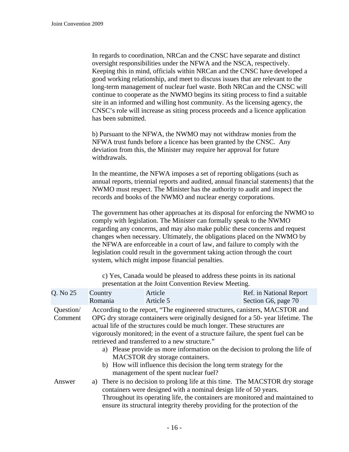In regards to coordination, NRCan and the CNSC have separate and distinct oversight responsibilities under the NFWA and the NSCA, respectively. Keeping this in mind, officials within NRCan and the CNSC have developed a good working relationship, and meet to discuss issues that are relevant to the long-term management of nuclear fuel waste. Both NRCan and the CNSC will continue to cooperate as the NWMO begins its siting process to find a suitable site in an informed and willing host community. As the licensing agency, the CNSC's role will increase as siting process proceeds and a licence application has been submitted.

b) Pursuant to the NFWA, the NWMO may not withdraw monies from the NFWA trust funds before a licence has been granted by the CNSC. Any deviation from this, the Minister may require her approval for future withdrawals.

In the meantime, the NFWA imposes a set of reporting obligations (such as annual reports, triennial reports and audited, annual financial statements) that the NWMO must respect. The Minister has the authority to audit and inspect the records and books of the NWMO and nuclear energy corporations.

The government has other approaches at its disposal for enforcing the NWMO to comply with legislation. The Minister can formally speak to the NWMO regarding any concerns, and may also make public these concerns and request changes when necessary. Ultimately, the obligations placed on the NWMO by the NFWA are enforceable in a court of law, and failure to comply with the legislation could result in the government taking action through the court system, which might impose financial penalties.

c) Yes, Canada would be pleased to address these points in its national presentation at the Joint Convention Review Meeting.

| Q. No 25             | Country | Article                                                                                                                                                                                                                                                                                                                                                                                                                                                                                                                                                                   | Ref. in National Report |  |
|----------------------|---------|---------------------------------------------------------------------------------------------------------------------------------------------------------------------------------------------------------------------------------------------------------------------------------------------------------------------------------------------------------------------------------------------------------------------------------------------------------------------------------------------------------------------------------------------------------------------------|-------------------------|--|
|                      | Romania | Article 5                                                                                                                                                                                                                                                                                                                                                                                                                                                                                                                                                                 | Section G6, page 70     |  |
| Question/<br>Comment |         | According to the report, "The engineered structures, canisters, MACSTOR and<br>OPG dry storage containers were originally designed for a 50-year lifetime. The<br>actual life of the structures could be much longer. These structures are<br>vigorously monitored; in the event of a structure failure, the spent fuel can be<br>retrieved and transferred to a new structure."<br>a) Please provide us more information on the decision to prolong the life of<br>MACSTOR dry storage containers.<br>b) How will influence this decision the long term strategy for the |                         |  |
| Answer               |         | management of the spent nuclear fuel?<br>a) There is no decision to prolong life at this time. The MACSTOR dry storage<br>containers were designed with a nominal design life of 50 years.<br>Throughout its operating life, the containers are monitored and maintained to<br>ensure its structural integrity thereby providing for the protection of the                                                                                                                                                                                                                |                         |  |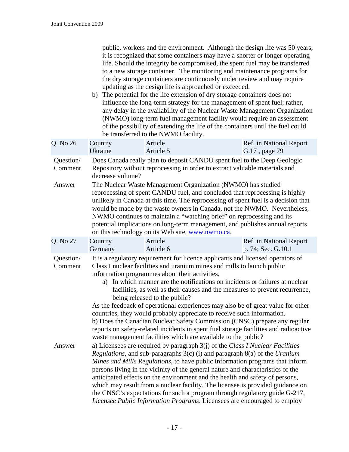| public, workers and the environment. Although the design life was 50 years,  |
|------------------------------------------------------------------------------|
| it is recognized that some containers may have a shorter or longer operating |
| life. Should the integrity be compromised, the spent fuel may be transferred |
| to a new storage container. The monitoring and maintenance programs for      |
| the dry storage containers are continuously under review and may require     |
| updating as the design life is approached or exceeded.                       |

b) The potential for the life extension of dry storage containers does not influence the long-term strategy for the management of spent fuel; rather, any delay in the availability of the Nuclear Waste Management Organization (NWMO) long-term fuel management facility would require an assessment of the possibility of extending the life of the containers until the fuel could be transferred to the NWMO facility.

| Q. No 26             | Country<br>Ukraine                                                                                                                                                                                                                                                                                                                                                                                                                                                                                                         | Article<br>Article 5                                                                                                                                                                                                                                                                                                             | Ref. in National Report<br>G.17, page 79                                                                                                                                                                                                                                                                                                                                                                                                                                                               |  |
|----------------------|----------------------------------------------------------------------------------------------------------------------------------------------------------------------------------------------------------------------------------------------------------------------------------------------------------------------------------------------------------------------------------------------------------------------------------------------------------------------------------------------------------------------------|----------------------------------------------------------------------------------------------------------------------------------------------------------------------------------------------------------------------------------------------------------------------------------------------------------------------------------|--------------------------------------------------------------------------------------------------------------------------------------------------------------------------------------------------------------------------------------------------------------------------------------------------------------------------------------------------------------------------------------------------------------------------------------------------------------------------------------------------------|--|
| Question/<br>Comment | decrease volume?                                                                                                                                                                                                                                                                                                                                                                                                                                                                                                           | Repository without reprocessing in order to extract valuable materials and                                                                                                                                                                                                                                                       | Does Canada really plan to deposit CANDU spent fuel to the Deep Geologic                                                                                                                                                                                                                                                                                                                                                                                                                               |  |
| Answer               | The Nuclear Waste Management Organization (NWMO) has studied<br>reprocessing of spent CANDU fuel, and concluded that reprocessing is highly<br>unlikely in Canada at this time. The reprocessing of spent fuel is a decision that<br>would be made by the waste owners in Canada, not the NWMO. Nevertheless,<br>NWMO continues to maintain a "watching brief" on reprocessing and its<br>potential implications on long-term management, and publishes annual reports<br>on this technology on its Web site, www.nwmo.ca. |                                                                                                                                                                                                                                                                                                                                  |                                                                                                                                                                                                                                                                                                                                                                                                                                                                                                        |  |
| Q. No 27             | Country<br>Germany                                                                                                                                                                                                                                                                                                                                                                                                                                                                                                         | Article<br>Article 6                                                                                                                                                                                                                                                                                                             | Ref. in National Report<br>p. 74; Sec. G.10.1                                                                                                                                                                                                                                                                                                                                                                                                                                                          |  |
| Question/<br>Comment |                                                                                                                                                                                                                                                                                                                                                                                                                                                                                                                            | Class I nuclear facilities and uranium mines and mills to launch public<br>information programmes about their activities.<br>being released to the public?<br>countries, they would probably appreciate to receive such information.<br>waste management facilities which are available to the public?                           | It is a regulatory requirement for licence applicants and licensed operators of<br>a) In which manner are the notifications on incidents or failures at nuclear<br>facilities, as well as their causes and the measures to prevent recurrence,<br>As the feedback of operational experiences may also be of great value for other<br>b) Does the Canadian Nuclear Safety Commission (CNSC) prepare any regular<br>reports on safety-related incidents in spent fuel storage facilities and radioactive |  |
| Answer               |                                                                                                                                                                                                                                                                                                                                                                                                                                                                                                                            | a) Licensees are required by paragraph $3(j)$ of the Class I Nuclear Facilities<br>Regulations, and sub-paragraphs 3(c) (i) and paragraph 8(a) of the Uranium<br>persons living in the vicinity of the general nature and characteristics of the<br>anticipated effects on the environment and the health and safety of persons, | Mines and Mills Regulations, to have public information programs that inform<br>which may result from a nuclear facility. The licensee is provided guidance on<br>the CNSC's expectations for such a program through regulatory guide G-217,<br>Licensee Public Information Programs. Licensees are encouraged to employ                                                                                                                                                                               |  |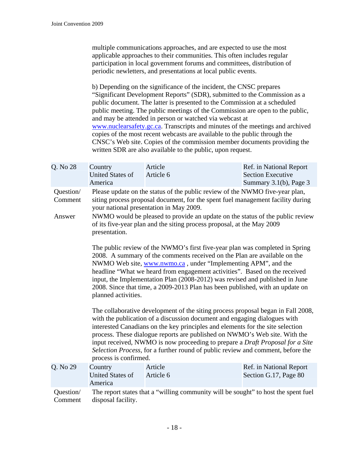multiple communications approaches, and are expected to use the most applicable approaches to their communities. This often includes regular participation in local government forums and committees, distribution of periodic newletters, and presentations at local public events.

b) Depending on the significance of the incident, the CNSC prepares "Significant Development Reports" (SDR), submitted to the Commission as a public document. The latter is presented to the Commission at a scheduled public meeting. The public meetings of the Commission are open to the public, and may be attended in person or watched via webcast at [www.nuclearsafety.gc.ca.](http://www.nuclearsafety.gc.ca/) Transcripts and minutes of the meetings and archived copies of the most recent webcasts are available to the public through the CNSC's Web site. Copies of the commission member documents providing the written SDR are also available to the public, upon request.

| Q. No 28                       | Country<br><b>United States of</b><br>America                 | Article<br>Article 6                                                                                                                                                                                                                                                                                                                                                                                                                                                                                                                                                                                                                                                                                                                                                                                                                                                                                                                                                                                                                                                                                                                                                                                                                                                                                                                                    | Ref. in National Report<br><b>Section Executive</b><br>Summary 3.1(b), Page 3 |
|--------------------------------|---------------------------------------------------------------|---------------------------------------------------------------------------------------------------------------------------------------------------------------------------------------------------------------------------------------------------------------------------------------------------------------------------------------------------------------------------------------------------------------------------------------------------------------------------------------------------------------------------------------------------------------------------------------------------------------------------------------------------------------------------------------------------------------------------------------------------------------------------------------------------------------------------------------------------------------------------------------------------------------------------------------------------------------------------------------------------------------------------------------------------------------------------------------------------------------------------------------------------------------------------------------------------------------------------------------------------------------------------------------------------------------------------------------------------------|-------------------------------------------------------------------------------|
| Question/<br>Comment<br>Answer | presentation.<br>planned activities.<br>process is confirmed. | Please update on the status of the public review of the NWMO five-year plan,<br>siting process proposal document, for the spent fuel management facility during<br>your national presentation in May 2009.<br>NWMO would be pleased to provide an update on the status of the public review<br>of its five-year plan and the siting process proposal, at the May 2009<br>The public review of the NWMO's first five-year plan was completed in Spring<br>2008. A summary of the comments received on the Plan are available on the<br>NWMO Web site, www.nwmo.ca, under "Implementing APM", and the<br>headline "What we heard from engagement activities". Based on the received<br>input, the Implementation Plan (2008-2012) was revised and published in June<br>2008. Since that time, a 2009-2013 Plan has been published, with an update on<br>The collaborative development of the siting process proposal began in Fall 2008,<br>with the publication of a discussion document and engaging dialogues with<br>interested Canadians on the key principles and elements for the site selection<br>process. These dialogue reports are published on NWMO's Web site. With the<br>input received, NWMO is now proceeding to prepare a Draft Proposal for a Site<br>Selection Process, for a further round of public review and comment, before the |                                                                               |
| Q. No 29                       | Country<br><b>United States of</b><br>America                 | Article<br>Article 6                                                                                                                                                                                                                                                                                                                                                                                                                                                                                                                                                                                                                                                                                                                                                                                                                                                                                                                                                                                                                                                                                                                                                                                                                                                                                                                                    | Ref. in National Report<br>Section G.17, Page 80                              |
| Question/<br>Comment           | disposal facility.                                            | The report states that a "willing community will be sought" to host the spent fuel                                                                                                                                                                                                                                                                                                                                                                                                                                                                                                                                                                                                                                                                                                                                                                                                                                                                                                                                                                                                                                                                                                                                                                                                                                                                      |                                                                               |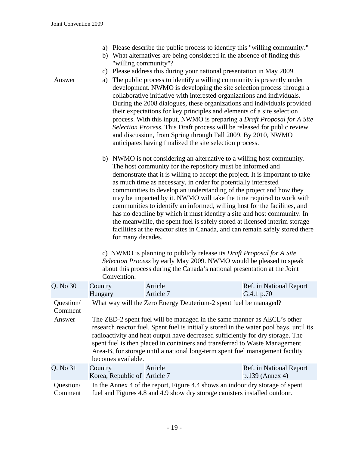- a) Please describe the public process to identify this "willing community."
- b) What alternatives are being considered in the absence of finding this "willing community"?
- c) Please address this during your national presentation in May 2009.
- Answer a) The public process to identify a willing community is presently under development. NWMO is developing the site selection process through a collaborative initiative with interested organizations and individuals. During the 2008 dialogues, these organizations and individuals provided their expectations for key principles and elements of a site selection process. With this input, NWMO is preparing a *Draft Proposal for A Site Selection Process.* This Draft process will be released for public review and discussion, from Spring through Fall 2009. By 2010, NWMO anticipates having finalized the site selection process.
	- b) NWMO is not considering an alternative to a willing host community. The host community for the repository must be informed and demonstrate that it is willing to accept the project. It is important to take as much time as necessary, in order for potentially interested communities to develop an understanding of the project and how they may be impacted by it. NWMO will take the time required to work with communities to identify an informed, willing host for the facilities, and has no deadline by which it must identify a site and host community. In the meanwhile, the spent fuel is safely stored at licensed interim storage facilities at the reactor sites in Canada, and can remain safely stored there for many decades.

c) NWMO is planning to publicly release its *Draft Proposal for A Site Selection Process* by early May 2009. NWMO would be pleased to speak about this process during the Canada's national presentation at the Joint Convention.

| Q. No 30             | Country<br>Hungary                                                                                                                                          | Article<br>Article 7                                                                                                                                                                                                                                                                                                                                                                                                 | Ref. in National Report<br>G.4.1 p.70        |  |
|----------------------|-------------------------------------------------------------------------------------------------------------------------------------------------------------|----------------------------------------------------------------------------------------------------------------------------------------------------------------------------------------------------------------------------------------------------------------------------------------------------------------------------------------------------------------------------------------------------------------------|----------------------------------------------|--|
| Question/<br>Comment |                                                                                                                                                             | What way will the Zero Energy Deuterium-2 spent fuel be managed?                                                                                                                                                                                                                                                                                                                                                     |                                              |  |
| Answer               | becomes available.                                                                                                                                          | The ZED-2 spent fuel will be managed in the same manner as AECL's other<br>research reactor fuel. Spent fuel is initially stored in the water pool bays, until its<br>radioactivity and heat output have decreased sufficiently for dry storage. The<br>spent fuel is then placed in containers and transferred to Waste Management<br>Area-B, for storage until a national long-term spent fuel management facility |                                              |  |
| Q. No 31             | Country<br>Korea, Republic of Article 7                                                                                                                     | Article                                                                                                                                                                                                                                                                                                                                                                                                              | Ref. in National Report<br>$p.139$ (Annex 4) |  |
| Question/<br>Comment | In the Annex 4 of the report, Figure 4.4 shows an indoor dry storage of spent<br>fuel and Figures 4.8 and 4.9 show dry storage canisters installed outdoor. |                                                                                                                                                                                                                                                                                                                                                                                                                      |                                              |  |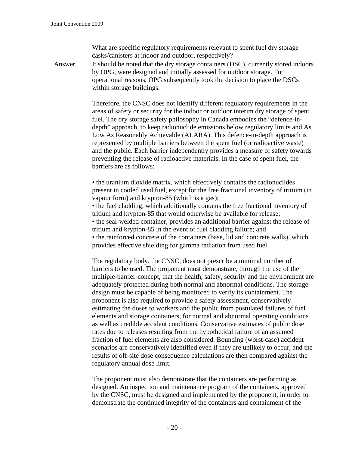What are specific regulatory requirements relevant to spent fuel dry storage casks/canisters at indoor and outdoor, respectively?

Answer It should be noted that the dry storage containers (DSC), currently stored indoors by OPG, were designed and initially assessed for outdoor storage. For operational reasons, OPG subsequently took the decision to place the DSCs within storage buildings.

> Therefore, the CNSC does not identify different regulatory requirements in the areas of safety or security for the indoor or outdoor interim dry storage of spent fuel. The dry storage safety philosophy in Canada embodies the "defence-indepth" approach, to keep radionuclide emissions below regulatory limits and As Low As Reasonably Achievable (ALARA). This defence-in-depth approach is represented by multiple barriers between the spent fuel (or radioactive waste) and the public. Each barrier independently provides a measure of safety towards preventing the release of radioactive materials. In the case of spent fuel, the barriers are as follows:

> • the uranium dioxide matrix, which effectively contains the radionuclides present in cooled used fuel, except for the free fractional inventory of tritium (in vapour form) and krypton-85 (which is a gas); • the fuel cladding, which additionally contains the free fractional inventory of tritium and krypton-85 that would otherwise be available for release; • the seal-welded container, provides an additional barrier against the release of tritium and krypton-85 in the event of fuel cladding failure; and

• the reinforced concrete of the containers (base, lid and concrete walls), which provides effective shielding for gamma radiation from used fuel.

The regulatory body, the CNSC, does not prescribe a minimal number of barriers to be used. The proponent must demonstrate, through the use of the multiple-barrier-concept, that the health, safety, security and the environment are adequately protected during both normal and abnormal conditions. The storage design must be capable of being monitored to verify its containment. The proponent is also required to provide a safety assessment, conservatively estimating the doses to workers and the public from postulated failures of fuel elements and storage containers, for normal and abnormal operating conditions as well as credible accident conditions. Conservative estimates of public dose rates due to releases resulting from the hypothetical failure of an assumed fraction of fuel elements are also considered. Bounding (worst-case) accident scenarios are conservatively identified even if they are unlikely to occur, and the results of off-site dose consequence calculations are then compared against the regulatory annual dose limit.

The proponent must also demonstrate that the containers are performing as designed. An inspection and maintenance program of the containers, approved by the CNSC, must be designed and implemented by the proponent, in order to demonstrate the continued integrity of the containers and containment of the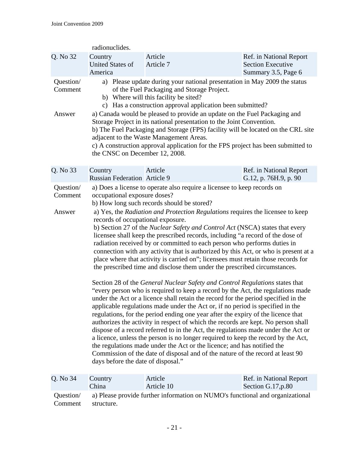|                                | radionuclides.                                                                                                                                                                                                                 |                                                                                                                                                                                                                                                                                                                                                                                                                                                                                                                                                                                                                                                                                                                                                                                                                                                                                                                                                                                                                                                                                                                                                                                                                                                                                                                                                                                                                                                                                                                                                                           |                                                                            |  |
|--------------------------------|--------------------------------------------------------------------------------------------------------------------------------------------------------------------------------------------------------------------------------|---------------------------------------------------------------------------------------------------------------------------------------------------------------------------------------------------------------------------------------------------------------------------------------------------------------------------------------------------------------------------------------------------------------------------------------------------------------------------------------------------------------------------------------------------------------------------------------------------------------------------------------------------------------------------------------------------------------------------------------------------------------------------------------------------------------------------------------------------------------------------------------------------------------------------------------------------------------------------------------------------------------------------------------------------------------------------------------------------------------------------------------------------------------------------------------------------------------------------------------------------------------------------------------------------------------------------------------------------------------------------------------------------------------------------------------------------------------------------------------------------------------------------------------------------------------------------|----------------------------------------------------------------------------|--|
| Q. No 32                       | Country<br><b>United States of</b><br>America                                                                                                                                                                                  | Article<br>Article 7                                                                                                                                                                                                                                                                                                                                                                                                                                                                                                                                                                                                                                                                                                                                                                                                                                                                                                                                                                                                                                                                                                                                                                                                                                                                                                                                                                                                                                                                                                                                                      | Ref. in National Report<br><b>Section Executive</b><br>Summary 3.5, Page 6 |  |
| Question/<br>Comment           | a) Please update during your national presentation in May 2009 the status<br>of the Fuel Packaging and Storage Project.<br>b) Where will this facility be sited?<br>c) Has a construction approval application been submitted? |                                                                                                                                                                                                                                                                                                                                                                                                                                                                                                                                                                                                                                                                                                                                                                                                                                                                                                                                                                                                                                                                                                                                                                                                                                                                                                                                                                                                                                                                                                                                                                           |                                                                            |  |
| Answer                         |                                                                                                                                                                                                                                | a) Canada would be pleased to provide an update on the Fuel Packaging and<br>Storage Project in its national presentation to the Joint Convention.<br>b) The Fuel Packaging and Storage (FPS) facility will be located on the CRL site<br>adjacent to the Waste Management Areas.<br>c) A construction approval application for the FPS project has been submitted to<br>the CNSC on December 12, 2008.                                                                                                                                                                                                                                                                                                                                                                                                                                                                                                                                                                                                                                                                                                                                                                                                                                                                                                                                                                                                                                                                                                                                                                   |                                                                            |  |
| Q. No 33                       | Country<br><b>Russian Federation Article 9</b>                                                                                                                                                                                 | Article                                                                                                                                                                                                                                                                                                                                                                                                                                                                                                                                                                                                                                                                                                                                                                                                                                                                                                                                                                                                                                                                                                                                                                                                                                                                                                                                                                                                                                                                                                                                                                   | Ref. in National Report<br>G.12, p. 76H.9, p. 90                           |  |
| Question/<br>Comment<br>Answer | occupational exposure doses?<br>records of occupational exposure.<br>days before the date of disposal."                                                                                                                        | a) Does a license to operate also require a licensee to keep records on<br>b) How long such records should be stored?<br>a) Yes, the Radiation and Protection Regulations requires the licensee to keep<br>b) Section 27 of the Nuclear Safety and Control Act (NSCA) states that every<br>licensee shall keep the prescribed records, including "a record of the dose of<br>radiation received by or committed to each person who performs duties in<br>connection with any activity that is authorized by this Act, or who is present at a<br>place where that activity is carried on"; licensees must retain those records for<br>the prescribed time and disclose them under the prescribed circumstances.<br>Section 28 of the General Nuclear Safety and Control Regulations states that<br>"every person who is required to keep a record by the Act, the regulations made<br>under the Act or a licence shall retain the record for the period specified in the<br>applicable regulations made under the Act or, if no period is specified in the<br>regulations, for the period ending one year after the expiry of the licence that<br>authorizes the activity in respect of which the records are kept. No person shall<br>dispose of a record referred to in the Act, the regulations made under the Act or<br>a licence, unless the person is no longer required to keep the record by the Act,<br>the regulations made under the Act or the licence; and has notified the<br>Commission of the date of disposal and of the nature of the record at least 90 |                                                                            |  |
| Q. No 34                       | Country<br>China                                                                                                                                                                                                               | Article<br>Article 10                                                                                                                                                                                                                                                                                                                                                                                                                                                                                                                                                                                                                                                                                                                                                                                                                                                                                                                                                                                                                                                                                                                                                                                                                                                                                                                                                                                                                                                                                                                                                     | Ref. in National Report<br>Section G.17, p.80                              |  |
| Question/                      |                                                                                                                                                                                                                                | a) Please provide further information on NUMO's functional and organizational                                                                                                                                                                                                                                                                                                                                                                                                                                                                                                                                                                                                                                                                                                                                                                                                                                                                                                                                                                                                                                                                                                                                                                                                                                                                                                                                                                                                                                                                                             |                                                                            |  |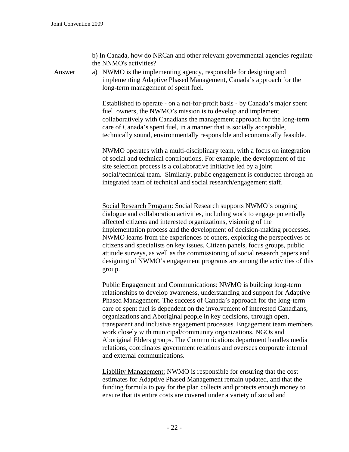b) In Canada, how do NRCan and other relevant governmental agencies regulate the NNMO's activities?

Answer a) NWMO is the implementing agency, responsible for designing and implementing Adaptive Phased Management, Canada's approach for the long-term management of spent fuel.

> Established to operate - on a not-for-profit basis - by Canada's major spent fuel owners, the NWMO's mission is to develop and implement collaboratively with Canadians the management approach for the long-term care of Canada's spent fuel, in a manner that is socially acceptable, technically sound, environmentally responsible and economically feasible.

NWMO operates with a multi-disciplinary team, with a focus on integration of social and technical contributions. For example, the development of the site selection process is a collaborative initiative led by a joint social/technical team. Similarly, public engagement is conducted through an integrated team of technical and social research/engagement staff.

Social Research Program: Social Research supports NWMO's ongoing dialogue and collaboration activities, including work to engage potentially affected citizens and interested organizations, visioning of the implementation process and the development of decision-making processes. NWMO learns from the experiences of others, exploring the perspectives of citizens and specialists on key issues. Citizen panels, focus groups, public attitude surveys, as well as the commissioning of social research papers and designing of NWMO's engagement programs are among the activities of this group.

Public Engagement and Communications: NWMO is building long-term relationships to develop awareness, understanding and support for Adaptive Phased Management. The success of Canada's approach for the long-term care of spent fuel is dependent on the involvement of interested Canadians, organizations and Aboriginal people in key decisions, through open, transparent and inclusive engagement processes. Engagement team members work closely with municipal/community organizations, NGOs and Aboriginal Elders groups. The Communications department handles media relations, coordinates government relations and oversees corporate internal and external communications.

Liability Management: NWMO is responsible for ensuring that the cost estimates for Adaptive Phased Management remain updated, and that the funding formula to pay for the plan collects and protects enough money to ensure that its entire costs are covered under a variety of social and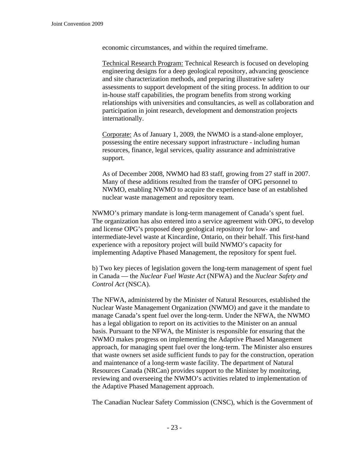economic circumstances, and within the required timeframe.

Technical Research Program: Technical Research is focused on developing engineering designs for a deep geological repository, advancing geoscience and site characterization methods, and preparing illustrative safety assessments to support development of the siting process. In addition to our in-house staff capabilities, the program benefits from strong working relationships with universities and consultancies, as well as collaboration and participation in joint research, development and demonstration projects internationally.

Corporate: As of January 1, 2009, the NWMO is a stand-alone employer, possessing the entire necessary support infrastructure - including human resources, finance, legal services, quality assurance and administrative support.

As of December 2008, NWMO had 83 staff, growing from 27 staff in 2007. Many of these additions resulted from the transfer of OPG personnel to NWMO, enabling NWMO to acquire the experience base of an established nuclear waste management and repository team.

NWMO's primary mandate is long-term management of Canada's spent fuel. The organization has also entered into a service agreement with OPG, to develop and license OPG's proposed deep geological repository for low- and intermediate-level waste at Kincardine, Ontario, on their behalf. This first-hand experience with a repository project will build NWMO's capacity for implementing Adaptive Phased Management, the repository for spent fuel.

b) Two key pieces of legislation govern the long-term management of spent fuel in Canada — the *Nuclear Fuel Waste Act* (NFWA) and the *Nuclear Safety and Control Act* (NSCA).

The NFWA, administered by the Minister of Natural Resources, established the Nuclear Waste Management Organization (NWMO) and gave it the mandate to manage Canada's spent fuel over the long-term. Under the NFWA, the NWMO has a legal obligation to report on its activities to the Minister on an annual basis. Pursuant to the NFWA, the Minister is responsible for ensuring that the NWMO makes progress on implementing the Adaptive Phased Management approach, for managing spent fuel over the long-term. The Minister also ensures that waste owners set aside sufficient funds to pay for the construction, operation and maintenance of a long-term waste facility. The department of Natural Resources Canada (NRCan) provides support to the Minister by monitoring, reviewing and overseeing the NWMO's activities related to implementation of the Adaptive Phased Management approach.

The Canadian Nuclear Safety Commission (CNSC), which is the Government of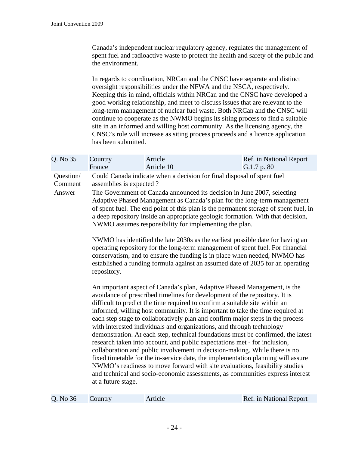Canada's independent nuclear regulatory agency, regulates the management of spent fuel and radioactive waste to protect the health and safety of the public and the environment.

In regards to coordination, NRCan and the CNSC have separate and distinct oversight responsibilities under the NFWA and the NSCA, respectively. Keeping this in mind, officials within NRCan and the CNSC have developed a good working relationship, and meet to discuss issues that are relevant to the long-term management of nuclear fuel waste. Both NRCan and the CNSC will continue to cooperate as the NWMO begins its siting process to find a suitable site in an informed and willing host community. As the licensing agency, the CNSC's role will increase as siting process proceeds and a licence application has been submitted.

| Q. No 35                       | Country<br>France                                                                                                                                                                                                                                                                                                                                                                                                                                                                                                                                                                                                                                                                                                                                                                                                                                                                                                                                                                                           | Article<br>Article 10 | Ref. in National Report<br>G.1.7 p. 80 |  |
|--------------------------------|-------------------------------------------------------------------------------------------------------------------------------------------------------------------------------------------------------------------------------------------------------------------------------------------------------------------------------------------------------------------------------------------------------------------------------------------------------------------------------------------------------------------------------------------------------------------------------------------------------------------------------------------------------------------------------------------------------------------------------------------------------------------------------------------------------------------------------------------------------------------------------------------------------------------------------------------------------------------------------------------------------------|-----------------------|----------------------------------------|--|
| Question/<br>Comment<br>Answer | Could Canada indicate when a decision for final disposal of spent fuel<br>assemblies is expected?<br>The Government of Canada announced its decision in June 2007, selecting<br>Adaptive Phased Management as Canada's plan for the long-term management<br>of spent fuel. The end point of this plan is the permanent storage of spent fuel, in<br>a deep repository inside an appropriate geologic formation. With that decision,<br>NWMO assumes responsibility for implementing the plan.                                                                                                                                                                                                                                                                                                                                                                                                                                                                                                               |                       |                                        |  |
|                                | NWMO has identified the late 2030s as the earliest possible date for having an<br>operating repository for the long-term management of spent fuel. For financial<br>conservatism, and to ensure the funding is in place when needed, NWMO has<br>established a funding formula against an assumed date of 2035 for an operating<br>repository.                                                                                                                                                                                                                                                                                                                                                                                                                                                                                                                                                                                                                                                              |                       |                                        |  |
|                                | An important aspect of Canada's plan, Adaptive Phased Management, is the<br>avoidance of prescribed timelines for development of the repository. It is<br>difficult to predict the time required to confirm a suitable site within an<br>informed, willing host community. It is important to take the time required at<br>each step stage to collaboratively plan and confirm major steps in the process<br>with interested individuals and organizations, and through technology<br>demonstration. At each step, technical foundations must be confirmed, the latest<br>research taken into account, and public expectations met - for inclusion,<br>collaboration and public involvement in decision-making. While there is no<br>fixed timetable for the in-service date, the implementation planning will assure<br>NWMO's readiness to move forward with site evaluations, feasibility studies<br>and technical and socio-economic assessments, as communities express interest<br>at a future stage. |                       |                                        |  |

| Q. No 36 | Cou |
|----------|-----|
|----------|-----|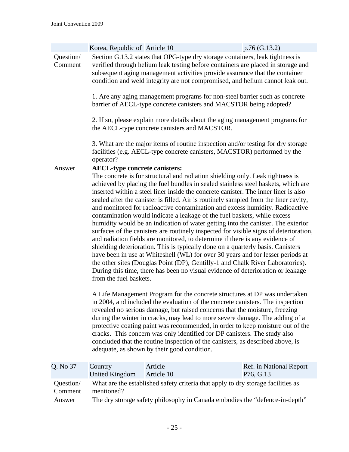|                      | Korea, Republic of Article 10                                  |                                                                                                                                                                                                                                                                                                                                                                                                                                                                                                                                                                                                                                                                                                                                                                                                                                                                                                                                                                                                                                                                                                                                                                                                      | p.76 (G.13.2)                        |
|----------------------|----------------------------------------------------------------|------------------------------------------------------------------------------------------------------------------------------------------------------------------------------------------------------------------------------------------------------------------------------------------------------------------------------------------------------------------------------------------------------------------------------------------------------------------------------------------------------------------------------------------------------------------------------------------------------------------------------------------------------------------------------------------------------------------------------------------------------------------------------------------------------------------------------------------------------------------------------------------------------------------------------------------------------------------------------------------------------------------------------------------------------------------------------------------------------------------------------------------------------------------------------------------------------|--------------------------------------|
| Question/<br>Comment |                                                                | Section G.13.2 states that OPG-type dry storage containers, leak tightness is<br>verified through helium leak testing before containers are placed in storage and<br>subsequent aging management activities provide assurance that the container<br>condition and weld integrity are not compromised, and helium cannot leak out.                                                                                                                                                                                                                                                                                                                                                                                                                                                                                                                                                                                                                                                                                                                                                                                                                                                                    |                                      |
|                      |                                                                | 1. Are any aging management programs for non-steel barrier such as concrete<br>barrier of AECL-type concrete canisters and MACSTOR being adopted?                                                                                                                                                                                                                                                                                                                                                                                                                                                                                                                                                                                                                                                                                                                                                                                                                                                                                                                                                                                                                                                    |                                      |
|                      |                                                                | 2. If so, please explain more details about the aging management programs for<br>the AECL-type concrete canisters and MACSTOR.                                                                                                                                                                                                                                                                                                                                                                                                                                                                                                                                                                                                                                                                                                                                                                                                                                                                                                                                                                                                                                                                       |                                      |
|                      | operator?                                                      | 3. What are the major items of routine inspection and/or testing for dry storage<br>facilities (e.g. AECL-type concrete canisters, MACSTOR) performed by the                                                                                                                                                                                                                                                                                                                                                                                                                                                                                                                                                                                                                                                                                                                                                                                                                                                                                                                                                                                                                                         |                                      |
| Answer               | <b>AECL-type concrete canisters:</b><br>from the fuel baskets. | The concrete is for structural and radiation shielding only. Leak tightness is<br>achieved by placing the fuel bundles in sealed stainless steel baskets, which are<br>inserted within a steel liner inside the concrete canister. The inner liner is also<br>sealed after the canister is filled. Air is routinely sampled from the liner cavity,<br>and monitored for radioactive contamination and excess humidity. Radioactive<br>contamination would indicate a leakage of the fuel baskets, while excess<br>humidity would be an indication of water getting into the canister. The exterior<br>surfaces of the canisters are routinely inspected for visible signs of deterioration,<br>and radiation fields are monitored, to determine if there is any evidence of<br>shielding deterioration. This is typically done on a quarterly basis. Canisters<br>have been in use at Whiteshell (WL) for over 30 years and for lesser periods at<br>the other sites (Douglas Point (DP), Gentilly-1 and Chalk River Laboratories).<br>During this time, there has been no visual evidence of deterioration or leakage<br>A Life Management Program for the concrete structures at DP was undertaken |                                      |
|                      |                                                                | in 2004, and included the evaluation of the concrete canisters. The inspection<br>revealed no serious damage, but raised concerns that the moisture, freezing<br>during the winter in cracks, may lead to more severe damage. The adding of a<br>protective coating paint was recommended, in order to keep moisture out of the<br>cracks. This concern was only identified for DP canisters. The study also<br>concluded that the routine inspection of the canisters, as described above, is<br>adequate, as shown by their good condition.                                                                                                                                                                                                                                                                                                                                                                                                                                                                                                                                                                                                                                                        |                                      |
| Q. No 37             | Country<br><b>United Kingdom</b>                               | Article<br>Article 10                                                                                                                                                                                                                                                                                                                                                                                                                                                                                                                                                                                                                                                                                                                                                                                                                                                                                                                                                                                                                                                                                                                                                                                | Ref. in National Report<br>P76, G.13 |
| Question/<br>Comment | mentioned?                                                     | What are the established safety criteria that apply to dry storage facilities as                                                                                                                                                                                                                                                                                                                                                                                                                                                                                                                                                                                                                                                                                                                                                                                                                                                                                                                                                                                                                                                                                                                     |                                      |
| Answer               |                                                                | The dry storage safety philosophy in Canada embodies the "defence-in-depth"                                                                                                                                                                                                                                                                                                                                                                                                                                                                                                                                                                                                                                                                                                                                                                                                                                                                                                                                                                                                                                                                                                                          |                                      |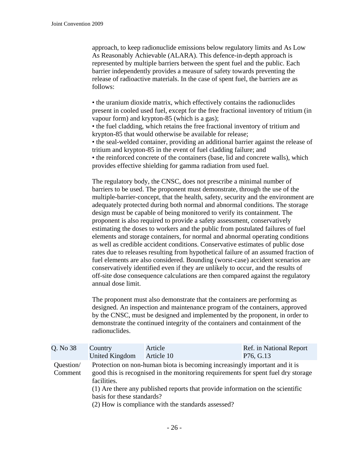approach, to keep radionuclide emissions below regulatory limits and As Low As Reasonably Achievable (ALARA). This defence-in-depth approach is represented by multiple barriers between the spent fuel and the public. Each barrier independently provides a measure of safety towards preventing the release of radioactive materials. In the case of spent fuel, the barriers are as follows:

• the uranium dioxide matrix, which effectively contains the radionuclides present in cooled used fuel, except for the free fractional inventory of tritium (in vapour form) and krypton-85 (which is a gas);

• the fuel cladding, which retains the free fractional inventory of tritium and krypton-85 that would otherwise be available for release;

• the seal-welded container, providing an additional barrier against the release of tritium and krypton-85 in the event of fuel cladding failure; and

• the reinforced concrete of the containers (base, lid and concrete walls), which provides effective shielding for gamma radiation from used fuel.

The regulatory body, the CNSC, does not prescribe a minimal number of barriers to be used. The proponent must demonstrate, through the use of the multiple-barrier-concept, that the health, safety, security and the environment are adequately protected during both normal and abnormal conditions. The storage design must be capable of being monitored to verify its containment. The proponent is also required to provide a safety assessment, conservatively estimating the doses to workers and the public from postulated failures of fuel elements and storage containers, for normal and abnormal operating conditions as well as credible accident conditions. Conservative estimates of public dose rates due to releases resulting from hypothetical failure of an assumed fraction of fuel elements are also considered. Bounding (worst-case) accident scenarios are conservatively identified even if they are unlikely to occur, and the results of off-site dose consequence calculations are then compared against the regulatory annual dose limit.

The proponent must also demonstrate that the containers are performing as designed. An inspection and maintenance program of the containers, approved by the CNSC, must be designed and implemented by the proponent, in order to demonstrate the continued integrity of the containers and containment of the radionuclides.

| Q. No 38             | Country<br>United Kingdom                                                                                                                                                      | Article<br>Article 10 | Ref. in National Report<br>P76, G.13 |  |
|----------------------|--------------------------------------------------------------------------------------------------------------------------------------------------------------------------------|-----------------------|--------------------------------------|--|
| Question/<br>Comment | Protection on non-human biota is becoming increasingly important and it is<br>good this is recognised in the monitoring requirements for spent fuel dry storage<br>facilities. |                       |                                      |  |
|                      | (1) Are there any published reports that provide information on the scientific<br>basis for these standards?<br>(2) How is compliance with the standards assessed?             |                       |                                      |  |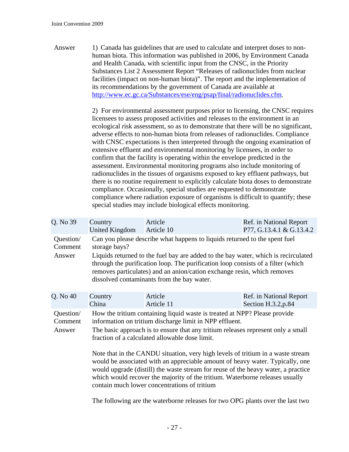Answer 1) Canada has guidelines that are used to calculate and interpret doses to nonhuman biota. This information was published in 2006, by Environment Canada and Health Canada, with scientific input from the CNSC, in the Priority Substances List 2 Assessment Report "Releases of radionuclides from nuclear facilities (impact on non-human biota)". The report and the implementation of its recommendations by the government of Canada are available at <http://www.ec.gc.ca/Substances/ese/eng/psap/final/radionuclides.cfm>.

> 2) For environmental assessment purposes prior to licensing, the CNSC requires licensees to assess proposed activities and releases to the environment in an ecological risk assessment, so as to demonstrate that there will be no significant, adverse effects to non-human biota from releases of radionuclides. Compliance with CNSC expectations is then interpreted through the ongoing examination of extensive effluent and environmental monitoring by licensees, in order to confirm that the facility is operating within the envelope predicted in the assessment. Environmental monitoring programs also include monitoring of radionuclides in the tissues of organisms exposed to key effluent pathways, but there is no routine requirement to explicitly calculate biota doses to demonstrate compliance. Occasionally, special studies are requested to demonstrate compliance where radiation exposure of organisms is difficult to quantify; these special studies may include biological effects monitoring.

| Q. No 39             | Country<br>United Kingdom                                                                                                                                                                                                                                                                                                                                                             | Article<br>Article 10 | Ref. in National Report<br>P77, G.13.4.1 & G.13.4.2 |  |
|----------------------|---------------------------------------------------------------------------------------------------------------------------------------------------------------------------------------------------------------------------------------------------------------------------------------------------------------------------------------------------------------------------------------|-----------------------|-----------------------------------------------------|--|
| Question/<br>Comment | Can you please describe what happens to liquids returned to the spent fuel<br>storage bays?                                                                                                                                                                                                                                                                                           |                       |                                                     |  |
| Answer               | Liquids returned to the fuel bay are added to the bay water, which is recirculated<br>through the purification loop. The purification loop consists of a filter (which<br>removes particulates) and an anion/cation exchange resin, which removes<br>dissolved contaminants from the bay water.                                                                                       |                       |                                                     |  |
| Q. No 40             | Country<br>China                                                                                                                                                                                                                                                                                                                                                                      | Article<br>Article 11 | Ref. in National Report<br>Section H.3.2, p.84      |  |
| Question/<br>Comment | How the tritium containing liquid waste is treated at NPP? Please provide<br>information on tritium discharge limit in NPP effluent.                                                                                                                                                                                                                                                  |                       |                                                     |  |
| Answer               | The basic approach is to ensure that any tritium releases represent only a small<br>fraction of a calculated allowable dose limit.                                                                                                                                                                                                                                                    |                       |                                                     |  |
|                      | Note that in the CANDU situation, very high levels of tritium in a waste stream<br>would be associated with an appreciable amount of heavy water. Typically, one<br>would upgrade (distill) the waste stream for reuse of the heavy water, a practice<br>which would recover the majority of the tritium. Waterborne releases usually<br>contain much lower concentrations of tritium |                       |                                                     |  |
|                      |                                                                                                                                                                                                                                                                                                                                                                                       |                       |                                                     |  |

The following are the waterborne releases for two OPG plants over the last two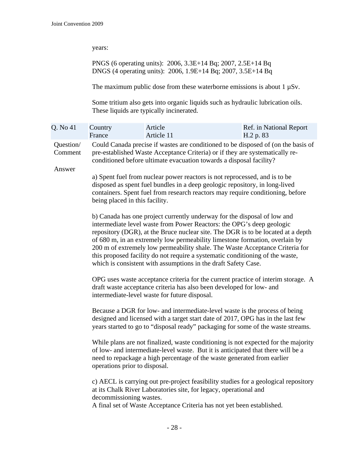years:

PNGS (6 operating units): 2006, 3.3E+14 Bq; 2007, 2.5E+14 Bq DNGS (4 operating units): 2006, 1.9E+14 Bq; 2007, 3.5E+14 Bq

The maximum public dose from these waterborne emissions is about  $1 \mu Sv$ .

Some tritium also gets into organic liquids such as hydraulic lubrication oils. These liquids are typically incinerated.

| Q. No 41             | Country<br>France                                                                                                                                                                                                                                                                                                                                                                                                                                                                                                                                       | Article<br>Article 11 | Ref. in National Report<br>H.2 p. 83                                                                                                                                                                                                     |  |  |
|----------------------|---------------------------------------------------------------------------------------------------------------------------------------------------------------------------------------------------------------------------------------------------------------------------------------------------------------------------------------------------------------------------------------------------------------------------------------------------------------------------------------------------------------------------------------------------------|-----------------------|------------------------------------------------------------------------------------------------------------------------------------------------------------------------------------------------------------------------------------------|--|--|
| Question/<br>Comment |                                                                                                                                                                                                                                                                                                                                                                                                                                                                                                                                                         |                       | Could Canada precise if wastes are conditioned to be disposed of (on the basis of<br>pre-established Waste Acceptance Criteria) or if they are systematically re-<br>conditioned before ultimate evacuation towards a disposal facility? |  |  |
| Answer               | a) Spent fuel from nuclear power reactors is not reprocessed, and is to be<br>disposed as spent fuel bundles in a deep geologic repository, in long-lived<br>containers. Spent fuel from research reactors may require conditioning, before<br>being placed in this facility.                                                                                                                                                                                                                                                                           |                       |                                                                                                                                                                                                                                          |  |  |
|                      | b) Canada has one project currently underway for the disposal of low and<br>intermediate level waste from Power Reactors: the OPG's deep geologic<br>repository (DGR), at the Bruce nuclear site. The DGR is to be located at a depth<br>of 680 m, in an extremely low permeability limestone formation, overlain by<br>200 m of extremely low permeability shale. The Waste Acceptance Criteria for<br>this proposed facility do not require a systematic conditioning of the waste,<br>which is consistent with assumptions in the draft Safety Case. |                       |                                                                                                                                                                                                                                          |  |  |
|                      | OPG uses waste acceptance criteria for the current practice of interim storage. A<br>draft waste acceptance criteria has also been developed for low- and<br>intermediate-level waste for future disposal.                                                                                                                                                                                                                                                                                                                                              |                       |                                                                                                                                                                                                                                          |  |  |
|                      | Because a DGR for low- and intermediate-level waste is the process of being<br>designed and licensed with a target start date of 2017, OPG has in the last few<br>years started to go to "disposal ready" packaging for some of the waste streams.<br>While plans are not finalized, waste conditioning is not expected for the majority<br>of low- and intermediate-level waste. But it is anticipated that there will be a<br>need to repackage a high percentage of the waste generated from earlier<br>operations prior to disposal.                |                       |                                                                                                                                                                                                                                          |  |  |
|                      |                                                                                                                                                                                                                                                                                                                                                                                                                                                                                                                                                         |                       |                                                                                                                                                                                                                                          |  |  |
|                      | c) AECL is carrying out pre-project feasibility studies for a geological repository<br>at its Chalk River Laboratories site, for legacy, operational and<br>A final set of Waste Acceptance Criteria has not yet been established.                                                                                                                                                                                                                                                                                                                      |                       |                                                                                                                                                                                                                                          |  |  |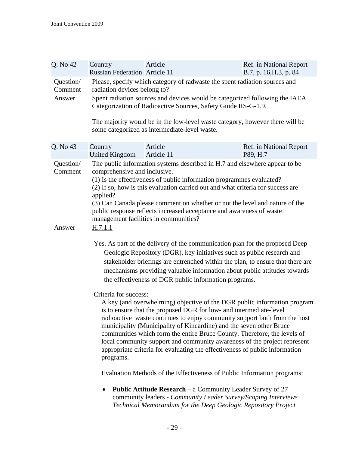| Q. No 42             | Country<br><b>Russian Federation Article 11</b>                                                                                                                                                                                                                                                                                                                                                                                                                                                                                                                                                                                                                                                                                                                                                                                                                                                                                                                  | Article                                                                                                                                                                                              | Ref. in National Report<br>B.7, p. 16, H.3, p. 84 |  |
|----------------------|------------------------------------------------------------------------------------------------------------------------------------------------------------------------------------------------------------------------------------------------------------------------------------------------------------------------------------------------------------------------------------------------------------------------------------------------------------------------------------------------------------------------------------------------------------------------------------------------------------------------------------------------------------------------------------------------------------------------------------------------------------------------------------------------------------------------------------------------------------------------------------------------------------------------------------------------------------------|------------------------------------------------------------------------------------------------------------------------------------------------------------------------------------------------------|---------------------------------------------------|--|
| Question/<br>Comment | Please, specify which category of radwaste the spent radiation sources and<br>radiation devices belong to?                                                                                                                                                                                                                                                                                                                                                                                                                                                                                                                                                                                                                                                                                                                                                                                                                                                       |                                                                                                                                                                                                      |                                                   |  |
| Answer               |                                                                                                                                                                                                                                                                                                                                                                                                                                                                                                                                                                                                                                                                                                                                                                                                                                                                                                                                                                  | Spent radiation sources and devices would be categorized following the IAEA<br>Categorization of Radioactive Sources, Safety Guide RS-G-1.9.                                                         |                                                   |  |
|                      |                                                                                                                                                                                                                                                                                                                                                                                                                                                                                                                                                                                                                                                                                                                                                                                                                                                                                                                                                                  | The majority would be in the low-level waste category, however there will be<br>some categorized as intermediate-level waste.                                                                        |                                                   |  |
| Q. No 43             | Country<br><b>United Kingdom</b>                                                                                                                                                                                                                                                                                                                                                                                                                                                                                                                                                                                                                                                                                                                                                                                                                                                                                                                                 | Article<br>Article 11                                                                                                                                                                                | Ref. in National Report<br>P89, H.7               |  |
| Question/<br>Comment | The public information systems described in H.7 and elsewhere appear to be<br>comprehensive and inclusive.<br>(1) Is the effectiveness of public information programmes evaluated?<br>(2) If so, how is this evaluation carried out and what criteria for success are<br>applied?<br>(3) Can Canada please comment on whether or not the level and nature of the                                                                                                                                                                                                                                                                                                                                                                                                                                                                                                                                                                                                 |                                                                                                                                                                                                      |                                                   |  |
|                      |                                                                                                                                                                                                                                                                                                                                                                                                                                                                                                                                                                                                                                                                                                                                                                                                                                                                                                                                                                  | public response reflects increased acceptance and awareness of waste<br>management facilities in communities?                                                                                        |                                                   |  |
| Answer               | <u>H.7.1.1</u>                                                                                                                                                                                                                                                                                                                                                                                                                                                                                                                                                                                                                                                                                                                                                                                                                                                                                                                                                   |                                                                                                                                                                                                      |                                                   |  |
|                      | Yes. As part of the delivery of the communication plan for the proposed Deep<br>Geologic Repository (DGR), key initiatives such as public research and<br>stakeholder briefings are entrenched within the plan, to ensure that there are<br>mechanisms providing valuable information about public attitudes towards<br>the effectiveness of DGR public information programs.<br>Criteria for success:<br>A key (and overwhelming) objective of the DGR public information program<br>is to ensure that the proposed DGR for low- and intermediate-level<br>radioactive waste continues to enjoy community support both from the host<br>municipality (Municipality of Kincardine) and the seven other Bruce<br>communities which form the entire Bruce County. Therefore, the levels of<br>local community support and community awareness of the project represent<br>appropriate criteria for evaluating the effectiveness of public information<br>programs. |                                                                                                                                                                                                      |                                                   |  |
|                      |                                                                                                                                                                                                                                                                                                                                                                                                                                                                                                                                                                                                                                                                                                                                                                                                                                                                                                                                                                  |                                                                                                                                                                                                      |                                                   |  |
|                      | Evaluation Methods of the Effectiveness of Public Information programs:                                                                                                                                                                                                                                                                                                                                                                                                                                                                                                                                                                                                                                                                                                                                                                                                                                                                                          |                                                                                                                                                                                                      |                                                   |  |
|                      |                                                                                                                                                                                                                                                                                                                                                                                                                                                                                                                                                                                                                                                                                                                                                                                                                                                                                                                                                                  | <b>Public Attitude Research – a Community Leader Survey of 27</b><br>community leaders - Community Leader Survey/Scoping Interviews<br>Technical Memorandum for the Deep Geologic Repository Project |                                                   |  |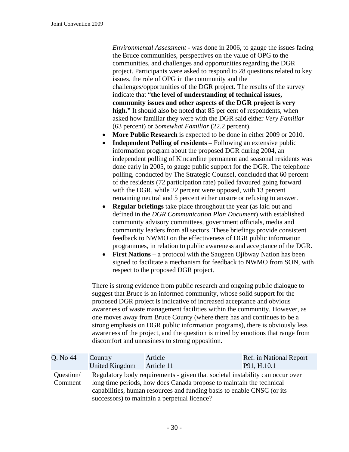*Environmental Assessment* - was done in 2006, to gauge the issues facing the Bruce communities, perspectives on the value of OPG to the communities, and challenges and opportunities regarding the DGR project. Participants were asked to respond to 28 questions related to key issues, the role of OPG in the community and the challenges/opportunities of the DGR project. The results of the survey indicate that "**the level of understanding of technical issues, community issues and other aspects of the DGR project is very high."** It should also be noted that 85 per cent of respondents, when asked how familiar they were with the DGR said either *Very Familiar* (63 percent) or *Somewhat Familiar* (22.2 percent).

- **More Public Research** is expected to be done in either 2009 or 2010.
- **Independent Polling of residents** Following an extensive public information program about the proposed DGR during 2004, an independent polling of Kincardine permanent and seasonal residents was done early in 2005, to gauge public support for the DGR. The telephone polling, conducted by The Strategic Counsel, concluded that 60 percent of the residents (72 participation rate) polled favoured going forward with the DGR, while 22 percent were opposed, with 13 percent remaining neutral and 5 percent either unsure or refusing to answer.
- **Regular briefings** take place throughout the year (as laid out and defined in the *DGR Communication Plan Document*) with established community advisory committees, government officials, media and community leaders from all sectors. These briefings provide consistent feedback to NWMO on the effectiveness of DGR public information programmes, in relation to public awareness and acceptance of the DGR.
- **First Nations** a protocol with the Saugeen Ojibway Nation has been signed to facilitate a mechanism for feedback to NWMO from SON, with respect to the proposed DGR project.

There is strong evidence from public research and ongoing public dialogue to suggest that Bruce is an informed community, whose solid support for the proposed DGR project is indicative of increased acceptance and obvious awareness of waste management facilities within the community. However, as one moves away from Bruce County (where there has and continues to be a strong emphasis on DGR public information programs), there is obviously less awareness of the project, and the question is mired by emotions that range from discomfort and uneasiness to strong opposition.

| Q. No 44             | Country                                                                                                                                                                                                                                                                         | Article    | Ref. in National Report |
|----------------------|---------------------------------------------------------------------------------------------------------------------------------------------------------------------------------------------------------------------------------------------------------------------------------|------------|-------------------------|
|                      | <b>United Kingdom</b>                                                                                                                                                                                                                                                           | Article 11 | P91, H.10.1             |
| Question/<br>Comment | Regulatory body requirements - given that societal instability can occur over<br>long time periods, how does Canada propose to maintain the technical<br>capabilities, human resources and funding basis to enable CNSC (or its<br>successors) to maintain a perpetual licence? |            |                         |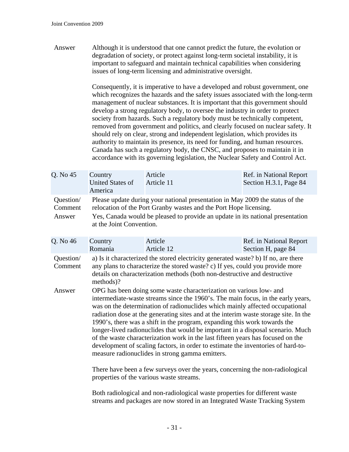Answer Although it is understood that one cannot predict the future, the evolution or degradation of society, or protect against long-term societal instability, it is important to safeguard and maintain technical capabilities when considering issues of long-term licensing and administrative oversight.

> Consequently, it is imperative to have a developed and robust government, one which recognizes the hazards and the safety issues associated with the long-term management of nuclear substances. It is important that this government should develop a strong regulatory body, to oversee the industry in order to protect society from hazards. Such a regulatory body must be technically competent, removed from government and politics, and clearly focused on nuclear safety. It should rely on clear, strong and independent legislation, which provides its authority to maintain its presence, its need for funding, and human resources. Canada has such a regulatory body, the CNSC, and proposes to maintain it in accordance with its governing legislation, the Nuclear Safety and Control Act.

| Q. No 45             | Country                                                                                                                                            | Article    | Ref. in National Report |
|----------------------|----------------------------------------------------------------------------------------------------------------------------------------------------|------------|-------------------------|
|                      | United States of                                                                                                                                   | Article 11 | Section H.3.1, Page 84  |
|                      | America                                                                                                                                            |            |                         |
| Question/<br>Comment | Please update during your national presentation in May 2009 the status of the<br>relocation of the Port Granby wastes and the Port Hope licensing. |            |                         |
| Answer               | Yes, Canada would be pleased to provide an update in its national presentation<br>at the Joint Convention.                                         |            |                         |

| Q. No 46             | Country<br>Romania                                                                                                                                                                                                                                                                                                                                                                                                                                                                                                                                                                                                                                                                                                                    | Article<br>Article 12 | Ref. in National Report<br>Section H, page 84 |  |
|----------------------|---------------------------------------------------------------------------------------------------------------------------------------------------------------------------------------------------------------------------------------------------------------------------------------------------------------------------------------------------------------------------------------------------------------------------------------------------------------------------------------------------------------------------------------------------------------------------------------------------------------------------------------------------------------------------------------------------------------------------------------|-----------------------|-----------------------------------------------|--|
| Question/<br>Comment | a) Is it characterized the stored electricity generated waste? b) If no, are there<br>any plans to characterize the stored waste? c) If yes, could you provide more<br>details on characterization methods (both non-destructive and destructive                                                                                                                                                                                                                                                                                                                                                                                                                                                                                      |                       |                                               |  |
| Answer               | methods)?<br>OPG has been doing some waste characterization on various low- and<br>intermediate-waste streams since the 1960's. The main focus, in the early years,<br>was on the determination of radionuclides which mainly affected occupational<br>radiation dose at the generating sites and at the interim waste storage site. In the<br>1990's, there was a shift in the program, expanding this work towards the<br>longer-lived radionuclides that would be important in a disposal scenario. Much<br>of the waste characterization work in the last fifteen years has focused on the<br>development of scaling factors, in order to estimate the inventories of hard-to-<br>measure radionuclides in strong gamma emitters. |                       |                                               |  |

There have been a few surveys over the years, concerning the non-radiological properties of the various waste streams.

Both radiological and non-radiological waste properties for different waste streams and packages are now stored in an Integrated Waste Tracking System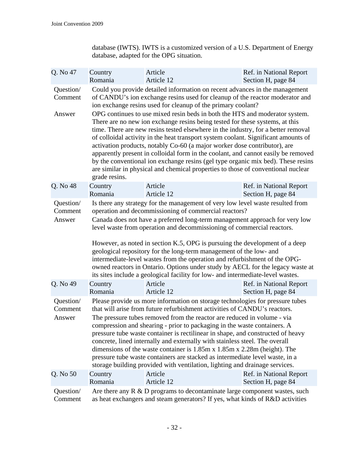database (IWTS). IWTS is a customized version of a U.S. Department of Energy database, adapted for the OPG situation.

| Q. No 47                       | Country                                                                                                                                                                                                                                                                                                                                                                                                                                                                                                                                                                                                                                                                                                                                    | Article    | Ref. in National Report |
|--------------------------------|--------------------------------------------------------------------------------------------------------------------------------------------------------------------------------------------------------------------------------------------------------------------------------------------------------------------------------------------------------------------------------------------------------------------------------------------------------------------------------------------------------------------------------------------------------------------------------------------------------------------------------------------------------------------------------------------------------------------------------------------|------------|-------------------------|
|                                | Romania                                                                                                                                                                                                                                                                                                                                                                                                                                                                                                                                                                                                                                                                                                                                    | Article 12 | Section H, page 84      |
| Question/<br>Comment           | Could you provide detailed information on recent advances in the management<br>of CANDU's ion exchange resins used for cleanup of the reactor moderator and<br>ion exchange resins used for cleanup of the primary coolant?                                                                                                                                                                                                                                                                                                                                                                                                                                                                                                                |            |                         |
| Answer                         | OPG continues to use mixed resin beds in both the HTS and moderator system.<br>There are no new ion exchange resins being tested for these systems, at this<br>time. There are new resins tested elsewhere in the industry, for a better removal<br>of colloidal activity in the heat transport system coolant. Significant amounts of<br>activation products, notably Co-60 (a major worker dose contributor), are<br>apparently present in colloidal form in the coolant, and cannot easily be removed<br>by the conventional ion exchange resins (gel type organic mix bed). These resins<br>are similar in physical and chemical properties to those of conventional nuclear<br>grade resins.                                          |            |                         |
| Q. No 48                       | Country                                                                                                                                                                                                                                                                                                                                                                                                                                                                                                                                                                                                                                                                                                                                    | Article    | Ref. in National Report |
|                                | Romania                                                                                                                                                                                                                                                                                                                                                                                                                                                                                                                                                                                                                                                                                                                                    | Article 12 | Section H, page 84      |
| Question/<br>Comment<br>Answer | Is there any strategy for the management of very low level waste resulted from<br>operation and decommissioning of commercial reactors?<br>Canada does not have a preferred long-term management approach for very low<br>level waste from operation and decommissioning of commercial reactors.<br>However, as noted in section K.5, OPG is pursuing the development of a deep<br>geological repository for the long-term management of the low- and<br>intermediate-level wastes from the operation and refurbishment of the OPG-<br>owned reactors in Ontario. Options under study by AECL for the legacy waste at<br>its sites include a geological facility for low- and intermediate-level wastes.                                   |            |                         |
| Q. No 49                       | Country                                                                                                                                                                                                                                                                                                                                                                                                                                                                                                                                                                                                                                                                                                                                    | Article    | Ref. in National Report |
|                                | Romania                                                                                                                                                                                                                                                                                                                                                                                                                                                                                                                                                                                                                                                                                                                                    | Article 12 | Section H, page 84      |
| Question/<br>Comment<br>Answer | Please provide us more information on storage technologies for pressure tubes<br>that will arise from future refurbishment activities of CANDU's reactors.<br>The pressure tubes removed from the reactor are reduced in volume - via<br>compression and shearing - prior to packaging in the waste containers. A<br>pressure tube waste container is rectilinear in shape, and constructed of heavy<br>concrete, lined internally and externally with stainless steel. The overall<br>dimensions of the waste container is $1.85m \times 1.85m \times 2.28m$ (height). The<br>pressure tube waste containers are stacked as intermediate level waste, in a<br>storage building provided with ventilation, lighting and drainage services. |            |                         |
| Q. No 50                       | Country                                                                                                                                                                                                                                                                                                                                                                                                                                                                                                                                                                                                                                                                                                                                    | Article    | Ref. in National Report |
|                                | Romania                                                                                                                                                                                                                                                                                                                                                                                                                                                                                                                                                                                                                                                                                                                                    | Article 12 | Section H, page 84      |
| Question/                      | Are there any $R \& D$ programs to decontaminate large component wastes, such                                                                                                                                                                                                                                                                                                                                                                                                                                                                                                                                                                                                                                                              |            |                         |
| Comment                        | as heat exchangers and steam generators? If yes, what kinds of R&D activities                                                                                                                                                                                                                                                                                                                                                                                                                                                                                                                                                                                                                                                              |            |                         |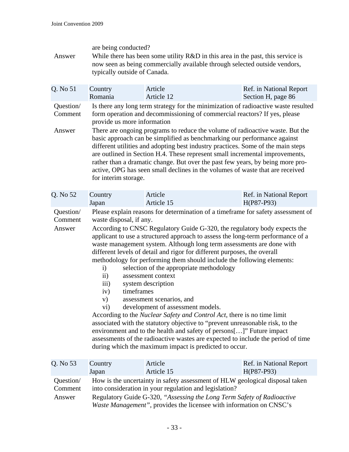| Answer                         | are being conducted?<br>While there has been some utility $R&D$ in this area in the past, this service is<br>now seen as being commercially available through selected outside vendors,<br>typically outside of Canada.                                                                                                                                                                                                                                                                                                                                                                                                                                                                                                    |                                                                                                                                                                                                                                                                                                                                                                                                                                                                                                                                                                                                                                                                                                                                                                                                                                                                                                                                                                                                                                                                              |                         |  |
|--------------------------------|----------------------------------------------------------------------------------------------------------------------------------------------------------------------------------------------------------------------------------------------------------------------------------------------------------------------------------------------------------------------------------------------------------------------------------------------------------------------------------------------------------------------------------------------------------------------------------------------------------------------------------------------------------------------------------------------------------------------------|------------------------------------------------------------------------------------------------------------------------------------------------------------------------------------------------------------------------------------------------------------------------------------------------------------------------------------------------------------------------------------------------------------------------------------------------------------------------------------------------------------------------------------------------------------------------------------------------------------------------------------------------------------------------------------------------------------------------------------------------------------------------------------------------------------------------------------------------------------------------------------------------------------------------------------------------------------------------------------------------------------------------------------------------------------------------------|-------------------------|--|
| Q. No 51                       | Country                                                                                                                                                                                                                                                                                                                                                                                                                                                                                                                                                                                                                                                                                                                    | Article                                                                                                                                                                                                                                                                                                                                                                                                                                                                                                                                                                                                                                                                                                                                                                                                                                                                                                                                                                                                                                                                      | Ref. in National Report |  |
|                                | Romania                                                                                                                                                                                                                                                                                                                                                                                                                                                                                                                                                                                                                                                                                                                    | Article 12                                                                                                                                                                                                                                                                                                                                                                                                                                                                                                                                                                                                                                                                                                                                                                                                                                                                                                                                                                                                                                                                   | Section H, page 86      |  |
| Question/<br>Comment<br>Answer | Is there any long term strategy for the minimization of radioactive waste resulted<br>form operation and decommissioning of commercial reactors? If yes, please<br>provide us more information<br>There are ongoing programs to reduce the volume of radioactive waste. But the<br>basic approach can be simplified as benchmarking our performance against<br>different utilities and adopting best industry practices. Some of the main steps<br>are outlined in Section H.4. These represent small incremental improvements,<br>rather than a dramatic change. But over the past few years, by being more pro-<br>active, OPG has seen small declines in the volumes of waste that are received<br>for interim storage. |                                                                                                                                                                                                                                                                                                                                                                                                                                                                                                                                                                                                                                                                                                                                                                                                                                                                                                                                                                                                                                                                              |                         |  |
| Q. No 52                       | Country                                                                                                                                                                                                                                                                                                                                                                                                                                                                                                                                                                                                                                                                                                                    | Article                                                                                                                                                                                                                                                                                                                                                                                                                                                                                                                                                                                                                                                                                                                                                                                                                                                                                                                                                                                                                                                                      | Ref. in National Report |  |
|                                | Japan                                                                                                                                                                                                                                                                                                                                                                                                                                                                                                                                                                                                                                                                                                                      | Article 15                                                                                                                                                                                                                                                                                                                                                                                                                                                                                                                                                                                                                                                                                                                                                                                                                                                                                                                                                                                                                                                                   | H(P87-P93)              |  |
| Question/<br>Comment<br>Answer | $\mathbf{i}$<br>$\mathbf{ii}$<br>$\overline{iii}$<br>iv)<br>V)<br>$\rm vi)$                                                                                                                                                                                                                                                                                                                                                                                                                                                                                                                                                                                                                                                | Please explain reasons for determination of a timeframe for safety assessment of<br>waste disposal, if any.<br>According to CNSC Regulatory Guide G-320, the regulatory body expects the<br>applicant to use a structured approach to assess the long-term performance of a<br>waste management system. Although long term assessments are done with<br>different levels of detail and rigor for different purposes, the overall<br>methodology for performing them should include the following elements:<br>selection of the appropriate methodology<br>assessment context<br>system description<br>timeframes<br>assessment scenarios, and<br>development of assessment models.<br>According to the <i>Nuclear Safety and Control Act</i> , there is no time limit<br>associated with the statutory objective to "prevent unreasonable risk, to the<br>environment and to the health and safety of persons[]" Future impact<br>assessments of the radioactive wastes are expected to include the period of time<br>during which the maximum impact is predicted to occur. |                         |  |
| Q. No 53                       | Country                                                                                                                                                                                                                                                                                                                                                                                                                                                                                                                                                                                                                                                                                                                    | Article                                                                                                                                                                                                                                                                                                                                                                                                                                                                                                                                                                                                                                                                                                                                                                                                                                                                                                                                                                                                                                                                      | Ref. in National Report |  |
|                                | Japan                                                                                                                                                                                                                                                                                                                                                                                                                                                                                                                                                                                                                                                                                                                      | Article 15                                                                                                                                                                                                                                                                                                                                                                                                                                                                                                                                                                                                                                                                                                                                                                                                                                                                                                                                                                                                                                                                   | H(P87-P93)              |  |

| Ouestion/ | How is the uncertainty in safety assessment of HLW geological disposal taken |
|-----------|------------------------------------------------------------------------------|
| Comment   | into consideration in your regulation and legislation?                       |
| Answer    | Regulatory Guide G-320, "Assessing the Long Term Safety of Radioactive       |
|           | <i>Waste Management"</i> , provides the licensee with information on CNSC's  |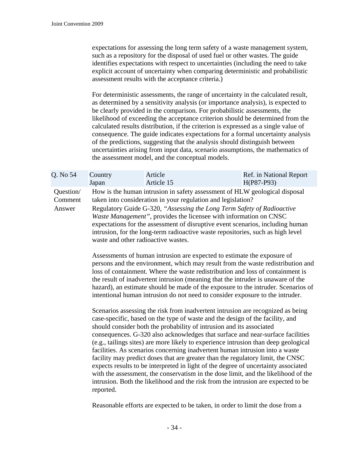expectations for assessing the long term safety of a waste management system, such as a repository for the disposal of used fuel or other wastes. The guide identifies expectations with respect to uncertainties (including the need to take explicit account of uncertainty when comparing deterministic and probabilistic assessment results with the acceptance criteria.)

For deterministic assessments, the range of uncertainty in the calculated result, as determined by a sensitivity analysis (or importance analysis), is expected to be clearly provided in the comparison. For probabilistic assessments, the likelihood of exceeding the acceptance criterion should be determined from the calculated results distribution, if the criterion is expressed as a single value of consequence. The guide indicates expectations for a formal uncertainty analysis of the predictions, suggesting that the analysis should distinguish between uncertainties arising from input data, scenario assumptions, the mathematics of the assessment model, and the conceptual models.

| Q. No 54                       | Country                                                                                                                                                                                                                                                                                                                                                                                                                                                                                                                                              | Article | Ref. in National Report |
|--------------------------------|------------------------------------------------------------------------------------------------------------------------------------------------------------------------------------------------------------------------------------------------------------------------------------------------------------------------------------------------------------------------------------------------------------------------------------------------------------------------------------------------------------------------------------------------------|---------|-------------------------|
| Question/<br>Comment<br>Answer | $H(P87-P93)$<br>Article 15<br>Japan<br>How is the human intrusion in safety assessment of HLW geological disposal<br>taken into consideration in your regulation and legislation?<br>Regulatory Guide G-320, "Assessing the Long Term Safety of Radioactive<br><i>Waste Management</i> ", provides the licensee with information on CNSC<br>expectations for the assessment of disruptive event scenarios, including human<br>intrusion, for the long-term radioactive waste repositories, such as high level<br>waste and other radioactive wastes. |         |                         |
|                                | Assessments of human intrusion are expected to estimate the exposure of<br>persons and the environment, which may result from the waste redistribution and<br>loss of containment. Where the waste redistribution and loss of containment is<br>the result of inadvertent intrusion (meaning that the intruder is unaware of the<br>hazard), an estimate should be made of the exposure to the intruder. Scenarios of<br>intentional human intrusion do not need to consider exposure to the intruder.                                               |         |                         |

Scenarios assessing the risk from inadvertent intrusion are recognized as being case-specific, based on the type of waste and the design of the facility, and should consider both the probability of intrusion and its associated consequences. G-320 also acknowledges that surface and near-surface facilities (e.g., tailings sites) are more likely to experience intrusion than deep geological facilities. As scenarios concerning inadvertent human intrusion into a waste facility may predict doses that are greater than the regulatory limit, the CNSC expects results to be interpreted in light of the degree of uncertainty associated with the assessment, the conservatism in the dose limit, and the likelihood of the intrusion. Both the likelihood and the risk from the intrusion are expected to be reported.

Reasonable efforts are expected to be taken, in order to limit the dose from a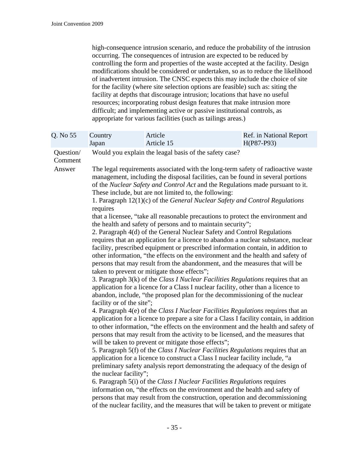high-consequence intrusion scenario, and reduce the probability of the intrusion occurring. The consequences of intrusion are expected to be reduced by controlling the form and properties of the waste accepted at the facility. Design modifications should be considered or undertaken, so as to reduce the likelihood of inadvertent intrusion. The CNSC expects this may include the choice of site for the facility (where site selection options are feasible) such as: siting the facility at depths that discourage intrusion; locations that have no useful resources; incorporating robust design features that make intrusion more difficult; and implementing active or passive institutional controls, as appropriate for various facilities (such as tailings areas.)

| Q. No 55                       | Country<br>Japan                                                | Article<br>Article 15                                                                                                                                                                                                   | Ref. in National Report<br>H(P87-P93)                                                                                                                                                                                                                                                                                                                                                                                                                                                                                                                                                                                                                                                                                                                                                                                                                                                                                                                                                                                                                                                                                                                                                                                                                                                                                                                                                                                                                                                                                                                                                                                                                                                                                                                                                                                                                                                                                                                                                                                                                                                                                    |
|--------------------------------|-----------------------------------------------------------------|-------------------------------------------------------------------------------------------------------------------------------------------------------------------------------------------------------------------------|--------------------------------------------------------------------------------------------------------------------------------------------------------------------------------------------------------------------------------------------------------------------------------------------------------------------------------------------------------------------------------------------------------------------------------------------------------------------------------------------------------------------------------------------------------------------------------------------------------------------------------------------------------------------------------------------------------------------------------------------------------------------------------------------------------------------------------------------------------------------------------------------------------------------------------------------------------------------------------------------------------------------------------------------------------------------------------------------------------------------------------------------------------------------------------------------------------------------------------------------------------------------------------------------------------------------------------------------------------------------------------------------------------------------------------------------------------------------------------------------------------------------------------------------------------------------------------------------------------------------------------------------------------------------------------------------------------------------------------------------------------------------------------------------------------------------------------------------------------------------------------------------------------------------------------------------------------------------------------------------------------------------------------------------------------------------------------------------------------------------------|
| Question/<br>Comment<br>Answer | requires<br>facility or of the site";<br>the nuclear facility"; | Would you explain the leagal basis of the safety case?<br>These include, but are not limited to, the following:<br>taken to prevent or mitigate those effects";<br>will be taken to prevent or mitigate those effects"; | The legal requirements associated with the long-term safety of radioactive waste<br>management, including the disposal facilities, can be found in several portions<br>of the Nuclear Safety and Control Act and the Regulations made pursuant to it.<br>1. Paragraph 12(1)(c) of the General Nuclear Safety and Control Regulations<br>that a licensee, "take all reasonable precautions to protect the environment and<br>the health and safety of persons and to maintain security";<br>2. Paragraph 4(d) of the General Nuclear Safety and Control Regulations<br>requires that an application for a licence to abandon a nuclear substance, nuclear<br>facility, prescribed equipment or prescribed information contain, in addition to<br>other information, "the effects on the environment and the health and safety of<br>persons that may result from the abandonment, and the measures that will be<br>3. Paragraph 3(k) of the Class I Nuclear Facilities Regulations requires that an<br>application for a licence for a Class I nuclear facility, other than a licence to<br>abandon, include, "the proposed plan for the decommissioning of the nuclear<br>4. Paragraph 4(e) of the Class I Nuclear Facilities Regulations requires that an<br>application for a licence to prepare a site for a Class I facility contain, in addition<br>to other information, "the effects on the environment and the health and safety of<br>persons that may result from the activity to be licensed, and the measures that<br>5. Paragraph 5(f) of the Class I Nuclear Facilities Regulations requires that an<br>application for a licence to construct a Class I nuclear facility include, "a<br>preliminary safety analysis report demonstrating the adequacy of the design of<br>6. Paragraph 5(i) of the Class I Nuclear Facilities Regulations requires<br>information on, "the effects on the environment and the health and safety of<br>persons that may result from the construction, operation and decommissioning<br>of the nuclear facility, and the measures that will be taken to prevent or mitigate |
|                                |                                                                 |                                                                                                                                                                                                                         |                                                                                                                                                                                                                                                                                                                                                                                                                                                                                                                                                                                                                                                                                                                                                                                                                                                                                                                                                                                                                                                                                                                                                                                                                                                                                                                                                                                                                                                                                                                                                                                                                                                                                                                                                                                                                                                                                                                                                                                                                                                                                                                          |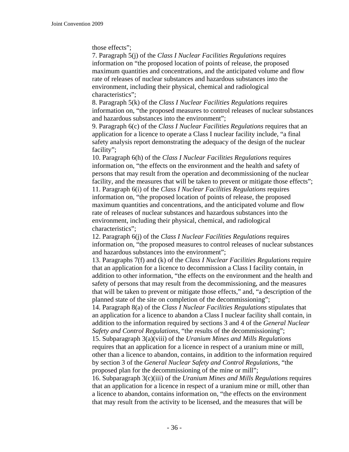## those effects";

7. Paragraph 5(j) of the *Class I Nuclear Facilities Regulations* requires information on "the proposed location of points of release, the proposed maximum quantities and concentrations, and the anticipated volume and flow rate of releases of nuclear substances and hazardous substances into the environment, including their physical, chemical and radiological characteristics";

8. Paragraph 5(k) of the *Class I Nuclear Facilities Regulations* requires information on, "the proposed measures to control releases of nuclear substances and hazardous substances into the environment";

9. Paragraph 6(c) of the *Class I Nuclear Facilities Regulations* requires that an application for a licence to operate a Class I nuclear facility include, "a final safety analysis report demonstrating the adequacy of the design of the nuclear facility";

10. Paragraph 6(h) of the *Class I Nuclear Facilities Regulations* requires information on, "the effects on the environment and the health and safety of persons that may result from the operation and decommissioning of the nuclear facility, and the measures that will be taken to prevent or mitigate those effects"; 11. Paragraph 6(i) of the *Class I Nuclear Facilities Regulations* requires information on, "the proposed location of points of release, the proposed maximum quantities and concentrations, and the anticipated volume and flow rate of releases of nuclear substances and hazardous substances into the environment, including their physical, chemical, and radiological characteristics";

12. Paragraph 6(j) of the *Class I Nuclear Facilities Regulations* requires information on, "the proposed measures to control releases of nuclear substances and hazardous substances into the environment";

13. Paragraphs 7(f) and (k) of the *Class I Nuclear Facilities Regulations* require that an application for a licence to decommission a Class I facility contain, in addition to other information, "the effects on the environment and the health and safety of persons that may result from the decommissioning, and the measures that will be taken to prevent or mitigate those effects," and, "a description of the planned state of the site on completion of the decommissioning";

14. Paragraph 8(a) of the *Class I Nuclear Facilities Regulations* stipulates that an application for a licence to abandon a Class I nuclear facility shall contain, in addition to the information required by sections 3 and 4 of the *General Nuclear Safety and Control Regulations*, "the results of the decommissioning";

15. Subparagraph 3(a)(viii) of the *Uranium Mines and Mills Regulations*  requires that an application for a licence in respect of a uranium mine or mill, other than a licence to abandon, contains, in addition to the information required by section 3 of the *General Nuclear Safety and Control Regulations*, "the proposed plan for the decommissioning of the mine or mill";

16. Subparagraph 3(c)(iii) of the *Uranium Mines and Mills Regulations* requires that an application for a licence in respect of a uranium mine or mill, other than a licence to abandon, contains information on, "the effects on the environment that may result from the activity to be licensed, and the measures that will be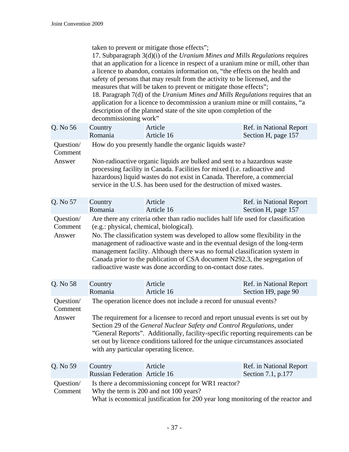taken to prevent or mitigate those effects";

17. Subparagraph 3(d)(i) of the *Uranium Mines and Mills Regulations* requires that an application for a licence in respect of a uranium mine or mill, other than a licence to abandon, contains information on, "the effects on the health and safety of persons that may result from the activity to be licensed, and the measures that will be taken to prevent or mitigate those effects"; 18. Paragraph 7(d) of the *Uranium Mines and Mills Regulations* requires that an application for a licence to decommission a uranium mine or mill contains, "a description of the planned state of the site upon completion of the decommissioning work"

| Q. No 56                       | Country<br>Romania                                                                                                                                                                                                                                                                                                                                                                                                                                                                                                         | Article<br>Article 16 | Ref. in National Report<br>Section H, page 157 |  |
|--------------------------------|----------------------------------------------------------------------------------------------------------------------------------------------------------------------------------------------------------------------------------------------------------------------------------------------------------------------------------------------------------------------------------------------------------------------------------------------------------------------------------------------------------------------------|-----------------------|------------------------------------------------|--|
| Question/<br>Comment<br>Answer | How do you presently handle the organic liquids waste?<br>Non-radioactive organic liquids are bulked and sent to a hazardous waste<br>processing facility in Canada. Facilities for mixed (i.e. radioactive and<br>hazardous) liquid wastes do not exist in Canada. Therefore, a commercial<br>service in the U.S. has been used for the destruction of mixed wastes.                                                                                                                                                      |                       |                                                |  |
| Q. No 57                       | Country<br>Romania                                                                                                                                                                                                                                                                                                                                                                                                                                                                                                         | Article<br>Article 16 | Ref. in National Report<br>Section H, page 157 |  |
| Question/<br>Comment<br>Answer | Are there any criteria other than radio nuclides half life used for classification<br>(e.g.: physical, chemical, biological).<br>No. The classification system was developed to allow some flexibility in the<br>management of radioactive waste and in the eventual design of the long-term<br>management facility. Although there was no formal classification system in<br>Canada prior to the publication of CSA document N292.3, the segregation of<br>radioactive waste was done according to on-contact dose rates. |                       |                                                |  |
| Q. No 58                       | Country<br>Romania                                                                                                                                                                                                                                                                                                                                                                                                                                                                                                         | Article<br>Article 16 | Ref. in National Report<br>Section H9, page 90 |  |
| Question/<br>Comment<br>Answer | The operation licence does not include a record for unusual events?<br>The requirement for a licensee to record and report unusual events is set out by<br>Section 29 of the General Nuclear Safety and Control Regulations, under<br>"General Reports". Additionally, facility-specific reporting requirements can be<br>set out by licence conditions tailored for the unique circumstances associated<br>with any particular operating licence.                                                                         |                       |                                                |  |
| Q. No 59                       | Country<br><b>Russian Federation Article 16</b>                                                                                                                                                                                                                                                                                                                                                                                                                                                                            | Article               | Ref. in National Report<br>Section 7.1, p.177  |  |
| Question/<br>Comment           | Is there a decommissioning concept for WR1 reactor?<br>Why the term is 200 and not 100 years?<br>What is economical justification for 200 year long monitoring of the reactor and                                                                                                                                                                                                                                                                                                                                          |                       |                                                |  |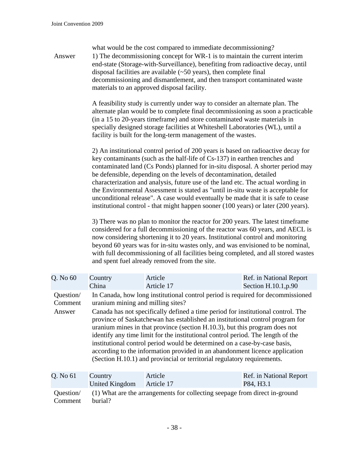| Answer                         | what would be the cost compared to immediate decommissioning?<br>1) The decommissioning concept for WR-1 is to maintain the current interim<br>end-state (Storage-with-Surveillance), benefiting from radioactive decay, until<br>disposal facilities are available $(\sim 50 \text{ years})$ , then complete final<br>decommissioning and dismantlement, and then transport contaminated waste<br>materials to an approved disposal facility.                                                                                                                                                                                                                                                                                                                                                                                                                                                                                                                                                                                                                                                                                                               |                       |                                                 |  |
|--------------------------------|--------------------------------------------------------------------------------------------------------------------------------------------------------------------------------------------------------------------------------------------------------------------------------------------------------------------------------------------------------------------------------------------------------------------------------------------------------------------------------------------------------------------------------------------------------------------------------------------------------------------------------------------------------------------------------------------------------------------------------------------------------------------------------------------------------------------------------------------------------------------------------------------------------------------------------------------------------------------------------------------------------------------------------------------------------------------------------------------------------------------------------------------------------------|-----------------------|-------------------------------------------------|--|
|                                | A feasibility study is currently under way to consider an alternate plan. The<br>alternate plan would be to complete final decommissioning as soon a practicable<br>(in a 15 to 20-years timeframe) and store contaminated waste materials in<br>specially designed storage facilities at Whiteshell Laboratories (WL), until a<br>facility is built for the long-term management of the wastes.                                                                                                                                                                                                                                                                                                                                                                                                                                                                                                                                                                                                                                                                                                                                                             |                       |                                                 |  |
|                                | 2) An institutional control period of 200 years is based on radioactive decay for<br>key contaminants (such as the half-life of Cs-137) in earthen trenches and<br>contaminated land (Cs Ponds) planned for in-situ disposal. A shorter period may<br>be defensible, depending on the levels of decontamination, detailed<br>characterization and analysis, future use of the land etc. The actual wording in<br>the Environmental Assessment is stated as "until in-situ waste is acceptable for<br>unconditional release". A case would eventually be made that it is safe to cease<br>institutional control - that might happen sooner (100 years) or later (200 years).<br>3) There was no plan to monitor the reactor for 200 years. The latest timeframe<br>considered for a full decommissioning of the reactor was 60 years, and AECL is<br>now considering shortening it to 20 years. Institutional control and monitoring<br>beyond 60 years was for in-situ wastes only, and was envisioned to be nominal,<br>with full decommissioning of all facilities being completed, and all stored wastes<br>and spent fuel already removed from the site. |                       |                                                 |  |
| Q. No 60                       | Country<br>China                                                                                                                                                                                                                                                                                                                                                                                                                                                                                                                                                                                                                                                                                                                                                                                                                                                                                                                                                                                                                                                                                                                                             | Article<br>Article 17 | Ref. in National Report<br>Section H.10.1, p.90 |  |
| Question/<br>Comment<br>Answer | In Canada, how long institutional control period is required for decommissioned<br>uranium mining and milling sites?<br>Canada has not specifically defined a time period for institutional control. The<br>province of Saskatchewan has established an institutional control program for<br>uranium mines in that province (section H.10.3), but this program does not<br>identify any time limit for the institutional control period. The length of the<br>institutional control period would be determined on a case-by-case basis,<br>according to the information provided in an abandonment licence application<br>(Section H.10.1) and provincial or territorial regulatory requirements.                                                                                                                                                                                                                                                                                                                                                                                                                                                            |                       |                                                 |  |

| Q. No 61             | Country        | Article                                                                    | Ref. in National Report |
|----------------------|----------------|----------------------------------------------------------------------------|-------------------------|
|                      | United Kingdom | Article 17                                                                 | P84, H3.1               |
| Ouestion/<br>Comment | burial?        | (1) What are the arrangements for collecting seepage from direct in-ground |                         |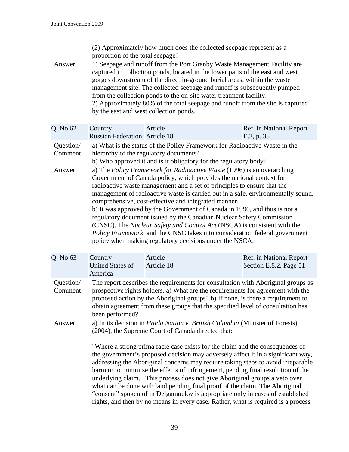(2) Approximately how much does the collected seepage represent as a proportion of the total seepage?

Answer 1) Seepage and runoff from the Port Granby Waste Management Facility are captured in collection ponds, located in the lower parts of the east and west gorges downstream of the direct in-ground burial areas, within the waste management site. The collected seepage and runoff is subsequently pumped from the collection ponds to the on-site water treatment facility. 2) Approximately 80% of the total seepage and runoff from the site is captured by the east and west collection ponds.

| Q. No 62             | Country                                                                                                              | Article                                                                          | Ref. in National Report |  |
|----------------------|----------------------------------------------------------------------------------------------------------------------|----------------------------------------------------------------------------------|-------------------------|--|
|                      | <b>Russian Federation Article 18</b>                                                                                 |                                                                                  | E.2, p. 35              |  |
| Question/<br>Comment | a) What is the status of the Policy Framework for Radioactive Waste in the<br>hierarchy of the regulatory documents? |                                                                                  |                         |  |
|                      |                                                                                                                      | b) Who approved it and is it obligatory for the regulatory body?                 |                         |  |
| Answer               |                                                                                                                      | a) The Policy Framework for Radioactive Waste (1996) is an overarching           |                         |  |
|                      |                                                                                                                      | Government of Canada policy, which provides the national context for             |                         |  |
|                      |                                                                                                                      | radioactive waste management and a set of principles to ensure that the          |                         |  |
|                      |                                                                                                                      | management of radioactive waste is carried out in a safe, environmentally sound, |                         |  |
|                      |                                                                                                                      | comprehensive, cost-effective and integrated manner.                             |                         |  |
|                      |                                                                                                                      | b) It was approved by the Government of Canada in 1996, and thus is not a        |                         |  |
|                      |                                                                                                                      | regulatory document issued by the Canadian Nuclear Safety Commission             |                         |  |
|                      | (CNSC). The <i>Nuclear Safety and Control Act</i> (NSCA) is consistent with the                                      |                                                                                  |                         |  |
|                      | Policy Framework, and the CNSC takes into consideration federal government                                           |                                                                                  |                         |  |
|                      |                                                                                                                      | policy when making regulatory decisions under the NSCA.                          |                         |  |

| Q. No 63             | Country<br><b>United States of</b><br>America                                                                                                                                                                                                                                                                                                                                                                                                                                                                                                                                                                                                                               | Article<br>Article 18 | Ref. in National Report<br>Section E.8.2, Page 51 |
|----------------------|-----------------------------------------------------------------------------------------------------------------------------------------------------------------------------------------------------------------------------------------------------------------------------------------------------------------------------------------------------------------------------------------------------------------------------------------------------------------------------------------------------------------------------------------------------------------------------------------------------------------------------------------------------------------------------|-----------------------|---------------------------------------------------|
| Question/<br>Comment | The report describes the requirements for consultation with Aboriginal groups as<br>prospective rights holders. a) What are the requirements for agreement with the<br>proposed action by the Aboriginal groups? b) If none, is there a requirement to<br>obtain agreement from these groups that the specified level of consultation has<br>been performed?                                                                                                                                                                                                                                                                                                                |                       |                                                   |
| Answer               | a) In its decision in Haida Nation v. British Columbia (Minister of Forests),<br>(2004), the Supreme Court of Canada directed that:                                                                                                                                                                                                                                                                                                                                                                                                                                                                                                                                         |                       |                                                   |
|                      | "Where a strong prima facie case exists for the claim and the consequences of<br>the government's proposed decision may adversely affect it in a significant way,<br>addressing the Aboriginal concerns may require taking steps to avoid irreparable<br>harm or to minimize the effects of infringement, pending final resolution of the<br>underlying claim This process does not give Aboriginal groups a veto over<br>what can be done with land pending final proof of the claim. The Aboriginal<br>"consent" spoken of in Delgamuukw is appropriate only in cases of established<br>rights, and then by no means in every case. Rather, what is required is a process |                       |                                                   |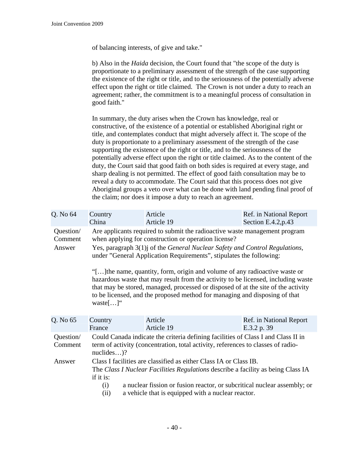of balancing interests, of give and take."

b) Also in the *Haida* decision, the Court found that "the scope of the duty is proportionate to a preliminary assessment of the strength of the case supporting the existence of the right or title, and to the seriousness of the potentially adverse effect upon the right or title claimed. The Crown is not under a duty to reach an agreement; rather, the commitment is to a meaningful process of consultation in good faith."

In summary, the duty arises when the Crown has knowledge, real or constructive, of the existence of a potential or established Aboriginal right or title, and contemplates conduct that might adversely affect it. The scope of the duty is proportionate to a preliminary assessment of the strength of the case supporting the existence of the right or title, and to the seriousness of the potentially adverse effect upon the right or title claimed. As to the content of the duty, the Court said that good faith on both sides is required at every stage, and sharp dealing is not permitted. The effect of good faith consultation may be to reveal a duty to accommodate. The Court said that this process does not give Aboriginal groups a veto over what can be done with land pending final proof of the claim; nor does it impose a duty to reach an agreement.

| Q. No 64                       | Country                                                                                                                                                                                                                                                                                                                                                                                                                                                                                                                                                                                                                                               | Article               | Ref. in National Report                |  |
|--------------------------------|-------------------------------------------------------------------------------------------------------------------------------------------------------------------------------------------------------------------------------------------------------------------------------------------------------------------------------------------------------------------------------------------------------------------------------------------------------------------------------------------------------------------------------------------------------------------------------------------------------------------------------------------------------|-----------------------|----------------------------------------|--|
|                                | China                                                                                                                                                                                                                                                                                                                                                                                                                                                                                                                                                                                                                                                 | Article 19            | Section E.4.2, $p.43$                  |  |
| Question/<br>Comment<br>Answer | Are applicants required to submit the radioactive waste management program<br>when applying for construction or operation license?<br>Yes, paragraph 3(1) j of the General Nuclear Safety and Control Regulations,<br>under "General Application Requirements", stipulates the following:<br>"[] the name, quantity, form, origin and volume of any radioactive waste or<br>hazardous waste that may result from the activity to be licensed, including waste<br>that may be stored, managed, processed or disposed of at the site of the activity<br>to be licensed, and the proposed method for managing and disposing of that<br>waste $[\dots]$ " |                       |                                        |  |
| Q. No 65                       | Country<br>France                                                                                                                                                                                                                                                                                                                                                                                                                                                                                                                                                                                                                                     | Article<br>Article 19 | Ref. in National Report<br>E.3.2 p. 39 |  |
| Question/<br>Comment           | Could Canada indicate the criteria defining facilities of Class I and Class II in<br>term of activity (concentration, total activity, references to classes of radio-<br>$nucleus$ )?                                                                                                                                                                                                                                                                                                                                                                                                                                                                 |                       |                                        |  |
| Answer                         | Class I facilities are classified as either Class IA or Class IB.<br>The Class I Nuclear Facilities Regulations describe a facility as being Class IA<br>if it is:<br>a nuclear fission or fusion reactor, or subcritical nuclear assembly; or<br>(i)<br>a vehicle that is equipped with a nuclear reactor.<br>(ii)                                                                                                                                                                                                                                                                                                                                   |                       |                                        |  |
|                                |                                                                                                                                                                                                                                                                                                                                                                                                                                                                                                                                                                                                                                                       |                       |                                        |  |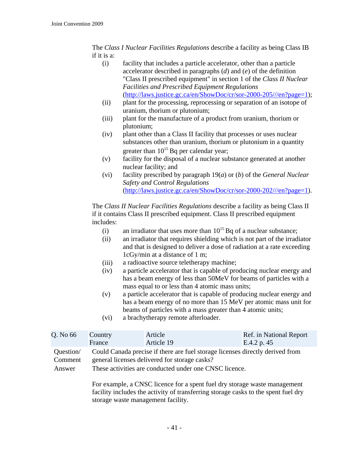The *Class I Nuclear Facilities Regulations* describe a facility as being Class IB if it is a:

- (i) facility that includes a particle accelerator, other than a particle accelerator described in paragraphs (*d*) and (*e*) of the definition "Class II prescribed equipment" in section 1 of the *Class II Nuclear Facilities and Prescribed Equipment Regulations* ([http://laws.justice.gc.ca/en/ShowDoc/cr/sor-2000-205///en?page=1\)](http://laws.justice.gc.ca/en/ShowDoc/cr/sor-2000-205///en?page=1);
- (ii) plant for the processing, reprocessing or separation of an isotope of uranium, thorium or plutonium;
- (iii) plant for the manufacture of a product from uranium, thorium or plutonium;
- (iv) plant other than a Class II facility that processes or uses nuclear substances other than uranium, thorium or plutonium in a quantity greater than  $10^{15}$  Bq per calendar year;
- (v) facility for the disposal of a nuclear substance generated at another nuclear facility; and
- (vi) facility prescribed by paragraph 19(*a*) or (*b*) of the *General Nuclear Safety and Control Regulations*  ([http://laws.justice.gc.ca/en/ShowDoc/cr/sor-2000-202///en?page=1\)](http://laws.justice.gc.ca/en/ShowDoc/cr/sor-2000-202///en?page=1).

The *Class II Nuclear Facilities Regulations* describe a facility as being Class II if it contains Class II prescribed equipment. Class II prescribed equipment includes:

- (i) an irradiator that uses more than  $10^{15}$  Bq of a nuclear substance;
- (ii) an irradiator that requires shielding which is not part of the irradiator and that is designed to deliver a dose of radiation at a rate exceeding 1cGy/min at a distance of 1 m;
- (iii) a radioactive source teletherapy machine;
- (iv) a particle accelerator that is capable of producing nuclear energy and has a beam energy of less than 50MeV for beams of particles with a mass equal to or less than 4 atomic mass units;
- (v) a particle accelerator that is capable of producing nuclear energy and has a beam energy of no more than 15 MeV per atomic mass unit for beams of particles with a mass greater than 4 atomic units;
- (vi) a brachytherapy remote afterloader.

| Q. No 66                       | Country                                                                                                                                                                                  | Article    | Ref. in National Report |
|--------------------------------|------------------------------------------------------------------------------------------------------------------------------------------------------------------------------------------|------------|-------------------------|
|                                | France                                                                                                                                                                                   | Article 19 | E.4.2 p. 45             |
| Question/<br>Comment<br>Answer | Could Canada precise if there are fuel storage licenses directly derived from<br>general licenses delivered for storage casks?<br>These activities are conducted under one CNSC licence. |            |                         |

For example, a CNSC licence for a spent fuel dry storage waste management facility includes the activity of transferring storage casks to the spent fuel dry storage waste management facility.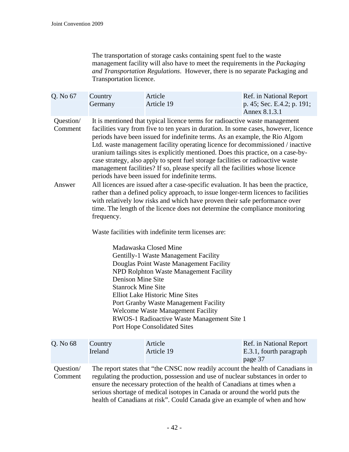The transportation of storage casks containing spent fuel to the waste management facility will also have to meet the requirements in the *Packaging and Transportation Regulations*. However, there is no separate Packaging and Transportation licence.

| Q. No 67                       | Country<br>Germany                                                                                                                                                                                                                                                                                                                                                                                                                                                                                                                                                                                                                                                                                                                                                                                                                                                                                                                                                                                       | Article<br>Article 19 | Ref. in National Report<br>p. 45; Sec. E.4.2; p. 191;<br>Annex 8.1.3.1 |  |  |
|--------------------------------|----------------------------------------------------------------------------------------------------------------------------------------------------------------------------------------------------------------------------------------------------------------------------------------------------------------------------------------------------------------------------------------------------------------------------------------------------------------------------------------------------------------------------------------------------------------------------------------------------------------------------------------------------------------------------------------------------------------------------------------------------------------------------------------------------------------------------------------------------------------------------------------------------------------------------------------------------------------------------------------------------------|-----------------------|------------------------------------------------------------------------|--|--|
| Question/<br>Comment<br>Answer | It is mentioned that typical licence terms for radioactive waste management<br>facilities vary from five to ten years in duration. In some cases, however, licence<br>periods have been issued for indefinite terms. As an example, the Rio Algom<br>Ltd. waste management facility operating licence for decommissioned / inactive<br>uranium tailings sites is explicitly mentioned. Does this practice, on a case-by-<br>case strategy, also apply to spent fuel storage facilities or radioactive waste<br>management facilities? If so, please specify all the facilities whose licence<br>periods have been issued for indefinite terms.<br>All licences are issued after a case-specific evaluation. It has been the practice,<br>rather than a defined policy approach, to issue longer-term licences to facilities<br>with relatively low risks and which have proven their safe performance over<br>time. The length of the licence does not determine the compliance monitoring<br>frequency. |                       |                                                                        |  |  |
|                                | Waste facilities with indefinite term licenses are:<br>Madawaska Closed Mine<br>Gentilly-1 Waste Management Facility<br>Douglas Point Waste Management Facility<br>NPD Rolphton Waste Management Facility<br>Denison Mine Site<br><b>Stanrock Mine Site</b><br><b>Elliot Lake Historic Mine Sites</b><br>Port Granby Waste Management Facility<br>Welcome Waste Management Facility<br>RWOS-1 Radioactive Waste Management Site 1<br><b>Port Hope Consolidated Sites</b>                                                                                                                                                                                                                                                                                                                                                                                                                                                                                                                                 |                       |                                                                        |  |  |
| Q. No 68                       | Country<br>Ireland                                                                                                                                                                                                                                                                                                                                                                                                                                                                                                                                                                                                                                                                                                                                                                                                                                                                                                                                                                                       | Article<br>Article 19 | Ref. in National Report<br>E.3.1, fourth paragraph<br>page 37          |  |  |
| Question/<br>Comment           | The report states that "the CNSC now readily account the health of Canadians in<br>regulating the production, possession and use of nuclear substances in order to<br>ensure the necessary protection of the health of Canadians at times when a<br>serious shortage of medical isotopes in Canada or around the world puts the<br>health of Canadians at risk". Could Canada give an example of when and how                                                                                                                                                                                                                                                                                                                                                                                                                                                                                                                                                                                            |                       |                                                                        |  |  |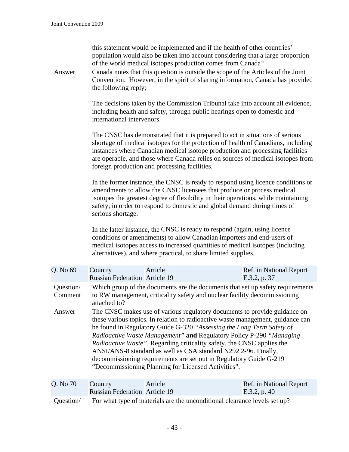| this statement would be implemented and if the health of other countries'<br>population would also be taken into account considering that a large proportion<br>of the world medical isotopes production comes from Canada?<br>Canada notes that this question is outside the scope of the Articles of the Joint<br>Answer<br>Convention. However, in the spirit of sharing information, Canada has provided<br>the following reply; |                                                                                                                                                                                                                                                                                                                                                                                                                                                                                                                                                                                        |                                                                                                                                                                                                                                                                                                                                                                                         |                                         |
|--------------------------------------------------------------------------------------------------------------------------------------------------------------------------------------------------------------------------------------------------------------------------------------------------------------------------------------------------------------------------------------------------------------------------------------|----------------------------------------------------------------------------------------------------------------------------------------------------------------------------------------------------------------------------------------------------------------------------------------------------------------------------------------------------------------------------------------------------------------------------------------------------------------------------------------------------------------------------------------------------------------------------------------|-----------------------------------------------------------------------------------------------------------------------------------------------------------------------------------------------------------------------------------------------------------------------------------------------------------------------------------------------------------------------------------------|-----------------------------------------|
|                                                                                                                                                                                                                                                                                                                                                                                                                                      | international intervenors.                                                                                                                                                                                                                                                                                                                                                                                                                                                                                                                                                             | The decisions taken by the Commission Tribunal take into account all evidence,<br>including health and safety, through public hearings open to domestic and                                                                                                                                                                                                                             |                                         |
|                                                                                                                                                                                                                                                                                                                                                                                                                                      |                                                                                                                                                                                                                                                                                                                                                                                                                                                                                                                                                                                        | The CNSC has demonstrated that it is prepared to act in situations of serious<br>shortage of medical isotopes for the protection of health of Canadians, including<br>instances where Canadian medical isotope production and processing facilities<br>are operable, and those where Canada relies on sources of medical isotopes from<br>foreign production and processing facilities. |                                         |
|                                                                                                                                                                                                                                                                                                                                                                                                                                      | serious shortage.                                                                                                                                                                                                                                                                                                                                                                                                                                                                                                                                                                      | In the former instance, the CNSC is ready to respond using licence conditions or<br>amendments to allow the CNSC licensees that produce or process medical<br>isotopes the greatest degree of flexibility in their operations, while maintaining<br>safety, in order to respond to domestic and global demand during times of                                                           |                                         |
|                                                                                                                                                                                                                                                                                                                                                                                                                                      |                                                                                                                                                                                                                                                                                                                                                                                                                                                                                                                                                                                        | In the latter instance, the CNSC is ready to respond (again, using licence<br>conditions or amendments) to allow Canadian importers and end-users of<br>medical isotopes access to increased quantities of medical isotopes (including<br>alternatives), and where practical, to share limited supplies.                                                                                |                                         |
| Q. No 69                                                                                                                                                                                                                                                                                                                                                                                                                             | Country<br><b>Russian Federation Article 19</b>                                                                                                                                                                                                                                                                                                                                                                                                                                                                                                                                        | Article                                                                                                                                                                                                                                                                                                                                                                                 | Ref. in National Report<br>E.3.2, p. 37 |
| Question/<br>Comment                                                                                                                                                                                                                                                                                                                                                                                                                 | Which group of the documents are the documents that set up safety requirements<br>to RW management, criticality safety and nuclear facility decommissioning<br>attached to?                                                                                                                                                                                                                                                                                                                                                                                                            |                                                                                                                                                                                                                                                                                                                                                                                         |                                         |
| Answer                                                                                                                                                                                                                                                                                                                                                                                                                               | The CNSC makes use of various regulatory documents to provide guidance on<br>these various topics. In relation to radioactive waste management, guidance can<br>be found in Regulatory Guide G-320 "Assessing the Long Term Safety of<br>Radioactive Waste Management" and Regulatory Policy P-290 "Managing<br>Radioactive Waste". Regarding criticality safety, the CNSC applies the<br>ANSI/ANS-8 standard as well as CSA standard N292.2-96. Finally,<br>decommissioning requirements are set out in Regulatory Guide G-219<br>"Decommissioning Planning for Licensed Activities". |                                                                                                                                                                                                                                                                                                                                                                                         |                                         |
| Q. No 70                                                                                                                                                                                                                                                                                                                                                                                                                             | Country<br><b>Russian Federation Article 19</b>                                                                                                                                                                                                                                                                                                                                                                                                                                                                                                                                        | Article                                                                                                                                                                                                                                                                                                                                                                                 | Ref. in National Report<br>E.3.2, p. 40 |
| Question/                                                                                                                                                                                                                                                                                                                                                                                                                            | For what type of materials are the unconditional clearance levels set up?                                                                                                                                                                                                                                                                                                                                                                                                                                                                                                              |                                                                                                                                                                                                                                                                                                                                                                                         |                                         |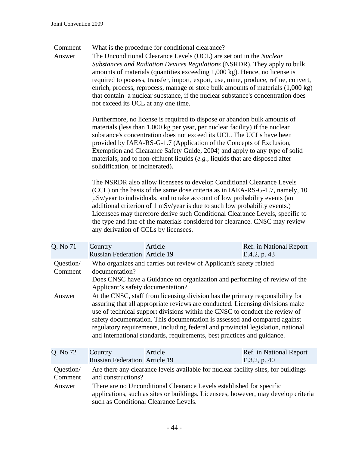Comment What is the procedure for conditional clearance?

Answer The Unconditional Clearance Levels (UCL) are set out in the *Nuclear Substances and Radiation Devices Regulations* (NSRDR). They apply to bulk amounts of materials (quantities exceeding 1,000 kg). Hence, no license is required to possess, transfer, import, export, use, mine, produce, refine, convert, enrich, process, reprocess, manage or store bulk amounts of materials (1,000 kg) that contain a nuclear substance, if the nuclear substance's concentration does not exceed its UCL at any one time.

> Furthermore, no license is required to dispose or abandon bulk amounts of materials (less than 1,000 kg per year, per nuclear facility) if the nuclear substance's concentration does not exceed its UCL. The UCLs have been provided by IAEA-RS-G-1.7 (Application of the Concepts of Exclusion, Exemption and Clearance Safety Guide, 2004) and apply to any type of solid materials, and to non-effluent liquids (*e.g.*, liquids that are disposed after solidification, or incinerated).

The NSRDR also allow licensees to develop Conditional Clearance Levels (CCL) on the basis of the same dose criteria as in IAEA-RS-G-1.7, namely, 10 µSv/year to individuals, and to take account of low probability events (an additional criterion of 1 mSv/year is due to such low probability events.) Licensees may therefore derive such Conditional Clearance Levels, specific to the type and fate of the materials considered for clearance. CNSC may review any derivation of CCLs by licensees.

| Q. No 71                       | Country<br><b>Russian Federation</b> Article 19                                                                                                                                                                                                                                                                                                                                                                                                                                          | Article | Ref. in National Report<br>E.4.2, p. 43 |  |
|--------------------------------|------------------------------------------------------------------------------------------------------------------------------------------------------------------------------------------------------------------------------------------------------------------------------------------------------------------------------------------------------------------------------------------------------------------------------------------------------------------------------------------|---------|-----------------------------------------|--|
| Question/<br>Comment           | Who organizes and carries out review of Applicant's safety related<br>documentation?<br>Does CNSC have a Guidance on organization and performing of review of the<br>Applicant's safety documentation?                                                                                                                                                                                                                                                                                   |         |                                         |  |
| Answer                         | At the CNSC, staff from licensing division has the primary responsibility for<br>assuring that all appropriate reviews are conducted. Licensing divisions make<br>use of technical support divisions within the CNSC to conduct the review of<br>safety documentation. This documentation is assessed and compared against<br>regulatory requirements, including federal and provincial legislation, national<br>and international standards, requirements, best practices and guidance. |         |                                         |  |
| Q. No 72                       | Country<br><b>Russian Federation</b> Article 19                                                                                                                                                                                                                                                                                                                                                                                                                                          | Article | Ref. in National Report<br>E.3.2, p. 40 |  |
| Question/<br>Comment<br>Answer | Are there any clearance levels available for nuclear facility sites, for buildings<br>and constructions?<br>There are no Unconditional Clearance Levels established for specific<br>applications, such as sites or buildings. Licensees, however, may develop criteria<br>such as Conditional Clearance Levels.                                                                                                                                                                          |         |                                         |  |
|                                |                                                                                                                                                                                                                                                                                                                                                                                                                                                                                          |         |                                         |  |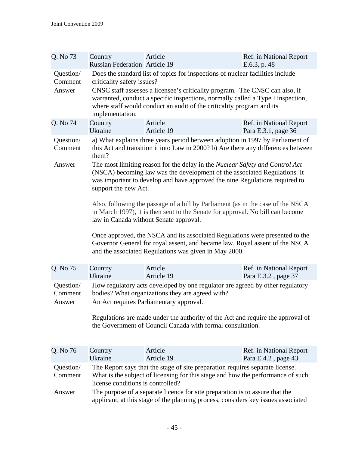| Q. No 73                       | Country<br><b>Russian Federation Article 19</b>                                                                                                                                                                                                                                                                                                                                                                                                                                 | Article                                                                                                                                                                                                              | Ref. in National Report<br>E.6.3, p. 48        |  |
|--------------------------------|---------------------------------------------------------------------------------------------------------------------------------------------------------------------------------------------------------------------------------------------------------------------------------------------------------------------------------------------------------------------------------------------------------------------------------------------------------------------------------|----------------------------------------------------------------------------------------------------------------------------------------------------------------------------------------------------------------------|------------------------------------------------|--|
| Question/<br>Comment<br>Answer | Does the standard list of topics for inspections of nuclear facilities include<br>criticality safety issues?<br>CNSC staff assesses a licensee's criticality program. The CNSC can also, if<br>warranted, conduct a specific inspections, normally called a Type I inspection,<br>where staff would conduct an audit of the criticality program and its<br>implementation.                                                                                                      |                                                                                                                                                                                                                      |                                                |  |
| Q. No 74                       | Country<br>Ukraine                                                                                                                                                                                                                                                                                                                                                                                                                                                              | Article<br>Article 19                                                                                                                                                                                                | Ref. in National Report<br>Para E.3.1, page 36 |  |
| Question/<br>Comment           | them?                                                                                                                                                                                                                                                                                                                                                                                                                                                                           | a) What explains three years period between adoption in 1997 by Parliament of<br>this Act and transition it into Law in 2000? b) Are there any differences between                                                   |                                                |  |
| Answer                         | The most limiting reason for the delay in the Nuclear Safety and Control Act<br>(NSCA) becoming law was the development of the associated Regulations. It<br>was important to develop and have approved the nine Regulations required to<br>support the new Act.<br>Also, following the passage of a bill by Parliament (as in the case of the NSCA<br>in March 1997), it is then sent to the Senate for approval. No bill can become<br>law in Canada without Senate approval. |                                                                                                                                                                                                                      |                                                |  |
|                                |                                                                                                                                                                                                                                                                                                                                                                                                                                                                                 | Once approved, the NSCA and its associated Regulations were presented to the<br>Governor General for royal assent, and became law. Royal assent of the NSCA<br>and the associated Regulations was given in May 2000. |                                                |  |
| Q. No 75                       | Country<br>Ukraine                                                                                                                                                                                                                                                                                                                                                                                                                                                              | Article<br>Article 19                                                                                                                                                                                                | Ref. in National Report<br>Para E.3.2, page 37 |  |
| Question/<br>Comment<br>Answer | How regulatory acts developed by one regulator are agreed by other regulatory<br>bodies? What organizations they are agreed with?<br>An Act requires Parliamentary approval.<br>Regulations are made under the authority of the Act and require the approval of<br>the Government of Council Canada with formal consultation.                                                                                                                                                   |                                                                                                                                                                                                                      |                                                |  |
|                                |                                                                                                                                                                                                                                                                                                                                                                                                                                                                                 |                                                                                                                                                                                                                      |                                                |  |
| Q. No 76                       | Country<br>Ukraine                                                                                                                                                                                                                                                                                                                                                                                                                                                              | Article<br>Article 19                                                                                                                                                                                                | Ref. in National Report<br>Para E.4.2, page 43 |  |
| Question/<br>Comment<br>Answer | The Report says that the stage of site preparation requires separate license.<br>What is the subject of licensing for this stage and how the performance of such<br>license conditions is controlled?<br>The purpose of a separate licence for site preparation is to assure that the                                                                                                                                                                                           |                                                                                                                                                                                                                      |                                                |  |
|                                | applicant, at this stage of the planning process, considers key issues associated                                                                                                                                                                                                                                                                                                                                                                                               |                                                                                                                                                                                                                      |                                                |  |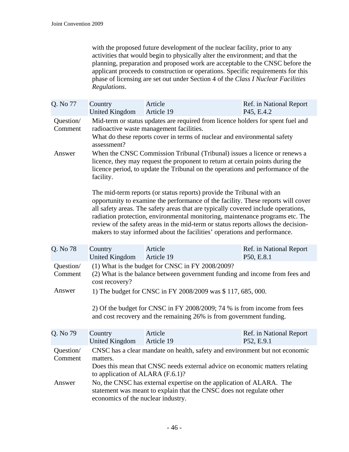with the proposed future development of the nuclear facility, prior to any activities that would begin to physically alter the environment; and that the planning, preparation and proposed work are acceptable to the CNSC before the applicant proceeds to construction or operations. Specific requirements for this phase of licensing are set out under Section 4 of the *Class I Nuclear Facilities Regulations*.

| Q. No 77             | Country<br><b>United Kingdom</b>                                                                                                                                                                                                                            | Article<br>Article 19                                                                                                                                                                                                                                                                                                                                                                                                                                                                             | Ref. in National Report<br>P45, E.4.2 |  |
|----------------------|-------------------------------------------------------------------------------------------------------------------------------------------------------------------------------------------------------------------------------------------------------------|---------------------------------------------------------------------------------------------------------------------------------------------------------------------------------------------------------------------------------------------------------------------------------------------------------------------------------------------------------------------------------------------------------------------------------------------------------------------------------------------------|---------------------------------------|--|
| Question/<br>Comment | Mid-term or status updates are required from licence holders for spent fuel and<br>radioactive waste management facilities.<br>What do these reports cover in terms of nuclear and environmental safety<br>assessment?                                      |                                                                                                                                                                                                                                                                                                                                                                                                                                                                                                   |                                       |  |
| Answer               | When the CNSC Commission Tribunal (Tribunal) issues a licence or renews a<br>licence, they may request the proponent to return at certain points during the<br>licence period, to update the Tribunal on the operations and performance of the<br>facility. |                                                                                                                                                                                                                                                                                                                                                                                                                                                                                                   |                                       |  |
|                      |                                                                                                                                                                                                                                                             | The mid-term reports (or status reports) provide the Tribunal with an<br>opportunity to examine the performance of the facility. These reports will cover<br>all safety areas. The safety areas that are typically covered include operations,<br>radiation protection, environmental monitoring, maintenance programs etc. The<br>review of the safety areas in the mid-term or status reports allows the decision-<br>makers to stay informed about the facilities' operations and performance. |                                       |  |
| Q. No 78             | Country<br><b>United Kingdom</b>                                                                                                                                                                                                                            | Article<br>Article 19                                                                                                                                                                                                                                                                                                                                                                                                                                                                             | Ref. in National Report<br>P50, E.8.1 |  |
| Question/<br>Comment | (1) What is the budget for CNSC in FY 2008/2009?<br>(2) What is the balance between government funding and income from fees and<br>cost recovery?                                                                                                           |                                                                                                                                                                                                                                                                                                                                                                                                                                                                                                   |                                       |  |
| Answer               |                                                                                                                                                                                                                                                             | 1) The budget for CNSC in FY 2008/2009 was \$117, 685, 000.                                                                                                                                                                                                                                                                                                                                                                                                                                       |                                       |  |
|                      |                                                                                                                                                                                                                                                             | 2) Of the budget for CNSC in FY 2008/2009; 74 % is from income from fees<br>and cost recovery and the remaining 26% is from government funding.                                                                                                                                                                                                                                                                                                                                                   |                                       |  |
| Q. No 79             | Country<br><b>United Kingdom</b>                                                                                                                                                                                                                            | Article<br>Article 19                                                                                                                                                                                                                                                                                                                                                                                                                                                                             | Ref. in National Report<br>P52, E.9.1 |  |
| Question/<br>Comment | CNSC has a clear mandate on health, safety and environment but not economic<br>matters.<br>Does this mean that CNSC needs external advice on economic matters relating<br>to application of ALARA $(F.6.1)$ ?                                               |                                                                                                                                                                                                                                                                                                                                                                                                                                                                                                   |                                       |  |
| Answer               | No, the CNSC has external expertise on the application of ALARA. The<br>statement was meant to explain that the CNSC does not regulate other<br>economics of the nuclear industry.                                                                          |                                                                                                                                                                                                                                                                                                                                                                                                                                                                                                   |                                       |  |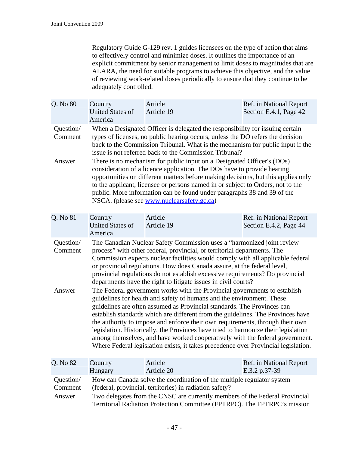Regulatory Guide G-129 rev. 1 guides licensees on the type of action that aims to effectively control and minimize doses. It outlines the importance of an explicit commitment by senior management to limit doses to magnitudes that are ALARA, the need for suitable programs to achieve this objective, and the value of reviewing work-related doses periodically to ensure that they continue to be adequately controlled.

| Q. No 80                       | Country<br><b>United States of</b><br>America                                                                                                                                                                                                                                                                                                                                                                                                                                                                                                    | Article<br>Article 19                                                                                                                                                                                                                                                                                                                                                                                                                                                                                                                                                            | Ref. in National Report<br>Section E.4.1, Page 42 |  |  |
|--------------------------------|--------------------------------------------------------------------------------------------------------------------------------------------------------------------------------------------------------------------------------------------------------------------------------------------------------------------------------------------------------------------------------------------------------------------------------------------------------------------------------------------------------------------------------------------------|----------------------------------------------------------------------------------------------------------------------------------------------------------------------------------------------------------------------------------------------------------------------------------------------------------------------------------------------------------------------------------------------------------------------------------------------------------------------------------------------------------------------------------------------------------------------------------|---------------------------------------------------|--|--|
| Question/<br>Comment           |                                                                                                                                                                                                                                                                                                                                                                                                                                                                                                                                                  | When a Designated Officer is delegated the responsibility for issuing certain<br>types of licenses, no public hearing occurs, unless the DO refers the decision<br>back to the Commission Tribunal. What is the mechanism for public input if the<br>issue is not referred back to the Commission Tribunal?                                                                                                                                                                                                                                                                      |                                                   |  |  |
| Answer                         | There is no mechanism for public input on a Designated Officer's (DOs)<br>consideration of a licence application. The DOs have to provide hearing<br>opportunities on different matters before making decisions, but this applies only<br>to the applicant, licensee or persons named in or subject to Orders, not to the<br>public. More information can be found under paragraphs 38 and 39 of the<br>NSCA. (please see www.nuclearsafety.gc.ca)                                                                                               |                                                                                                                                                                                                                                                                                                                                                                                                                                                                                                                                                                                  |                                                   |  |  |
| Q. No 81                       | Country<br><b>United States of</b>                                                                                                                                                                                                                                                                                                                                                                                                                                                                                                               | Article<br>Article 19                                                                                                                                                                                                                                                                                                                                                                                                                                                                                                                                                            | Ref. in National Report<br>Section E.4.2, Page 44 |  |  |
|                                | America                                                                                                                                                                                                                                                                                                                                                                                                                                                                                                                                          |                                                                                                                                                                                                                                                                                                                                                                                                                                                                                                                                                                                  |                                                   |  |  |
| Question/<br>Comment<br>Answer | The Canadian Nuclear Safety Commission uses a "harmonized joint review<br>process" with other federal, provincial, or territorial departments. The<br>Commission expects nuclear facilities would comply with all applicable federal<br>or provincial regulations. How does Canada assure, at the federal level,<br>provincial regulations do not establish excessive requirements? Do provincial<br>departments have the right to litigate issues in civil courts?<br>The Federal government works with the Provincial governments to establish |                                                                                                                                                                                                                                                                                                                                                                                                                                                                                                                                                                                  |                                                   |  |  |
|                                |                                                                                                                                                                                                                                                                                                                                                                                                                                                                                                                                                  | guidelines for health and safety of humans and the environment. These<br>guidelines are often assumed as Provincial standards. The Provinces can<br>establish standards which are different from the guidelines. The Provinces have<br>the authority to impose and enforce their own requirements, through their own<br>legislation. Historically, the Provinces have tried to harmonize their legislation<br>among themselves, and have worked cooperatively with the federal government.<br>Where Federal legislation exists, it takes precedence over Provincial legislation. |                                                   |  |  |
| Q. No 82                       | Country<br>Hungary                                                                                                                                                                                                                                                                                                                                                                                                                                                                                                                               | Article<br>Article 20                                                                                                                                                                                                                                                                                                                                                                                                                                                                                                                                                            | Ref. in National Report<br>E.3.2 p.37-39          |  |  |
| Question/<br>Comment<br>Answer | How can Canada solve the coordination of the multiple regulator system<br>(federal, provincial, territories) in radiation safety?<br>Two delegates from the CNSC are currently members of the Federal Provincial                                                                                                                                                                                                                                                                                                                                 |                                                                                                                                                                                                                                                                                                                                                                                                                                                                                                                                                                                  |                                                   |  |  |

Territorial Radiation Protection Committee (FPTRPC). The FPTRPC's mission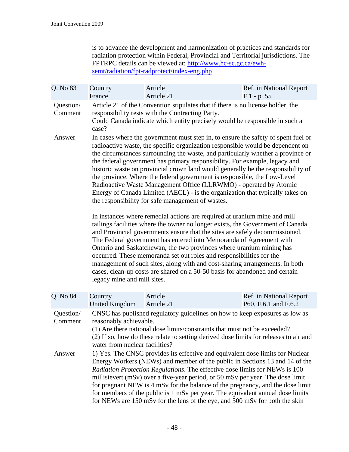is to advance the development and harmonization of practices and standards for radiation protection within Federal, Provincial and Territorial jurisdictions. The FPTRPC details can be viewed at: [http://www.hc-sc.gc.ca/ewh](http://www.hc-sc.gc.ca/ewh-semt/radiation/fpt-radprotect/index-eng.php)[semt/radiation/fpt-radprotect/index-eng.php](http://www.hc-sc.gc.ca/ewh-semt/radiation/fpt-radprotect/index-eng.php)

| Q. No 83             | Country<br>France                                                                                                                                                                                                                                                                                                                                                                                                                                                                                                                                                                 | Article<br>Article 21                                                                                                                                                                                                                                                                                                                                                                                                                                                                                                                                                                                                                                                                                                                                                                                                                                                                                                                                                                                                                                                                                                                                                                                                                                                                                                                              | Ref. in National Report<br>$F.1 - p. 55$        |  |  |
|----------------------|-----------------------------------------------------------------------------------------------------------------------------------------------------------------------------------------------------------------------------------------------------------------------------------------------------------------------------------------------------------------------------------------------------------------------------------------------------------------------------------------------------------------------------------------------------------------------------------|----------------------------------------------------------------------------------------------------------------------------------------------------------------------------------------------------------------------------------------------------------------------------------------------------------------------------------------------------------------------------------------------------------------------------------------------------------------------------------------------------------------------------------------------------------------------------------------------------------------------------------------------------------------------------------------------------------------------------------------------------------------------------------------------------------------------------------------------------------------------------------------------------------------------------------------------------------------------------------------------------------------------------------------------------------------------------------------------------------------------------------------------------------------------------------------------------------------------------------------------------------------------------------------------------------------------------------------------------|-------------------------------------------------|--|--|
| Question/<br>Comment | case?                                                                                                                                                                                                                                                                                                                                                                                                                                                                                                                                                                             | Article 21 of the Convention stipulates that if there is no license holder, the<br>responsibility rests with the Contracting Party.<br>Could Canada indicate which entity precisely would be responsible in such a                                                                                                                                                                                                                                                                                                                                                                                                                                                                                                                                                                                                                                                                                                                                                                                                                                                                                                                                                                                                                                                                                                                                 |                                                 |  |  |
| Answer               | legacy mine and mill sites.                                                                                                                                                                                                                                                                                                                                                                                                                                                                                                                                                       | In cases where the government must step in, to ensure the safety of spent fuel or<br>radioactive waste, the specific organization responsible would be dependent on<br>the circumstances surrounding the waste, and particularly whether a province or<br>the federal government has primary responsibility. For example, legacy and<br>historic waste on provincial crown land would generally be the responsibility of<br>the province. Where the federal government is responsible, the Low-Level<br>Radioactive Waste Management Office (LLRWMO) - operated by Atomic<br>Energy of Canada Limited (AECL) - is the organization that typically takes on<br>the responsibility for safe management of wastes.<br>In instances where remedial actions are required at uranium mine and mill<br>tailings facilities where the owner no longer exists, the Government of Canada<br>and Provincial governments ensure that the sites are safely decommissioned.<br>The Federal government has entered into Memoranda of Agreement with<br>Ontario and Saskatchewan, the two provinces where uranium mining has<br>occurred. These memoranda set out roles and responsibilities for the<br>management of such sites, along with and cost-sharing arrangements. In both<br>cases, clean-up costs are shared on a 50-50 basis for abandoned and certain |                                                 |  |  |
| Q. No 84             | Country<br><b>United Kingdom</b>                                                                                                                                                                                                                                                                                                                                                                                                                                                                                                                                                  | Article<br>Article 21                                                                                                                                                                                                                                                                                                                                                                                                                                                                                                                                                                                                                                                                                                                                                                                                                                                                                                                                                                                                                                                                                                                                                                                                                                                                                                                              | Ref. in National Report<br>P60, F.6.1 and F.6.2 |  |  |
| Question/<br>Comment | CNSC has published regulatory guidelines on how to keep exposures as low as<br>reasonably achievable.<br>(1) Are there national dose limits/constraints that must not be exceeded?<br>(2) If so, how do these relate to setting derived dose limits for releases to air and<br>water from nuclear facilities?                                                                                                                                                                                                                                                                     |                                                                                                                                                                                                                                                                                                                                                                                                                                                                                                                                                                                                                                                                                                                                                                                                                                                                                                                                                                                                                                                                                                                                                                                                                                                                                                                                                    |                                                 |  |  |
| Answer               | 1) Yes. The CNSC provides its effective and equivalent dose limits for Nuclear<br>Energy Workers (NEWs) and member of the public in Sections 13 and 14 of the<br>Radiation Protection Regulations. The effective dose limits for NEWs is 100<br>millisievert (mSv) over a five-year period, or 50 mSv per year. The dose limit<br>for pregnant NEW is 4 mSv for the balance of the pregnancy, and the dose limit<br>for members of the public is 1 mSv per year. The equivalent annual dose limits<br>for NEWs are 150 mSv for the lens of the eye, and 500 mSv for both the skin |                                                                                                                                                                                                                                                                                                                                                                                                                                                                                                                                                                                                                                                                                                                                                                                                                                                                                                                                                                                                                                                                                                                                                                                                                                                                                                                                                    |                                                 |  |  |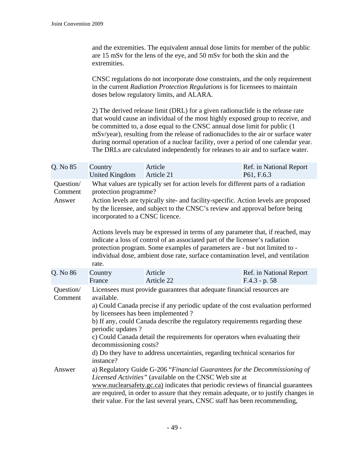| and the extremities. The equivalent annual dose limits for member of the public |
|---------------------------------------------------------------------------------|
| are 15 mSv for the lens of the eye, and 50 mSv for both the skin and the        |
| extremities.                                                                    |

CNSC regulations do not incorporate dose constraints, and the only requirement in the current *Radiation Protection Regulations* is for licensees to maintain doses below regulatory limits, and ALARA.

2) The derived release limit (DRL) for a given radionuclide is the release rate that would cause an individual of the most highly exposed group to receive, and be committed to, a dose equal to the CNSC annual dose limit for public (1 mSv/year), resulting from the release of radionuclides to the air or surface water during normal operation of a nuclear facility, over a period of one calendar year. The DRLs are calculated independently for releases to air and to surface water.

| Q. No 85                       | Country<br><b>United Kingdom</b>                                                                                                                                                                                                                                                                                                                                                                                                                                                                                         | Article<br>Article 21                                                                                                                                                                                                                                                                                                                                                                                                                                                                                                                                                                                                            | Ref. in National Report<br>P61, F.6.3      |  |  |  |  |
|--------------------------------|--------------------------------------------------------------------------------------------------------------------------------------------------------------------------------------------------------------------------------------------------------------------------------------------------------------------------------------------------------------------------------------------------------------------------------------------------------------------------------------------------------------------------|----------------------------------------------------------------------------------------------------------------------------------------------------------------------------------------------------------------------------------------------------------------------------------------------------------------------------------------------------------------------------------------------------------------------------------------------------------------------------------------------------------------------------------------------------------------------------------------------------------------------------------|--------------------------------------------|--|--|--|--|
| Question/<br>Comment<br>Answer | protection programme?<br>rate.                                                                                                                                                                                                                                                                                                                                                                                                                                                                                           | What values are typically set for action levels for different parts of a radiation<br>Action levels are typically site- and facility-specific. Action levels are proposed<br>by the licensee, and subject to the CNSC's review and approval before being<br>incorporated to a CNSC licence.<br>Actions levels may be expressed in terms of any parameter that, if reached, may<br>indicate a loss of control of an associated part of the licensee's radiation<br>protection program. Some examples of parameters are - but not limited to -<br>individual dose, ambient dose rate, surface contamination level, and ventilation |                                            |  |  |  |  |
| Q. No 86                       | Country<br>France                                                                                                                                                                                                                                                                                                                                                                                                                                                                                                        | Article<br>Article 22                                                                                                                                                                                                                                                                                                                                                                                                                                                                                                                                                                                                            | Ref. in National Report<br>$F.4.3 - p. 58$ |  |  |  |  |
| Question/<br>Comment           | Licensees must provide guarantees that adequate financial resources are<br>available.<br>a) Could Canada precise if any periodic update of the cost evaluation performed<br>by licensees has been implemented?<br>b) If any, could Canada describe the regulatory requirements regarding these<br>periodic updates?<br>c) Could Canada detail the requirements for operators when evaluating their<br>decommissioning costs?<br>d) Do they have to address uncertainties, regarding technical scenarios for<br>instance? |                                                                                                                                                                                                                                                                                                                                                                                                                                                                                                                                                                                                                                  |                                            |  |  |  |  |
| Answer                         |                                                                                                                                                                                                                                                                                                                                                                                                                                                                                                                          | a) Regulatory Guide G-206 "Financial Guarantees for the Decommissioning of<br>Licensed Activities" (available on the CNSC Web site at<br>www.nuclearsafety.gc.ca) indicates that periodic reviews of financial guarantees<br>are required, in order to assure that they remain adequate, or to justify changes in<br>their value. For the last several years, CNSC staff has been recommending,                                                                                                                                                                                                                                  |                                            |  |  |  |  |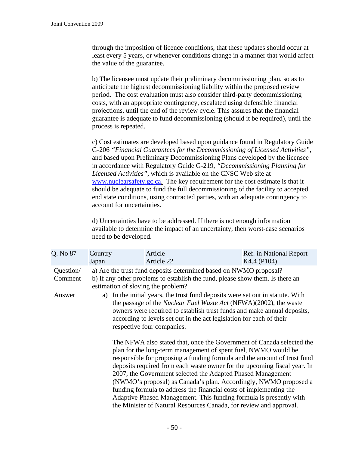through the imposition of licence conditions, that these updates should occur at least every 5 years, or whenever conditions change in a manner that would affect the value of the guarantee.

b) The licensee must update their preliminary decommissioning plan, so as to anticipate the highest decommissioning liability within the proposed review period. The cost evaluation must also consider third-party decommissioning costs, with an appropriate contingency, escalated using defensible financial projections, until the end of the review cycle. This assures that the financial guarantee is adequate to fund decommissioning (should it be required), until the process is repeated.

c) Cost estimates are developed based upon guidance found in Regulatory Guide G-206 *"Financial Guarantees for the Decommissioning of Licensed Activities",* and based upon Preliminary Decommissioning Plans developed by the licensee in accordance with Regulatory Guide G-219, *"Decommissioning Planning for Licensed Activities"*, which is available on the CNSC Web site at [www.nuclearsafety.gc.ca](http://www.nuclearsafety.gc.ca/). The key requirement for the cost estimate is that it should be adequate to fund the full decommissioning of the facility to accepted end state conditions, using contracted parties, with an adequate contingency to account for uncertainties.

d) Uncertainties have to be addressed. If there is not enough information available to determine the impact of an uncertainty, then worst-case scenarios need to be developed.

| Q. No 87             | Country<br>Japan | Article<br>Article 22                                                                                                                                                                                                                                                                                                                           | Ref. in National Report<br>K4.4 (P104)                                                                                                                                                                                                                                                            |  |  |  |
|----------------------|------------------|-------------------------------------------------------------------------------------------------------------------------------------------------------------------------------------------------------------------------------------------------------------------------------------------------------------------------------------------------|---------------------------------------------------------------------------------------------------------------------------------------------------------------------------------------------------------------------------------------------------------------------------------------------------|--|--|--|
| Question/<br>Comment |                  | a) Are the trust fund deposits determined based on NWMO proposal?<br>b) If any other problems to establish the fund, please show them. Is there an<br>estimation of sloving the problem?                                                                                                                                                        |                                                                                                                                                                                                                                                                                                   |  |  |  |
| Answer               |                  | a) In the initial years, the trust fund deposits were set out in statute. With<br>the passage of the <i>Nuclear Fuel Waste Act</i> (NFWA)(2002), the waste<br>owners were required to establish trust funds and make annual deposits,<br>according to levels set out in the act legislation for each of their<br>respective four companies.     |                                                                                                                                                                                                                                                                                                   |  |  |  |
|                      |                  | plan for the long-term management of spent fuel, NWMO would be<br>2007, the Government selected the Adapted Phased Management<br>funding formula to address the financial costs of implementing the<br>Adaptive Phased Management. This funding formula is presently with<br>the Minister of Natural Resources Canada, for review and approval. | The NFWA also stated that, once the Government of Canada selected the<br>responsible for proposing a funding formula and the amount of trust fund<br>deposits required from each waste owner for the upcoming fiscal year. In<br>(NWMO's proposal) as Canada's plan. Accordingly, NWMO proposed a |  |  |  |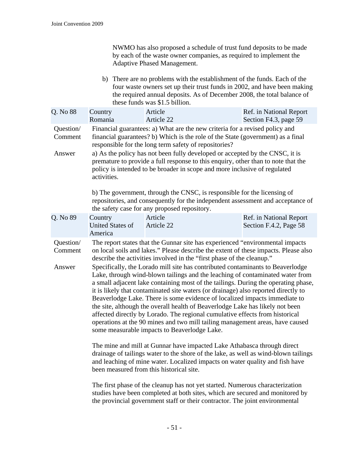|                                |                                               | NWMO has also proposed a schedule of trust fund deposits to be made<br>by each of the waste owner companies, as required to implement the<br><b>Adaptive Phased Management.</b>                                                                                                                                                                                                                                                                                                                                                                                                                                                                                                                                                                                                                                                                                                                                                                                                                                                                                                                                                                                                 |                                                                                                                                                                           |
|--------------------------------|-----------------------------------------------|---------------------------------------------------------------------------------------------------------------------------------------------------------------------------------------------------------------------------------------------------------------------------------------------------------------------------------------------------------------------------------------------------------------------------------------------------------------------------------------------------------------------------------------------------------------------------------------------------------------------------------------------------------------------------------------------------------------------------------------------------------------------------------------------------------------------------------------------------------------------------------------------------------------------------------------------------------------------------------------------------------------------------------------------------------------------------------------------------------------------------------------------------------------------------------|---------------------------------------------------------------------------------------------------------------------------------------------------------------------------|
|                                |                                               | b) There are no problems with the establishment of the funds. Each of the<br>the required annual deposits. As of December 2008, the total balance of<br>these funds was \$1.5 billion.                                                                                                                                                                                                                                                                                                                                                                                                                                                                                                                                                                                                                                                                                                                                                                                                                                                                                                                                                                                          | four waste owners set up their trust funds in 2002, and have been making                                                                                                  |
| Q. No 88                       | Country<br>Romania                            | Article<br>Article 22                                                                                                                                                                                                                                                                                                                                                                                                                                                                                                                                                                                                                                                                                                                                                                                                                                                                                                                                                                                                                                                                                                                                                           | Ref. in National Report<br>Section F4.3, page 59                                                                                                                          |
| Question/<br>Comment<br>Answer | activities.                                   | Financial guarantees: a) What are the new criteria for a revised policy and<br>financial guarantees? b) Which is the role of the State (government) as a final<br>responsible for the long term safety of repositories?<br>a) As the policy has not been fully developed or accepted by the CNSC, it is<br>premature to provide a full response to this enquiry, other than to note that the<br>policy is intended to be broader in scope and more inclusive of regulated                                                                                                                                                                                                                                                                                                                                                                                                                                                                                                                                                                                                                                                                                                       |                                                                                                                                                                           |
|                                |                                               | b) The government, through the CNSC, is responsible for the licensing of<br>the safety case for any proposed repository.                                                                                                                                                                                                                                                                                                                                                                                                                                                                                                                                                                                                                                                                                                                                                                                                                                                                                                                                                                                                                                                        | repositories, and consequently for the independent assessment and acceptance of                                                                                           |
| Q. No 89                       | Country<br><b>United States of</b><br>America | Article<br>Article 22                                                                                                                                                                                                                                                                                                                                                                                                                                                                                                                                                                                                                                                                                                                                                                                                                                                                                                                                                                                                                                                                                                                                                           | Ref. in National Report<br>Section F.4.2, Page 58                                                                                                                         |
| Question/<br>Comment<br>Answer |                                               | The report states that the Gunnar site has experienced "environmental impacts"<br>on local soils and lakes." Please describe the extent of these impacts. Please also<br>describe the activities involved in the "first phase of the cleanup."<br>Specifically, the Lorado mill site has contributed contaminants to Beaverlodge<br>Lake, through wind-blown tailings and the leaching of contaminated water from<br>it is likely that contaminated site waters (or drainage) also reported directly to<br>Beaverlodge Lake. There is some evidence of localized impacts immediate to<br>the site, although the overall health of Beaverlodge Lake has likely not been<br>affected directly by Lorado. The regional cumulative effects from historical<br>operations at the 90 mines and two mill tailing management areas, have caused<br>some measurable impacts to Beaverlodge Lake.<br>The mine and mill at Gunnar have impacted Lake Athabasca through direct<br>and leaching of mine water. Localized impacts on water quality and fish have<br>been measured from this historical site.<br>The first phase of the cleanup has not yet started. Numerous characterization | a small adjacent lake containing most of the tailings. During the operating phase,<br>drainage of tailings water to the shore of the lake, as well as wind-blown tailings |

studies have been completed at both sites, which are secured and monitored by the provincial government staff or their contractor. The joint environmental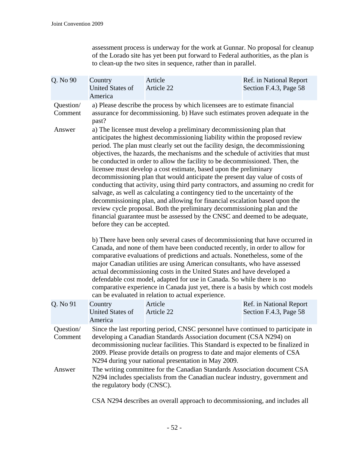assessment process is underway for the work at Gunnar. No proposal for cleanup of the Lorado site has yet been put forward to Federal authorities, as the plan is to clean-up the two sites in sequence, rather than in parallel.

| Q. No 90                       | Country<br><b>United States of</b><br>America | Article<br>Article 22                                                                                                                                                                                                                                                                                                                                                                                                                                                                                                                                                                                                                                                                                                                                                                                                                                                                                                                                                                                                                                                                                                                                                                                                                                                                                                                                                                                                                                                                                                                                                                                                                                                                                                                                                       | Ref. in National Report<br>Section F.4.3, Page 58 |  |  |  |
|--------------------------------|-----------------------------------------------|-----------------------------------------------------------------------------------------------------------------------------------------------------------------------------------------------------------------------------------------------------------------------------------------------------------------------------------------------------------------------------------------------------------------------------------------------------------------------------------------------------------------------------------------------------------------------------------------------------------------------------------------------------------------------------------------------------------------------------------------------------------------------------------------------------------------------------------------------------------------------------------------------------------------------------------------------------------------------------------------------------------------------------------------------------------------------------------------------------------------------------------------------------------------------------------------------------------------------------------------------------------------------------------------------------------------------------------------------------------------------------------------------------------------------------------------------------------------------------------------------------------------------------------------------------------------------------------------------------------------------------------------------------------------------------------------------------------------------------------------------------------------------------|---------------------------------------------------|--|--|--|
| Question/<br>Comment<br>Answer | past?<br>before they can be accepted.         | a) Please describe the process by which licensees are to estimate financial<br>assurance for decommissioning. b) Have such estimates proven adequate in the<br>a) The licensee must develop a preliminary decommissioning plan that<br>anticipates the highest decommissioning liability within the proposed review<br>period. The plan must clearly set out the facility design, the decommissioning<br>objectives, the hazards, the mechanisms and the schedule of activities that must<br>be conducted in order to allow the facility to be decommissioned. Then, the<br>licensee must develop a cost estimate, based upon the preliminary<br>decommissioning plan that would anticipate the present day value of costs of<br>conducting that activity, using third party contractors, and assuming no credit for<br>salvage, as well as calculating a contingency tied to the uncertainty of the<br>decommissioning plan, and allowing for financial escalation based upon the<br>review cycle proposal. Both the preliminary decommissioning plan and the<br>financial guarantee must be assessed by the CNSC and deemed to be adequate,<br>b) There have been only several cases of decommissioning that have occurred in<br>Canada, and none of them have been conducted recently, in order to allow for<br>comparative evaluations of predictions and actuals. Nonetheless, some of the<br>major Canadian utilities are using American consultants, who have assessed<br>actual decommissioning costs in the United States and have developed a<br>defendable cost model, adapted for use in Canada. So while there is no<br>comparative experience in Canada just yet, there is a basis by which cost models<br>can be evaluated in relation to actual experience. |                                                   |  |  |  |
| Q. No 91                       | Country<br><b>United States of</b><br>America | Article<br>Article 22                                                                                                                                                                                                                                                                                                                                                                                                                                                                                                                                                                                                                                                                                                                                                                                                                                                                                                                                                                                                                                                                                                                                                                                                                                                                                                                                                                                                                                                                                                                                                                                                                                                                                                                                                       | Ref. in National Report<br>Section F.4.3, Page 58 |  |  |  |
| Question/<br>Comment           |                                               | Since the last reporting period, CNSC personnel have continued to participate in<br>developing a Canadian Standards Association document (CSA N294) on<br>decommissioning nuclear facilities. This Standard is expected to be finalized in<br>2009. Please provide details on progress to date and major elements of CSA<br>N294 during your national presentation in May 2009.                                                                                                                                                                                                                                                                                                                                                                                                                                                                                                                                                                                                                                                                                                                                                                                                                                                                                                                                                                                                                                                                                                                                                                                                                                                                                                                                                                                             |                                                   |  |  |  |
| Answer                         |                                               | The writing committee for the Canadian Standards Association document CSA<br>N294 includes specialists from the Canadian nuclear industry, government and<br>the regulatory body (CNSC).                                                                                                                                                                                                                                                                                                                                                                                                                                                                                                                                                                                                                                                                                                                                                                                                                                                                                                                                                                                                                                                                                                                                                                                                                                                                                                                                                                                                                                                                                                                                                                                    |                                                   |  |  |  |

CSA N294 describes an overall approach to decommissioning, and includes all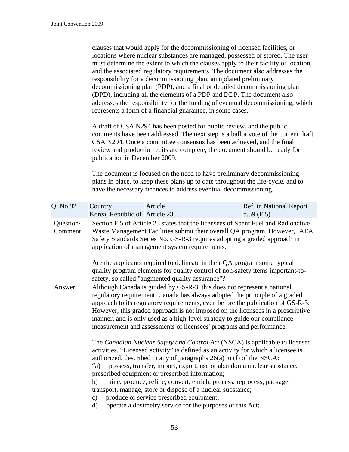clauses that would apply for the decommissioning of licensed facilities, or locations where nuclear substances are managed, possessed or stored. The user must determine the extent to which the clauses apply to their facility or location, and the associated regulatory requirements. The document also addresses the responsibility for a decommissioning plan, an updated preliminary decommissioning plan (PDP), and a final or detailed decommissioning plan (DPD), including all the elements of a PDP and DDP. The document also addresses the responsibility for the funding of eventual decommissioning, which represents a form of a financial guarantee, in some cases.

A draft of CSA N294 has been posted for public review, and the public comments have been addressed. The next step is a ballot vote of the current draft CSA N294. Once a committee consensus has been achieved, and the final review and production edits are complete, the document should be ready for publication in December 2009.

The document is focused on the need to have preliminary decommissioning plans in place, to keep these plans up to date throughout the life-cycle, and to have the necessary finances to address eventual decommissioning.

| Q. No 92             | Country<br>Korea, Republic of Article 23                                                                                                                                                                                                                                                                                                                                                                                                                                         | Article                                                                                                                                                                                                                                                                                                                                                                                                                                                                                                                                                                                                                | Ref. in National Report<br>$p.59$ (F.5) |  |  |  |
|----------------------|----------------------------------------------------------------------------------------------------------------------------------------------------------------------------------------------------------------------------------------------------------------------------------------------------------------------------------------------------------------------------------------------------------------------------------------------------------------------------------|------------------------------------------------------------------------------------------------------------------------------------------------------------------------------------------------------------------------------------------------------------------------------------------------------------------------------------------------------------------------------------------------------------------------------------------------------------------------------------------------------------------------------------------------------------------------------------------------------------------------|-----------------------------------------|--|--|--|
| Question/<br>Comment |                                                                                                                                                                                                                                                                                                                                                                                                                                                                                  | Section F.5 of Article 23 states that the licensees of Spent Fuel and Radioactive<br>Waste Management Facilities submit their overall QA program. However, IAEA<br>Safety Standards Series No. GS-R-3 requires adopting a graded approach in<br>application of management system requirements.                                                                                                                                                                                                                                                                                                                         |                                         |  |  |  |
|                      |                                                                                                                                                                                                                                                                                                                                                                                                                                                                                  | Are the applicants required to delineate in their QA program some typical<br>quality program elements for quality control of non-safety items important-to-<br>safety, so called "augmented quality assurance"?                                                                                                                                                                                                                                                                                                                                                                                                        |                                         |  |  |  |
| Answer               | Although Canada is guided by GS-R-3, this does not represent a national<br>regulatory requirement. Canada has always adopted the principle of a graded<br>approach to its regulatory requirements, even before the publication of GS-R-3.<br>However, this graded approach is not imposed on the licensees in a prescriptive<br>manner, and is only used as a high-level strategy to guide our compliance<br>measurement and assessments of licensees' programs and performance. |                                                                                                                                                                                                                                                                                                                                                                                                                                                                                                                                                                                                                        |                                         |  |  |  |
|                      | $a^{\prime}$ a)<br>b)<br>$\mathbf{c})$<br>$\rm d)$                                                                                                                                                                                                                                                                                                                                                                                                                               | The Canadian Nuclear Safety and Control Act (NSCA) is applicable to licensed<br>activities. "Licensed activity" is defined as an activity for which a licensee is<br>authorized, described in any of paragraphs 26(a) to (f) of the NSCA:<br>possess, transfer, import, export, use or abandon a nuclear substance,<br>prescribed equipment or prescribed information;<br>mine, produce, refine, convert, enrich, process, reprocess, package,<br>transport, manage, store or dispose of a nuclear substance;<br>produce or service prescribed equipment;<br>operate a dosimetry service for the purposes of this Act; |                                         |  |  |  |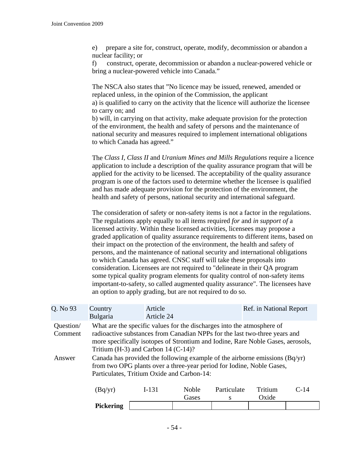e) prepare a site for, construct, operate, modify, decommission or abandon a nuclear facility; or

f) construct, operate, decommission or abandon a nuclear-powered vehicle or bring a nuclear-powered vehicle into Canada."

The NSCA also states that "No licence may be issued, renewed, amended or replaced unless, in the opinion of the Commission, the applicant a) is qualified to carry on the activity that the licence will authorize the licensee to carry on; and b) will, in carrying on that activity, make adequate provision for the protection of the environment, the health and safety of persons and the maintenance of national security and measures required to implement international obligations to which Canada has agreed."

The *Class I, Class II* and *Uranium Mines and Mills Regulations* require a licence application to include a description of the quality assurance program that will be applied for the activity to be licensed. The acceptability of the quality assurance program is one of the factors used to determine whether the licensee is qualified and has made adequate provision for the protection of the environment, the health and safety of persons, national security and international safeguard.

The consideration of safety or non-safety items is not a factor in the regulations. The regulations apply equally to all items required *for* and *in support of* a licensed activity. Within these licensed activities, licensees may propose a graded application of quality assurance requirements to different items, based on their impact on the protection of the environment, the health and safety of persons, and the maintenance of national security and international obligations to which Canada has agreed. CNSC staff will take these proposals into consideration. Licensees are not required to "delineate in their QA program some typical quality program elements for quality control of non-safety items important-to-safety, so called augmented quality assurance". The licensees have an option to apply grading, but are not required to do so.

| Q. No 93             | Country<br>Bulgaria                                                                                                                                                                                  | Article<br>Article 24                                                                                                                                                                                                                                                               |                |                  | Ref. in National Report |        |
|----------------------|------------------------------------------------------------------------------------------------------------------------------------------------------------------------------------------------------|-------------------------------------------------------------------------------------------------------------------------------------------------------------------------------------------------------------------------------------------------------------------------------------|----------------|------------------|-------------------------|--------|
| Question/<br>Comment |                                                                                                                                                                                                      | What are the specific values for the discharges into the atmosphere of<br>radioactive substances from Canadian NPPs for the last two-three years and<br>more specifically isotopes of Strontium and Iodine, Rare Noble Gases, aerosols,<br>Tritium $(H-3)$ and Carbon 14 $(C-14)$ ? |                |                  |                         |        |
| Answer               | Canada has provided the following example of the airborne emissions $(Bq/yr)$<br>from two OPG plants over a three-year period for Iodine, Noble Gases,<br>Particulates, Tritium Oxide and Carbon-14: |                                                                                                                                                                                                                                                                                     |                |                  |                         |        |
|                      | (Bq/yr)                                                                                                                                                                                              | $I-131$                                                                                                                                                                                                                                                                             | Noble<br>Gases | Particulate<br>S | Tritium<br>Oxide        | $C-14$ |
|                      | Pickering                                                                                                                                                                                            |                                                                                                                                                                                                                                                                                     |                |                  |                         |        |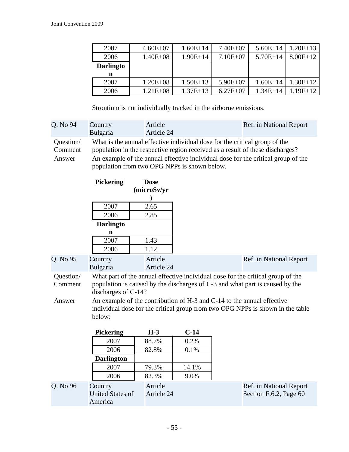| 2007             | $4.60E + 07$ | $1.60E+14$ | $7.40E + 07$ | $5.60E+14$   | $1.20E+13$ |
|------------------|--------------|------------|--------------|--------------|------------|
| 2006             | $1.40E + 08$ | $1.90E+14$ | $7.10E + 07$ | $5.70E+14$   | $8.00E+12$ |
| <b>Darlingto</b> |              |            |              |              |            |
| n                |              |            |              |              |            |
| 2007             | $1.20E + 08$ | $1.50E+13$ | $5.90E+07$   | $1.60E + 14$ | $1.30E+12$ |
| 2006             | $1.21E + 08$ | $1.37E+13$ | $6.27E + 07$ | $1.34E + 14$ | $1.19E+12$ |

Strontium is not individually tracked in the airborne emissions.

| Q. No 94             | Country                                                                                                                                                     | Article                                                                                                                          | Ref. in National Report |  |
|----------------------|-------------------------------------------------------------------------------------------------------------------------------------------------------------|----------------------------------------------------------------------------------------------------------------------------------|-------------------------|--|
|                      | Bulgaria                                                                                                                                                    | Article 24                                                                                                                       |                         |  |
| Question/<br>Comment | What is the annual effective individual dose for the critical group of the<br>population in the respective region received as a result of these discharges? |                                                                                                                                  |                         |  |
| Answer               |                                                                                                                                                             | An example of the annual effective individual dose for the critical group of the<br>population from two OPG NPPs is shown below. |                         |  |

|                                | <b>Pickering</b>                              | <b>Dose</b>           |        |                                                                                                                                                                                                                                                                                                                             |  |
|--------------------------------|-----------------------------------------------|-----------------------|--------|-----------------------------------------------------------------------------------------------------------------------------------------------------------------------------------------------------------------------------------------------------------------------------------------------------------------------------|--|
|                                |                                               | (microSv/yr           |        |                                                                                                                                                                                                                                                                                                                             |  |
|                                |                                               |                       |        |                                                                                                                                                                                                                                                                                                                             |  |
|                                | 2007                                          | 2.65                  |        |                                                                                                                                                                                                                                                                                                                             |  |
|                                | 2006                                          | 2.85                  |        |                                                                                                                                                                                                                                                                                                                             |  |
|                                | <b>Darlingto</b>                              |                       |        |                                                                                                                                                                                                                                                                                                                             |  |
|                                | n                                             |                       |        |                                                                                                                                                                                                                                                                                                                             |  |
|                                | 2007                                          | 1.43                  |        |                                                                                                                                                                                                                                                                                                                             |  |
|                                | 2006                                          | 1.12                  |        |                                                                                                                                                                                                                                                                                                                             |  |
| Q. No 95                       | Country<br>Bulgaria                           | Article<br>Article 24 |        | Ref. in National Report                                                                                                                                                                                                                                                                                                     |  |
| Question/<br>Comment<br>Answer | discharges of C-14?                           |                       |        | What part of the annual effective individual dose for the critical group of the<br>population is caused by the discharges of H-3 and what part is caused by the<br>An example of the contribution of H-3 and C-14 to the annual effective<br>individual dose for the critical group from two OPG NPPs is shown in the table |  |
|                                | below:                                        |                       |        |                                                                                                                                                                                                                                                                                                                             |  |
|                                | <b>Pickering</b>                              | $H-3$                 | $C-14$ |                                                                                                                                                                                                                                                                                                                             |  |
|                                | 2007                                          | 88.7%                 | 0.2%   |                                                                                                                                                                                                                                                                                                                             |  |
|                                | 2006                                          | 82.8%                 | 0.1%   |                                                                                                                                                                                                                                                                                                                             |  |
|                                | <b>Darlington</b>                             |                       |        |                                                                                                                                                                                                                                                                                                                             |  |
|                                | 2007                                          | 79.3%                 | 14.1%  |                                                                                                                                                                                                                                                                                                                             |  |
|                                | 2006                                          | 82.3%                 | 9.0%   |                                                                                                                                                                                                                                                                                                                             |  |
| Q. No 96                       | Country<br><b>United States of</b><br>America | Article<br>Article 24 |        | Ref. in National Report<br>Section F.6.2, Page 60                                                                                                                                                                                                                                                                           |  |
|                                |                                               |                       |        |                                                                                                                                                                                                                                                                                                                             |  |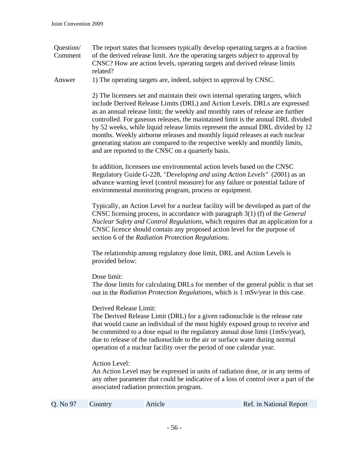Question/ Comment The report states that licensees typically develop operating targets at a fraction of the derived release limit. Are the operating targets subject to approval by CNSC? How are action levels, operating targets and derived release limits related?

Answer 1) The operating targets are, indeed, subject to approval by CNSC.

2) The licensees set and maintain their own internal operating targets, which include Derived Release Limits (DRL) and Action Levels. DRLs are expressed as an annual release limit; the weekly and monthly rates of release are further controlled. For gaseous releases, the maintained limit is the annual DRL divided by 52 weeks, while liquid release limits represent the annual DRL divided by 12 months. Weekly airborne releases and monthly liquid releases at each nuclear generating station are compared to the respective weekly and monthly limits, and are reported to the CNSC on a quarterly basis.

In addition, licensees use environmental action levels based on the CNSC Regulatory Guide G-228, *"Developing and using Action Levels"* (2001) as an advance warning level (control measure) for any failure or potential failure of environmental monitoring program, process or equipment.

Typically, an Action Level for a nuclear facility will be developed as part of the CNSC licensing process, in accordance with paragraph 3(1) (f) of the *General Nuclear Safety and Control Regulations,* which requires that an application for a CNSC licence should contain any proposed action level for the purpose of section 6 of the *Radiation Protection Regulations.* 

The relationship among regulatory dose limit, DRL and Action Levels is provided below:

Dose limit:

The dose limits for calculating DRLs for member of the general public is that set out in the *Radiation Protection Regulations,* which is 1 mSv/year in this case.

## Derived Release Limit:

The Derived Release Limit (DRL) for a given radionuclide is the release rate that would cause an individual of the most highly exposed group to receive and be committed to a dose equal to the regulatory annual dose limit (1mSv/year), due to release of the radionuclide to the air or surface water during normal operation of a nuclear facility over the period of one calendar year.

## Action Level:

An Action Level may be expressed in units of radiation dose, or in any terms of any other parameter that could be indicative of a loss of control over a part of the associated radiation protection program.

| Q. No 97 | Country | Article | Ref. in National Report |
|----------|---------|---------|-------------------------|
|----------|---------|---------|-------------------------|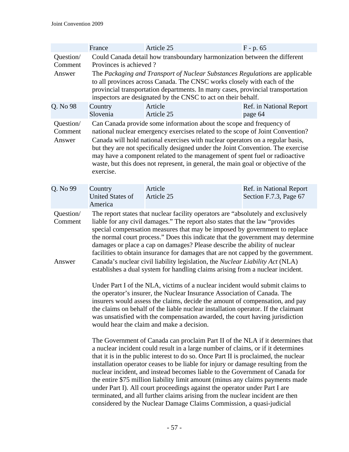|                                | France                                                                                                                                                                                                                                                                                                                                                                                                                                                                                                                                                                                                                                                                   | Article 25                                                                                                                                                                                                                                                                                                                                                                                                                                                                                      |  | $F - p. 65$                                                                                                                                                                                                                                                                                                                                                                                                                                                                                                                                                                                       |  |  |
|--------------------------------|--------------------------------------------------------------------------------------------------------------------------------------------------------------------------------------------------------------------------------------------------------------------------------------------------------------------------------------------------------------------------------------------------------------------------------------------------------------------------------------------------------------------------------------------------------------------------------------------------------------------------------------------------------------------------|-------------------------------------------------------------------------------------------------------------------------------------------------------------------------------------------------------------------------------------------------------------------------------------------------------------------------------------------------------------------------------------------------------------------------------------------------------------------------------------------------|--|---------------------------------------------------------------------------------------------------------------------------------------------------------------------------------------------------------------------------------------------------------------------------------------------------------------------------------------------------------------------------------------------------------------------------------------------------------------------------------------------------------------------------------------------------------------------------------------------------|--|--|
| Question/<br>Comment           |                                                                                                                                                                                                                                                                                                                                                                                                                                                                                                                                                                                                                                                                          | Could Canada detail how transboundary harmonization between the different<br>Provinces is achieved?                                                                                                                                                                                                                                                                                                                                                                                             |  |                                                                                                                                                                                                                                                                                                                                                                                                                                                                                                                                                                                                   |  |  |
| Answer                         |                                                                                                                                                                                                                                                                                                                                                                                                                                                                                                                                                                                                                                                                          | The Packaging and Transport of Nuclear Substances Regulations are applicable<br>to all provinces across Canada. The CNSC works closely with each of the<br>provincial transportation departments. In many cases, provincial transportation<br>inspectors are designated by the CNSC to act on their behalf.                                                                                                                                                                                     |  |                                                                                                                                                                                                                                                                                                                                                                                                                                                                                                                                                                                                   |  |  |
| Q. No 98                       | Country<br>Slovenia                                                                                                                                                                                                                                                                                                                                                                                                                                                                                                                                                                                                                                                      | Article<br>Article 25                                                                                                                                                                                                                                                                                                                                                                                                                                                                           |  | Ref. in National Report<br>page 64                                                                                                                                                                                                                                                                                                                                                                                                                                                                                                                                                                |  |  |
| Question/<br>Comment<br>Answer | exercise.                                                                                                                                                                                                                                                                                                                                                                                                                                                                                                                                                                                                                                                                | Can Canada provide some information about the scope and frequency of<br>national nuclear emergency exercises related to the scope of Joint Convention?<br>Canada will hold national exercises with nuclear operators on a regular basis,<br>but they are not specifically designed under the Joint Convention. The exercise<br>may have a component related to the management of spent fuel or radioactive<br>waste, but this does not represent, in general, the main goal or objective of the |  |                                                                                                                                                                                                                                                                                                                                                                                                                                                                                                                                                                                                   |  |  |
| Q. No 99                       | Country<br><b>United States of</b><br>America                                                                                                                                                                                                                                                                                                                                                                                                                                                                                                                                                                                                                            | Article<br>Article 25                                                                                                                                                                                                                                                                                                                                                                                                                                                                           |  | Ref. in National Report<br>Section F.7.3, Page 67                                                                                                                                                                                                                                                                                                                                                                                                                                                                                                                                                 |  |  |
| Question/<br>Comment<br>Answer | The report states that nuclear facility operators are "absolutely and exclusively<br>liable for any civil damages." The report also states that the law "provides"<br>special compensation measures that may be imposed by government to replace<br>the normal court process." Does this indicate that the government may determine<br>damages or place a cap on damages? Please describe the ability of nuclear<br>facilities to obtain insurance for damages that are not capped by the government.<br>Canada's nuclear civil liability legislation, the Nuclear Liability Act (NLA)<br>establishes a dual system for handling claims arising from a nuclear incident. |                                                                                                                                                                                                                                                                                                                                                                                                                                                                                                 |  |                                                                                                                                                                                                                                                                                                                                                                                                                                                                                                                                                                                                   |  |  |
|                                | Under Part I of the NLA, victims of a nuclear incident would submit claims to<br>the operator's insurer, the Nuclear Insurance Association of Canada. The<br>insurers would assess the claims, decide the amount of compensation, and pay<br>the claims on behalf of the liable nuclear installation operator. If the claimant<br>was unsatisfied with the compensation awarded, the court having jurisdiction<br>would hear the claim and make a decision.                                                                                                                                                                                                              |                                                                                                                                                                                                                                                                                                                                                                                                                                                                                                 |  |                                                                                                                                                                                                                                                                                                                                                                                                                                                                                                                                                                                                   |  |  |
|                                |                                                                                                                                                                                                                                                                                                                                                                                                                                                                                                                                                                                                                                                                          | under Part I). All court proceedings against the operator under Part I are<br>considered by the Nuclear Damage Claims Commission, a quasi-judicial                                                                                                                                                                                                                                                                                                                                              |  | The Government of Canada can proclaim Part II of the NLA if it determines that<br>a nuclear incident could result in a large number of claims, or if it determines<br>that it is in the public interest to do so. Once Part II is proclaimed, the nuclear<br>installation operator ceases to be liable for injury or damage resulting from the<br>nuclear incident, and instead becomes liable to the Government of Canada for<br>the entire \$75 million liability limit amount (minus any claims payments made<br>terminated, and all further claims arising from the nuclear incident are then |  |  |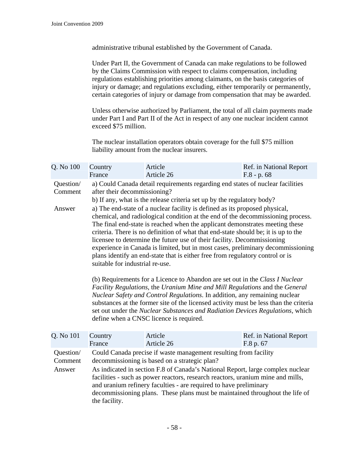administrative tribunal established by the Government of Canada.

Under Part II, the Government of Canada can make regulations to be followed by the Claims Commission with respect to claims compensation, including regulations establishing priorities among claimants, on the basis categories of injury or damage; and regulations excluding, either temporarily or permanently, certain categories of injury or damage from compensation that may be awarded.

Unless otherwise authorized by Parliament, the total of all claim payments made under Part I and Part II of the Act in respect of any one nuclear incident cannot exceed \$75 million.

The nuclear installation operators obtain coverage for the full \$75 million liability amount from the nuclear insurers.

| Q. No 100            | Country<br>France                                                                                                                                                                                                                                                                                                                                                                                                                                                                                                                                                                                                      | Article<br>Article 26                                                                                                                                                                    | Ref. in National Report<br>$F.8 - p.68$                                                                                                                                                                                                                                                                                                                                                                             |  |  |  |
|----------------------|------------------------------------------------------------------------------------------------------------------------------------------------------------------------------------------------------------------------------------------------------------------------------------------------------------------------------------------------------------------------------------------------------------------------------------------------------------------------------------------------------------------------------------------------------------------------------------------------------------------------|------------------------------------------------------------------------------------------------------------------------------------------------------------------------------------------|---------------------------------------------------------------------------------------------------------------------------------------------------------------------------------------------------------------------------------------------------------------------------------------------------------------------------------------------------------------------------------------------------------------------|--|--|--|
| Question/<br>Comment |                                                                                                                                                                                                                                                                                                                                                                                                                                                                                                                                                                                                                        | a) Could Canada detail requirements regarding end states of nuclear facilities<br>after their decommissioning?<br>b) If any, what is the release criteria set up by the regulatory body? |                                                                                                                                                                                                                                                                                                                                                                                                                     |  |  |  |
| Answer               | a) The end-state of a nuclear facility is defined as its proposed physical,<br>chemical, and radiological condition at the end of the decommissioning process.<br>The final end-state is reached when the applicant demonstrates meeting these<br>criteria. There is no definition of what that end-state should be; it is up to the<br>licensee to determine the future use of their facility. Decommissioning<br>experience in Canada is limited, but in most cases, preliminary decommissioning<br>plans identify an end-state that is either free from regulatory control or is<br>suitable for industrial re-use. |                                                                                                                                                                                          |                                                                                                                                                                                                                                                                                                                                                                                                                     |  |  |  |
|                      |                                                                                                                                                                                                                                                                                                                                                                                                                                                                                                                                                                                                                        |                                                                                                                                                                                          | (b) Requirements for a Licence to Abandon are set out in the Class I Nuclear<br>Facility Regulations, the Uranium Mine and Mill Regulations and the General<br>Nuclear Safety and Control Regulations. In addition, any remaining nuclear<br>substances at the former site of the licensed activity must be less than the criteria<br>set out under the Nuclear Substances and Radiation Devices Regulations, which |  |  |  |

| Q. No 101                      | Country<br>France | Article<br>Article 26                                                                                                                                                                                                                                                                                                                                                                                                                       | Ref. in National Report<br>F.8 p. 67 |
|--------------------------------|-------------------|---------------------------------------------------------------------------------------------------------------------------------------------------------------------------------------------------------------------------------------------------------------------------------------------------------------------------------------------------------------------------------------------------------------------------------------------|--------------------------------------|
|                                |                   |                                                                                                                                                                                                                                                                                                                                                                                                                                             |                                      |
| Question/<br>Comment<br>Answer | the facility.     | Could Canada precise if waste management resulting from facility<br>decommissioning is based on a strategic plan?<br>As indicated in section F.8 of Canada's National Report, large complex nuclear<br>facilities - such as power reactors, research reactors, uranium mine and mills,<br>and uranium refinery faculties - are required to have preliminary<br>decommissioning plans. These plans must be maintained throughout the life of |                                      |

define when a CNSC licence is required.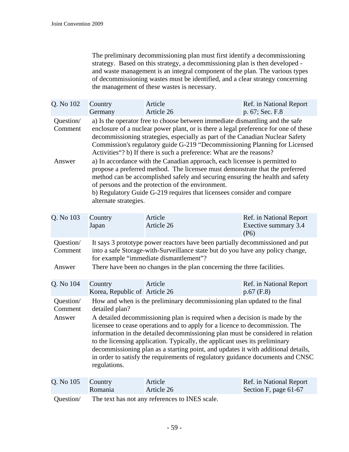The preliminary decommissioning plan must first identify a decommissioning strategy. Based on this strategy, a decommissioning plan is then developed and waste management is an integral component of the plan. The various types of decommissioning wastes must be identified, and a clear strategy concerning the management of these wastes is necessary.

| Q. No 102                      | Country<br>Germany                                                                                                                                                                                                                                                                                                                                                                                                                                                                                                                                                                                                 | Article<br>Article 26                          | Ref. in National Report<br>p. 67; Sec. F.8              |  |
|--------------------------------|--------------------------------------------------------------------------------------------------------------------------------------------------------------------------------------------------------------------------------------------------------------------------------------------------------------------------------------------------------------------------------------------------------------------------------------------------------------------------------------------------------------------------------------------------------------------------------------------------------------------|------------------------------------------------|---------------------------------------------------------|--|
| Question/<br>Comment           | a) Is the operator free to choose between immediate dismantling and the safe<br>enclosure of a nuclear power plant, or is there a legal preference for one of these<br>decommissioning strategies, especially as part of the Canadian Nuclear Safety<br>Commission's regulatory guide G-219 "Decommissioning Planning for Licensed<br>Activities"? b) If there is such a preference: What are the reasons?                                                                                                                                                                                                         |                                                |                                                         |  |
| Answer                         | a) In accordance with the Canadian approach, each licensee is permitted to<br>propose a preferred method. The licensee must demonstrate that the preferred<br>method can be accomplished safely and securing ensuring the health and safety<br>of persons and the protection of the environment.<br>b) Regulatory Guide G-219 requires that licensees consider and compare<br>alternate strategies.                                                                                                                                                                                                                |                                                |                                                         |  |
| Q. No 103                      | Country<br>Japan                                                                                                                                                                                                                                                                                                                                                                                                                                                                                                                                                                                                   | Article<br>Article 26                          | Ref. in National Report<br>Exective summary 3.4<br>(P6) |  |
| Question/<br>Comment<br>Answer | It says 3 prototype power reactors have been partially decommissioned and put<br>into a safe Storage-with-Surveillance state but do you have any policy change,<br>for example "immediate dismantlement"?<br>There have been no changes in the plan concerning the three facilities.                                                                                                                                                                                                                                                                                                                               |                                                |                                                         |  |
| Q. No 104                      | Country<br>Korea, Republic of Article 26                                                                                                                                                                                                                                                                                                                                                                                                                                                                                                                                                                           | Article                                        | Ref. in National Report<br>$p.67$ (F.8)                 |  |
| Question/<br>Comment<br>Answer | How and when is the preliminary decommissioning plan updated to the final<br>detailed plan?<br>A detailed decommissioning plan is required when a decision is made by the<br>licensee to cease operations and to apply for a licence to decommission. The<br>information in the detailed decommissioning plan must be considered in relation<br>to the licensing application. Typically, the applicant uses its preliminary<br>decommissioning plan as a starting point, and updates it with additional details,<br>in order to satisfy the requirements of regulatory guidance documents and CNSC<br>regulations. |                                                |                                                         |  |
| Q. No 105                      | Country<br>Romania                                                                                                                                                                                                                                                                                                                                                                                                                                                                                                                                                                                                 | Article<br>Article 26                          | Ref. in National Report<br>Section F, page 61-67        |  |
| Question/                      |                                                                                                                                                                                                                                                                                                                                                                                                                                                                                                                                                                                                                    | The text has not any references to INES scale. |                                                         |  |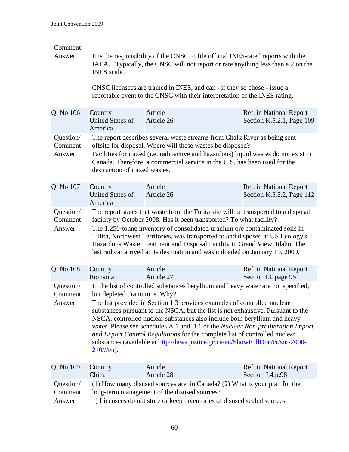## Comment

Answer It is the responsibility of the CNSC to file official INES-rated reports with the IAEA. Typically, the CNSC will not report or rate anything less than a 2 on the INES scale.

> CNSC licensees are trained in INES, and can - if they so chose - issue a reportable event to the CNSC with their interpretation of the INES rating.

| Q. No 106                      | Country<br><b>United States of</b><br>America                                                                                                                                                                                                                                                                                                                                                                                                                                                                                                                                                                                       | Article<br>Article 26 | Ref. in National Report<br>Section K.5.2.1, Page 109 |  |  |
|--------------------------------|-------------------------------------------------------------------------------------------------------------------------------------------------------------------------------------------------------------------------------------------------------------------------------------------------------------------------------------------------------------------------------------------------------------------------------------------------------------------------------------------------------------------------------------------------------------------------------------------------------------------------------------|-----------------------|------------------------------------------------------|--|--|
| Question/<br>Comment<br>Answer | The report describes several waste streams from Chalk River as being sent<br>offsite for disposal. Where will these wastes be disposed?<br>Facilities for mixed (i.e. radioactive and hazardous) liquid wastes do not exist in<br>Canada. Therefore, a commercial service in the U.S. has been used for the<br>destruction of mixed wastes.                                                                                                                                                                                                                                                                                         |                       |                                                      |  |  |
| Q. No 107                      | Country<br><b>United States of</b><br>America                                                                                                                                                                                                                                                                                                                                                                                                                                                                                                                                                                                       | Article<br>Article 26 | Ref. in National Report<br>Section K.5.3.2, Page 112 |  |  |
| Question/<br>Comment<br>Answer | The report states that waste from the Tulita site will be transported to a disposal<br>facility by October 2008. Has it been transported? To what facility?<br>The 1,250-tonne inventory of consolidated uranium ore contaminated soils in<br>Tulita, Northwest Territories, was transported to and disposed at US Ecology's<br>Hazardous Waste Treatment and Disposal Facility in Grand View, Idaho. The<br>last rail car arrived at its destination and was unloaded on January 19, 2009.                                                                                                                                         |                       |                                                      |  |  |
| Q. No 108                      | Country<br>Romania                                                                                                                                                                                                                                                                                                                                                                                                                                                                                                                                                                                                                  | Article<br>Article 27 | Ref. in National Report<br>Section I3, page 95       |  |  |
| Question/<br>Comment<br>Answer | In the list of controlled substances beryllium and heavy water are not specified,<br>but depleted uranium is. Why?<br>The list provided in Section 1.3 provides examples of controlled nuclear<br>substances pursuant to the NSCA, but the list is not exhaustive. Pursuant to the<br>NSCA, controlled nuclear substances also include both beryllium and heavy<br>water. Please see schedules A.1 and B.1 of the Nuclear Non-proliferation Import<br>and Export Control Regulations for the complete list of controlled nuclear<br>substances (available at http://laws.justice.gc.ca/en/ShowFullDoc/cr/sor-2000-<br>$210$ ///en). |                       |                                                      |  |  |
| Q. No 109                      | Country<br>China                                                                                                                                                                                                                                                                                                                                                                                                                                                                                                                                                                                                                    | Article<br>Article 28 | Ref. in National Report<br>Section J.4, p.98         |  |  |
| Question/<br>Comment<br>Answer | (1) How many disused sources are in Canada? (2) What is your plan for the<br>long-term management of the disused sources?<br>1) Licensees do not store or keep inventories of disused sealed sources.                                                                                                                                                                                                                                                                                                                                                                                                                               |                       |                                                      |  |  |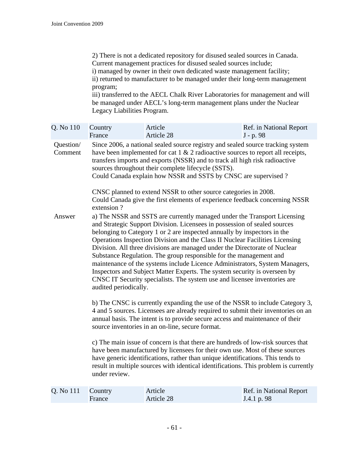2) There is not a dedicated repository for disused sealed sources in Canada. Current management practices for disused sealed sources include; i) managed by owner in their own dedicated waste management facility; ii) returned to manufacturer to be managed under their long-term management program; iii) transferred to the AECL Chalk River Laboratories for management and will

be managed under AECL's long-term management plans under the Nuclear Legacy Liabilities Program.

| Q. No 110            | Country<br>France                                                                                                                                                                                                                                                                                                                                                             | Article<br>Article 28                                                                                                                          | Ref. in National Report<br>J - p. 98                                                                                                                                                                                                                                                                                                                                                                                                                                                                                                                                                                                                                                                                           |  |  |
|----------------------|-------------------------------------------------------------------------------------------------------------------------------------------------------------------------------------------------------------------------------------------------------------------------------------------------------------------------------------------------------------------------------|------------------------------------------------------------------------------------------------------------------------------------------------|----------------------------------------------------------------------------------------------------------------------------------------------------------------------------------------------------------------------------------------------------------------------------------------------------------------------------------------------------------------------------------------------------------------------------------------------------------------------------------------------------------------------------------------------------------------------------------------------------------------------------------------------------------------------------------------------------------------|--|--|
| Question/<br>Comment | Since 2006, a national sealed source registry and sealed source tracking system<br>have been implemented for cat $1 \& 2$ radioactive sources to report all receipts,<br>transfers imports and exports (NSSR) and to track all high risk radioactive<br>sources throughout their complete lifecycle (SSTS).<br>Could Canada explain how NSSR and SSTS by CNSC are supervised? |                                                                                                                                                |                                                                                                                                                                                                                                                                                                                                                                                                                                                                                                                                                                                                                                                                                                                |  |  |
|                      | extension?                                                                                                                                                                                                                                                                                                                                                                    | CNSC planned to extend NSSR to other source categories in 2008.<br>Could Canada give the first elements of experience feedback concerning NSSR |                                                                                                                                                                                                                                                                                                                                                                                                                                                                                                                                                                                                                                                                                                                |  |  |
| Answer               | audited periodically.                                                                                                                                                                                                                                                                                                                                                         |                                                                                                                                                | a) The NSSR and SSTS are currently managed under the Transport Licensing<br>and Strategic Support Division. Licensees in possession of sealed sources<br>belonging to Category 1 or 2 are inspected annually by inspectors in the<br>Operations Inspection Division and the Class II Nuclear Facilities Licensing<br>Division. All three divisions are managed under the Directorate of Nuclear<br>Substance Regulation. The group responsible for the management and<br>maintenance of the systems include Licence Administrators, System Managers,<br>Inspectors and Subject Matter Experts. The system security is overseen by<br>CNSC IT Security specialists. The system use and licensee inventories are |  |  |
|                      | b) The CNSC is currently expanding the use of the NSSR to include Category 3,<br>4 and 5 sources. Licensees are already required to submit their inventories on an<br>annual basis. The intent is to provide secure access and maintenance of their<br>source inventories in an on-line, secure format.                                                                       |                                                                                                                                                |                                                                                                                                                                                                                                                                                                                                                                                                                                                                                                                                                                                                                                                                                                                |  |  |
|                      | c) The main issue of concern is that there are hundreds of low-risk sources that<br>have been manufactured by licensees for their own use. Most of these sources<br>have generic identifications, rather than unique identifications. This tends to<br>result in multiple sources with identical identifications. This problem is currently<br>under review.                  |                                                                                                                                                |                                                                                                                                                                                                                                                                                                                                                                                                                                                                                                                                                                                                                                                                                                                |  |  |
| Q. No 111            | Country<br>France                                                                                                                                                                                                                                                                                                                                                             | Article<br>Article 28                                                                                                                          | Ref. in National Report<br>J.4.1 p. 98                                                                                                                                                                                                                                                                                                                                                                                                                                                                                                                                                                                                                                                                         |  |  |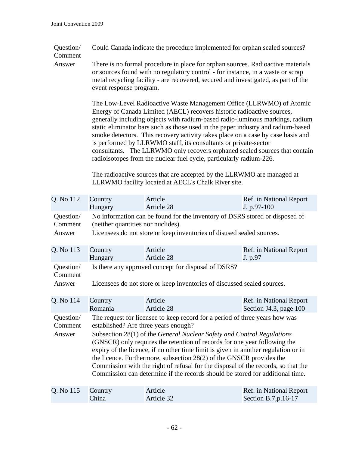Question/ Could Canada indicate the procedure implemented for orphan sealed sources?

Comment

Answer There is no formal procedure in place for orphan sources. Radioactive materials or sources found with no regulatory control - for instance, in a waste or scrap metal recycling facility - are recovered, secured and investigated, as part of the event response program.

> The Low-Level Radioactive Waste Management Office (LLRWMO) of Atomic Energy of Canada Limited (AECL) recovers historic radioactive sources, generally including objects with radium-based radio-luminous markings, radium static eliminator bars such as those used in the paper industry and radium-based smoke detectors. This recovery activity takes place on a case by case basis and is performed by LLRWMO staff, its consultants or private-sector consultants. The LLRWMO only recovers orphaned sealed sources that contain radioisotopes from the nuclear fuel cycle, particularly radium-226.

The radioactive sources that are accepted by the LLRWMO are managed at LLRWMO facility located at AECL's Chalk River site.

| Q. No 112                      | Country                                                                                                                                                                                                                                                                                                                                                                                                                                                                                                                                                                                                        | Article    | Ref. in National Report |  |
|--------------------------------|----------------------------------------------------------------------------------------------------------------------------------------------------------------------------------------------------------------------------------------------------------------------------------------------------------------------------------------------------------------------------------------------------------------------------------------------------------------------------------------------------------------------------------------------------------------------------------------------------------------|------------|-------------------------|--|
|                                | Hungary                                                                                                                                                                                                                                                                                                                                                                                                                                                                                                                                                                                                        | Article 28 | J. p.97-100             |  |
| Question/                      | No information can be found for the inventory of DSRS stored or disposed of                                                                                                                                                                                                                                                                                                                                                                                                                                                                                                                                    |            |                         |  |
| Comment                        | (neither quantities nor nuclides).                                                                                                                                                                                                                                                                                                                                                                                                                                                                                                                                                                             |            |                         |  |
| Answer                         | Licensees do not store or keep inventories of disused sealed sources.                                                                                                                                                                                                                                                                                                                                                                                                                                                                                                                                          |            |                         |  |
| Q. No 113                      | Country                                                                                                                                                                                                                                                                                                                                                                                                                                                                                                                                                                                                        | Article    | Ref. in National Report |  |
|                                | Hungary                                                                                                                                                                                                                                                                                                                                                                                                                                                                                                                                                                                                        | Article 28 | J. p.97                 |  |
| Question/<br>Comment<br>Answer | Is there any approved concept for disposal of DSRS?<br>Licensees do not store or keep inventories of discussed sealed sources.                                                                                                                                                                                                                                                                                                                                                                                                                                                                                 |            |                         |  |
| Q. No 114                      | Country                                                                                                                                                                                                                                                                                                                                                                                                                                                                                                                                                                                                        | Article    | Ref. in National Report |  |
|                                | Romania                                                                                                                                                                                                                                                                                                                                                                                                                                                                                                                                                                                                        | Article 28 | Section J4.3, page 100  |  |
| Question/<br>Comment<br>Answer | The request for licensee to keep record for a period of three years how was<br>established? Are three years enough?<br>Subsection 28(1) of the General Nuclear Safety and Control Regulations<br>(GNSCR) only requires the retention of records for one year following the<br>expiry of the licence, if no other time limit is given in another regulation or in<br>the licence. Furthermore, subsection 28(2) of the GNSCR provides the<br>Commission with the right of refusal for the disposal of the records, so that the<br>Commission can determine if the records should be stored for additional time. |            |                         |  |
| Q. No 115                      | Country                                                                                                                                                                                                                                                                                                                                                                                                                                                                                                                                                                                                        | Article    | Ref. in National Report |  |
|                                | China                                                                                                                                                                                                                                                                                                                                                                                                                                                                                                                                                                                                          | Article 32 | Section B.7, p.16-17    |  |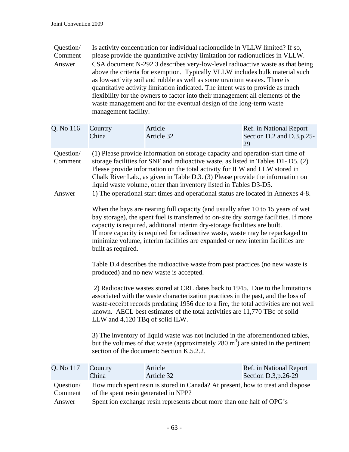| Question/ | Is activity concentration for individual radionuclide in VLLW limited? If so,  |
|-----------|--------------------------------------------------------------------------------|
| Comment   | please provide the quantitative activity limitation for radionuclides in VLLW. |
| Answer    | CSA document N-292.3 describes very-low-level radioactive waste as that being  |
|           | above the criteria for exemption. Typically VLLW includes bulk material such   |
|           | as low-activity soil and rubble as well as some uranium wastes. There is       |
|           | quantitative activity limitation indicated. The intent was to provide as much  |
|           | flexibility for the owners to factor into their management all elements of the |
|           | waste management and for the eventual design of the long-term waste            |
|           | management facility.                                                           |

| Q. No 116            | Country<br>China                                                                                                                                                                                                                                                                                                                                                                                                                                   | Article<br>Article 32                                                                                                                                                                                                        | Ref. in National Report<br>Section D.2 and D.3, p.25-<br>29 |  |
|----------------------|----------------------------------------------------------------------------------------------------------------------------------------------------------------------------------------------------------------------------------------------------------------------------------------------------------------------------------------------------------------------------------------------------------------------------------------------------|------------------------------------------------------------------------------------------------------------------------------------------------------------------------------------------------------------------------------|-------------------------------------------------------------|--|
| Question/<br>Comment | (1) Please provide information on storage capacity and operation-start time of<br>storage facilities for SNF and radioactive waste, as listed in Tables D1- D5. (2)<br>Please provide information on the total activity for ILW and LLW stored in<br>Chalk River Lab., as given in Table D.3. (3) Please provide the information on<br>liquid waste volume, other than inventory listed in Tables D3-D5.                                           |                                                                                                                                                                                                                              |                                                             |  |
| Answer               |                                                                                                                                                                                                                                                                                                                                                                                                                                                    | 1) The operational start times and operational status are located in Annexes 4-8.                                                                                                                                            |                                                             |  |
|                      | When the bays are nearing full capacity (and usually after 10 to 15 years of wet<br>bay storage), the spent fuel is transferred to on-site dry storage facilities. If more<br>capacity is required, additional interim dry-storage facilities are built.<br>If more capacity is required for radioactive waste, waste may be repackaged to<br>minimize volume, interim facilities are expanded or new interim facilities are<br>built as required. |                                                                                                                                                                                                                              |                                                             |  |
|                      | Table D.4 describes the radioactive waste from past practices (no new waste is<br>produced) and no new waste is accepted.                                                                                                                                                                                                                                                                                                                          |                                                                                                                                                                                                                              |                                                             |  |
|                      | 2) Radioactive wastes stored at CRL dates back to 1945. Due to the limitations<br>associated with the waste characterization practices in the past, and the loss of<br>waste-receipt records predating 1956 due to a fire, the total activities are not well<br>known. AECL best estimates of the total activities are 11,770 TBq of solid<br>LLW and 4,120 TBq of solid ILW.                                                                      |                                                                                                                                                                                                                              |                                                             |  |
|                      |                                                                                                                                                                                                                                                                                                                                                                                                                                                    | 3) The inventory of liquid waste was not included in the aforementioned tables,<br>but the volumes of that waste (approximately $280 \text{ m}^3$ ) are stated in the pertinent<br>section of the document: Section K.5.2.2. |                                                             |  |
| Q. No 117            | Country<br>China                                                                                                                                                                                                                                                                                                                                                                                                                                   | Article<br>Article 32                                                                                                                                                                                                        | Ref. in National Report<br>Section D.3, p. 26-29            |  |
| Question/<br>Comment | of the spent resin generated in NPP?                                                                                                                                                                                                                                                                                                                                                                                                               | How much spent resin is stored in Canada? At present, how to treat and dispose                                                                                                                                               |                                                             |  |
| Answer               | Spent ion exchange resin represents about more than one half of OPG's                                                                                                                                                                                                                                                                                                                                                                              |                                                                                                                                                                                                                              |                                                             |  |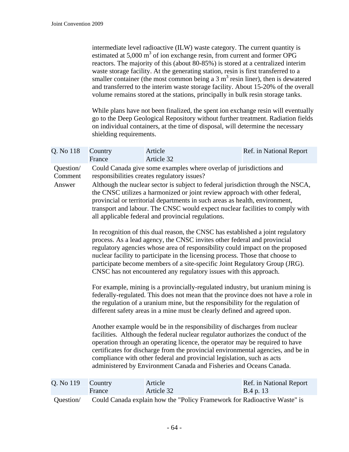intermediate level radioactive (ILW) waste category. The current quantity is estimated at  $5,000 \text{ m}^3$  of ion exchange resin, from current and former OPG reactors. The majority of this (about 80-85%) is stored at a centralized interim waste storage facility. At the generating station, resin is first transferred to a smaller container (the most common being a  $3 \text{ m}^3$  resin liner), then is dewatered and transferred to the interim waste storage facility. About 15-20% of the overall volume remains stored at the stations, principally in bulk resin storage tanks.

While plans have not been finalized, the spent ion exchange resin will eventually go to the Deep Geological Repository without further treatment. Radiation fields on individual containers, at the time of disposal, will determine the necessary shielding requirements.

| Q. No 118                      | Country<br>France                                                        | Article<br>Article 32                                                                                                                                                                                                                                                                                                                                                                                                                                                                                                                                                                                                                                                                                                                                                                                                                                                                                                                                                                                                                                                                                                                                                                                                                                                                                                                                                                                                                                                                                                                                                                                                                                                                                                                                                                                                          | Ref. in National Report              |
|--------------------------------|--------------------------------------------------------------------------|--------------------------------------------------------------------------------------------------------------------------------------------------------------------------------------------------------------------------------------------------------------------------------------------------------------------------------------------------------------------------------------------------------------------------------------------------------------------------------------------------------------------------------------------------------------------------------------------------------------------------------------------------------------------------------------------------------------------------------------------------------------------------------------------------------------------------------------------------------------------------------------------------------------------------------------------------------------------------------------------------------------------------------------------------------------------------------------------------------------------------------------------------------------------------------------------------------------------------------------------------------------------------------------------------------------------------------------------------------------------------------------------------------------------------------------------------------------------------------------------------------------------------------------------------------------------------------------------------------------------------------------------------------------------------------------------------------------------------------------------------------------------------------------------------------------------------------|--------------------------------------|
| Question/<br>Comment<br>Answer |                                                                          | Could Canada give some examples where overlap of jurisdictions and<br>responsibilities creates regulatory issues?<br>Although the nuclear sector is subject to federal jurisdiction through the NSCA,<br>the CNSC utilizes a harmonized or joint review approach with other federal,<br>provincial or territorial departments in such areas as health, environment,<br>transport and labour. The CNSC would expect nuclear facilities to comply with<br>all applicable federal and provincial regulations.<br>In recognition of this dual reason, the CNSC has established a joint regulatory<br>process. As a lead agency, the CNSC invites other federal and provincial<br>regulatory agencies whose area of responsibility could impact on the proposed<br>nuclear facility to participate in the licensing process. Those that choose to<br>participate become members of a site-specific Joint Regulatory Group (JRG).<br>CNSC has not encountered any regulatory issues with this approach.<br>For example, mining is a provincially-regulated industry, but uranium mining is<br>federally-regulated. This does not mean that the province does not have a role in<br>the regulation of a uranium mine, but the responsibility for the regulation of<br>different safety areas in a mine must be clearly defined and agreed upon.<br>Another example would be in the responsibility of discharges from nuclear<br>facilities. Although the federal nuclear regulator authorizes the conduct of the<br>operation through an operating licence, the operator may be required to have<br>certificates for discharge from the provincial environmental agencies, and be in<br>compliance with other federal and provincial legislation, such as acts<br>administered by Environment Canada and Fisheries and Oceans Canada. |                                      |
| Q. No 119                      | Country<br>France                                                        | Article<br>Article 32                                                                                                                                                                                                                                                                                                                                                                                                                                                                                                                                                                                                                                                                                                                                                                                                                                                                                                                                                                                                                                                                                                                                                                                                                                                                                                                                                                                                                                                                                                                                                                                                                                                                                                                                                                                                          | Ref. in National Report<br>B.4 p. 13 |
| Question/                      | Could Canada explain how the "Policy Framework for Radioactive Waste" is |                                                                                                                                                                                                                                                                                                                                                                                                                                                                                                                                                                                                                                                                                                                                                                                                                                                                                                                                                                                                                                                                                                                                                                                                                                                                                                                                                                                                                                                                                                                                                                                                                                                                                                                                                                                                                                |                                      |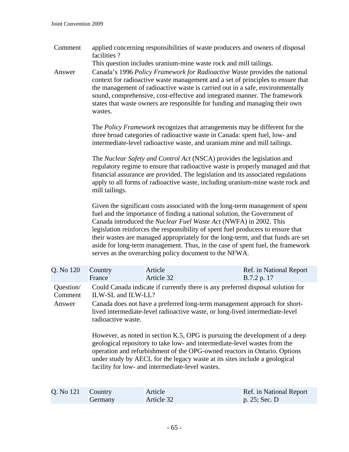Comment applied concerning responsibilities of waste producers and owners of disposal facilities ?

This question includes uranium-mine waste rock and mill tailings.

Answer Canada's 1996 *Policy Framework for Radioactive Waste* provides the national context for radioactive waste management and a set of principles to ensure that the management of radioactive waste is carried out in a safe, environmentally sound, comprehensive, cost-effective and integrated manner. The framework states that waste owners are responsible for funding and managing their own wastes.

> The *Policy Framework* recognizes that arrangements may be different for the three broad categories of radioactive waste in Canada: spent fuel, low- and intermediate-level radioactive waste, and uranium mine and mill tailings.

The *Nuclear Safety and Control Act* (NSCA) provides the legislation and regulatory regime to ensure that radioactive waste is properly managed and that financial assurance are provided. The legislation and its associated regulations apply to all forms of radioactive waste, including uranium-mine waste rock and mill tailings.

Given the significant costs associated with the long-term management of spent fuel and the importance of finding a national solution, the Government of Canada introduced the *Nuclear Fuel Waste Act* (NWFA) in 2002. This legislation reinforces the responsibility of spent fuel producers to ensure that their wastes are managed appropriately for the long-term, and that funds are set aside for long-term management. Thus, in the case of spent fuel, the framework serves as the overarching policy document to the NFWA.

| Q. No 120                      | Country                                  | Article                                                                                                                                                                                                                                                                                                                                                                                                                                                                                                                                                                                                                 | Ref. in National Report |
|--------------------------------|------------------------------------------|-------------------------------------------------------------------------------------------------------------------------------------------------------------------------------------------------------------------------------------------------------------------------------------------------------------------------------------------------------------------------------------------------------------------------------------------------------------------------------------------------------------------------------------------------------------------------------------------------------------------------|-------------------------|
|                                | France                                   | Article 32                                                                                                                                                                                                                                                                                                                                                                                                                                                                                                                                                                                                              | B.7.2 p. 17             |
| Question/<br>Comment<br>Answer | ILW-SL and ILW-LL?<br>radioactive waste. | Could Canada indicate if currently there is any preferred disposal solution for<br>Canada does not have a preferred long-term management approach for short-<br>lived intermediate-level radioactive waste, or long-lived intermediate-level<br>However, as noted in section K.5, OPG is pursuing the development of a deep<br>geological repository to take low- and intermediate-level wastes from the<br>operation and refurbishment of the OPG-owned reactors in Ontario. Options<br>under study by AECL for the legacy waste at its sites include a geological<br>facility for low- and intermediate-level wastes. |                         |

| Q. No 121 Country |         | Article    | Ref. in National Report |
|-------------------|---------|------------|-------------------------|
|                   | Germany | Article 32 | p. $25$ ; Sec. D        |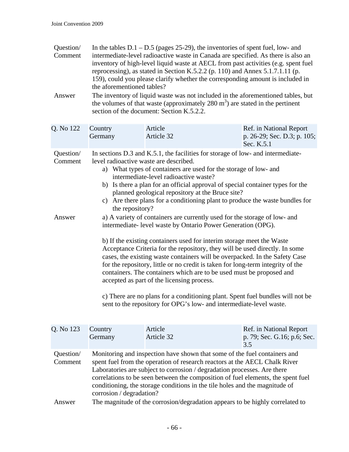| Question/<br>Comment<br>Answer | In the tables $D.1 - D.5$ (pages 25-29), the inventories of spent fuel, low- and<br>intermediate-level radioactive waste in Canada are specified. As there is also an<br>inventory of high-level liquid waste at AECL from past activities (e.g. spent fuel<br>reprocessing), as stated in Section K.5.2.2 (p. 110) and Annex 5.1.7.1.11 (p.<br>159), could you please clarify whether the corresponding amount is included in<br>the aforementioned tables?<br>The inventory of liquid waste was not included in the aforementioned tables, but                                                                                                                                                                                                  |                                                                                                                                       |                                                                      |  |
|--------------------------------|---------------------------------------------------------------------------------------------------------------------------------------------------------------------------------------------------------------------------------------------------------------------------------------------------------------------------------------------------------------------------------------------------------------------------------------------------------------------------------------------------------------------------------------------------------------------------------------------------------------------------------------------------------------------------------------------------------------------------------------------------|---------------------------------------------------------------------------------------------------------------------------------------|----------------------------------------------------------------------|--|
|                                |                                                                                                                                                                                                                                                                                                                                                                                                                                                                                                                                                                                                                                                                                                                                                   | the volumes of that waste (approximately $280 \text{ m}^3$ ) are stated in the pertinent<br>section of the document: Section K.5.2.2. |                                                                      |  |
| Q. No 122                      | Country<br>Germany                                                                                                                                                                                                                                                                                                                                                                                                                                                                                                                                                                                                                                                                                                                                | Article<br>Article 32                                                                                                                 | Ref. in National Report<br>p. 26-29; Sec. D.3; p. 105;<br>Sec. K.5.1 |  |
| Question/<br>Comment           | In sections D.3 and K.5.1, the facilities for storage of low- and intermediate-<br>level radioactive waste are described.<br>a) What types of containers are used for the storage of low- and<br>intermediate-level radioactive waste?<br>b) Is there a plan for an official approval of special container types for the<br>planned geological repository at the Bruce site?<br>c) Are there plans for a conditioning plant to produce the waste bundles for<br>the repository?                                                                                                                                                                                                                                                                   |                                                                                                                                       |                                                                      |  |
| Answer                         | a) A variety of containers are currently used for the storage of low- and<br>intermediate-level waste by Ontario Power Generation (OPG).<br>b) If the existing containers used for interim storage meet the Waste<br>Acceptance Criteria for the repository, they will be used directly. In some<br>cases, the existing waste containers will be overpacked. In the Safety Case<br>for the repository, little or no credit is taken for long-term integrity of the<br>containers. The containers which are to be used must be proposed and<br>accepted as part of the licensing process.<br>c) There are no plans for a conditioning plant. Spent fuel bundles will not be<br>sent to the repository for OPG's low- and intermediate-level waste. |                                                                                                                                       |                                                                      |  |
| Q. No 123                      | Country<br>Germany                                                                                                                                                                                                                                                                                                                                                                                                                                                                                                                                                                                                                                                                                                                                | Article<br>Article 32                                                                                                                 | Ref. in National Report<br>p. 79; Sec. G.16; p.6; Sec.<br>3.5        |  |
| Question/<br>Comment           | Monitoring and inspection have shown that some of the fuel containers and<br>spent fuel from the operation of research reactors at the AECL Chalk River<br>Laboratories are subject to corrosion / degradation processes. Are there<br>correlations to be seen between the composition of fuel elements, the spent fuel<br>conditioning, the storage conditions in the tile holes and the magnitude of<br>corrosion / degradation?                                                                                                                                                                                                                                                                                                                |                                                                                                                                       |                                                                      |  |

Answer The magnitude of the corrosion/degradation appears to be highly correlated to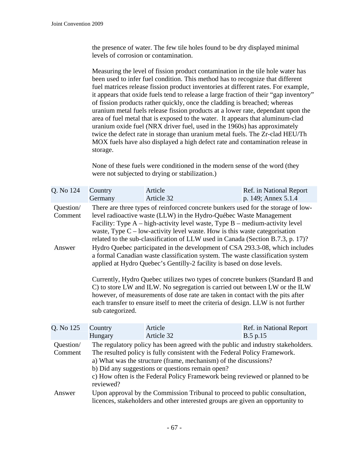the presence of water. The few tile holes found to be dry displayed minimal levels of corrosion or contamination.

Measuring the level of fission product contamination in the tile hole water has been used to infer fuel condition. This method has to recognize that different fuel matrices release fission product inventories at different rates. For example, it appears that oxide fuels tend to release a large fraction of their "gap inventory" of fission products rather quickly, once the cladding is breached; whereas uranium metal fuels release fission products at a lower rate, dependant upon the area of fuel metal that is exposed to the water. It appears that aluminum-clad uranium oxide fuel (NRX driver fuel, used in the 1960s) has approximately twice the defect rate in storage than uranium metal fuels. The Zr-clad HEU/Th MOX fuels have also displayed a high defect rate and contamination release in storage.

None of these fuels were conditioned in the modern sense of the word (they were not subjected to drying or stabilization.)

| Q. No 124            | Country<br>Germany                                                                                                                                                                                                                                                                                                                                                                                             | Article<br>Article 32 |  | Ref. in National Report<br>p. 149; Annex 5.1.4 |
|----------------------|----------------------------------------------------------------------------------------------------------------------------------------------------------------------------------------------------------------------------------------------------------------------------------------------------------------------------------------------------------------------------------------------------------------|-----------------------|--|------------------------------------------------|
| Question/<br>Comment | There are three types of reinforced concrete bunkers used for the storage of low-<br>level radioactive waste (LLW) in the Hydro-Québec Waste Management<br>Facility: Type $A - high-activity$ level waste, Type $B - medium-activity$ level<br>waste, Type $C$ – low-activity level waste. How is this waste categorisation<br>related to the sub-classification of LLW used in Canada (Section B.7.3, p. 17)? |                       |  |                                                |
| Answer               | Hydro Quebec participated in the development of CSA 293.3-08, which includes<br>a formal Canadian waste classification system. The waste classification system<br>applied at Hydro Quebec's Gentilly-2 facility is based on dose levels.                                                                                                                                                                       |                       |  |                                                |
|                      | Currently, Hydro Quebec utilizes two types of concrete bunkers (Standard B and<br>C) to store LW and ILW. No segregation is carried out between LW or the ILW<br>however, of measurements of dose rate are taken in contact with the pits after<br>each transfer to ensure itself to meet the criteria of design. LLW is not further<br>sub categorized.                                                       |                       |  |                                                |
| Q. No 125            | Country<br>Hungary                                                                                                                                                                                                                                                                                                                                                                                             | Article<br>Article 32 |  | Ref. in National Report<br>B.5 p.15            |
| Question/<br>Comment | The regulatory policy has been agreed with the public and industry stakeholders.<br>The resulted policy is fully consistent with the Federal Policy Framework.<br>a) What was the structure (frame, mechanism) of the discussions?<br>b) Did any suggestions or questions remain open?<br>c) How often is the Federal Policy Framework being reviewed or planned to be<br>reviewed?                            |                       |  |                                                |
| Answer               | Upon approval by the Commission Tribunal to proceed to public consultation,<br>licences, stakeholders and other interested groups are given an opportunity to                                                                                                                                                                                                                                                  |                       |  |                                                |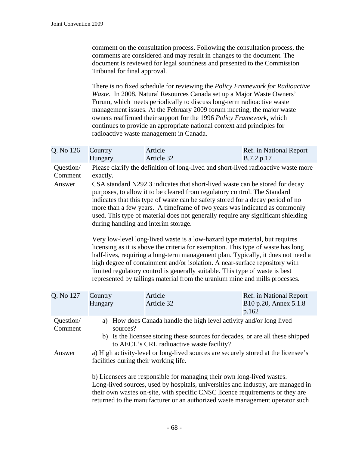| comment on the consultation process. Following the consultation process, the |
|------------------------------------------------------------------------------|
| comments are considered and may result in changes to the document. The       |
| document is reviewed for legal soundness and presented to the Commission     |
| Tribunal for final approval.                                                 |

There is no fixed schedule for reviewing the *Policy Framework for Radioactive Waste*. In 2008, Natural Resources Canada set up a Major Waste Owners' Forum, which meets periodically to discuss long-term radioactive waste management issues. At the February 2009 forum meeting, the major waste owners reaffirmed their support for the 1996 *Policy Framework*, which continues to provide an appropriate national context and principles for radioactive waste management in Canada.

| Country<br>Hungary                                                                                                                                                                                                                                                                                                                                                                                                                                                                                                                                                                                                                                                                                                                                                                                                                                                                                                                                                                                                                                           | Article<br>Article 32 | Ref. in National Report<br>B.7.2 p.17                     |  |
|--------------------------------------------------------------------------------------------------------------------------------------------------------------------------------------------------------------------------------------------------------------------------------------------------------------------------------------------------------------------------------------------------------------------------------------------------------------------------------------------------------------------------------------------------------------------------------------------------------------------------------------------------------------------------------------------------------------------------------------------------------------------------------------------------------------------------------------------------------------------------------------------------------------------------------------------------------------------------------------------------------------------------------------------------------------|-----------------------|-----------------------------------------------------------|--|
| Please clarify the definition of long-lived and short-lived radioactive waste more<br>exactly.<br>CSA standard N292.3 indicates that short-lived waste can be stored for decay<br>purposes, to allow it to be cleared from regulatory control. The Standard<br>indicates that this type of waste can be safety stored for a decay period of no<br>more than a few years. A timeframe of two years was indicated as commonly<br>used. This type of material does not generally require any significant shielding<br>during handling and interim storage.<br>Very low-level long-lived waste is a low-hazard type material, but requires<br>licensing as it is above the criteria for exemption. This type of waste has long<br>half-lives, requiring a long-term management plan. Typically, it does not need a<br>high degree of containment and/or isolation. A near-surface repository with<br>limited regulatory control is generally suitable. This type of waste is best<br>represented by tailings material from the uranium mine and mills processes. |                       |                                                           |  |
| Country<br>Hungary                                                                                                                                                                                                                                                                                                                                                                                                                                                                                                                                                                                                                                                                                                                                                                                                                                                                                                                                                                                                                                           | Article<br>Article 32 | Ref. in National Report<br>B10 p.20, Annex 5.1.8<br>p.162 |  |
| a) How does Canada handle the high level activity and/or long lived<br>sources?<br>b) Is the licensee storing these sources for decades, or are all these shipped<br>to AECL's CRL radioactive waste facility?                                                                                                                                                                                                                                                                                                                                                                                                                                                                                                                                                                                                                                                                                                                                                                                                                                               |                       |                                                           |  |
| a) High activity-level or long-lived sources are securely stored at the licensee's<br>facilities during their working life.<br>b) Licensees are responsible for managing their own long-lived wastes.<br>Long-lived sources, used by hospitals, universities and industry, are managed in<br>their own wastes on-site, with specific CNSC licence requirements or they are<br>returned to the manufacturer or an authorized waste management operator such                                                                                                                                                                                                                                                                                                                                                                                                                                                                                                                                                                                                   |                       |                                                           |  |
|                                                                                                                                                                                                                                                                                                                                                                                                                                                                                                                                                                                                                                                                                                                                                                                                                                                                                                                                                                                                                                                              |                       |                                                           |  |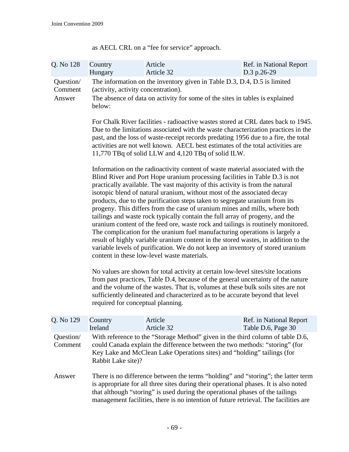| Q. No 128                      | Country<br>Hungary                                                                                                                                                                                                                                                                                                                                                                                                                                                                                                                                                                                                                                                                                                                                                                                                                                                                                                                                                                                                                                                                                                                                                                                                                                                                                                                                 | Article<br>Article 32                                                                                                                                                                                                                                                                                                                              | Ref. in National Report<br>D.3 p.26-29        |  |  |
|--------------------------------|----------------------------------------------------------------------------------------------------------------------------------------------------------------------------------------------------------------------------------------------------------------------------------------------------------------------------------------------------------------------------------------------------------------------------------------------------------------------------------------------------------------------------------------------------------------------------------------------------------------------------------------------------------------------------------------------------------------------------------------------------------------------------------------------------------------------------------------------------------------------------------------------------------------------------------------------------------------------------------------------------------------------------------------------------------------------------------------------------------------------------------------------------------------------------------------------------------------------------------------------------------------------------------------------------------------------------------------------------|----------------------------------------------------------------------------------------------------------------------------------------------------------------------------------------------------------------------------------------------------------------------------------------------------------------------------------------------------|-----------------------------------------------|--|--|
| Question/<br>Comment<br>Answer | The information on the inventory given in Table D.3, D.4, D.5 is limited<br>(activity, activity concentration).<br>The absence of data on activity for some of the sites in tables is explained<br>below:                                                                                                                                                                                                                                                                                                                                                                                                                                                                                                                                                                                                                                                                                                                                                                                                                                                                                                                                                                                                                                                                                                                                          |                                                                                                                                                                                                                                                                                                                                                    |                                               |  |  |
|                                | For Chalk River facilities - radioactive wastes stored at CRL dates back to 1945.<br>Due to the limitations associated with the waste characterization practices in the<br>past, and the loss of waste-receipt records predating 1956 due to a fire, the total<br>activities are not well known. AECL best estimates of the total activities are<br>11,770 TBq of solid LLW and 4,120 TBq of solid ILW.                                                                                                                                                                                                                                                                                                                                                                                                                                                                                                                                                                                                                                                                                                                                                                                                                                                                                                                                            |                                                                                                                                                                                                                                                                                                                                                    |                                               |  |  |
|                                | Information on the radioactivity content of waste material associated with the<br>Blind River and Port Hope uranium processing facilities in Table D.3 is not<br>practically available. The vast majority of this activity is from the natural<br>isotopic blend of natural uranium, without most of the associated decay<br>products, due to the purification steps taken to segregate uranium from its<br>progeny. This differs from the case of uranium mines and mills, where both<br>tailings and waste rock typically contain the full array of progeny, and the<br>uranium content of the feed ore, waste rock and tailings is routinely monitored.<br>The complication for the uranium fuel manufacturing operations is largely a<br>result of highly variable uranium content in the stored wastes, in addition to the<br>variable levels of purification. We do not keep an inventory of stored uranium<br>content in these low-level waste materials.<br>No values are shown for total activity at certain low-level sites/site locations<br>from past practices, Table D.4, because of the general uncertainty of the nature<br>and the volume of the wastes. That is, volumes at these bulk soils sites are not<br>sufficiently delineated and characterized as to be accurate beyond that level<br>required for conceptual planning. |                                                                                                                                                                                                                                                                                                                                                    |                                               |  |  |
|                                |                                                                                                                                                                                                                                                                                                                                                                                                                                                                                                                                                                                                                                                                                                                                                                                                                                                                                                                                                                                                                                                                                                                                                                                                                                                                                                                                                    |                                                                                                                                                                                                                                                                                                                                                    |                                               |  |  |
| Q. No 129                      | Country<br>Ireland                                                                                                                                                                                                                                                                                                                                                                                                                                                                                                                                                                                                                                                                                                                                                                                                                                                                                                                                                                                                                                                                                                                                                                                                                                                                                                                                 | Article<br>Article 32                                                                                                                                                                                                                                                                                                                              | Ref. in National Report<br>Table D.6, Page 30 |  |  |
| Question/<br>Comment           | With reference to the "Storage Method" given in the third column of table D.6,<br>could Canada explain the difference between the two methods: "storing" (for<br>Key Lake and McClean Lake Operations sites) and "holding" tailings (for<br>Rabbit Lake site)?                                                                                                                                                                                                                                                                                                                                                                                                                                                                                                                                                                                                                                                                                                                                                                                                                                                                                                                                                                                                                                                                                     |                                                                                                                                                                                                                                                                                                                                                    |                                               |  |  |
| Answer                         |                                                                                                                                                                                                                                                                                                                                                                                                                                                                                                                                                                                                                                                                                                                                                                                                                                                                                                                                                                                                                                                                                                                                                                                                                                                                                                                                                    | There is no difference between the terms "holding" and "storing"; the latter term<br>is appropriate for all three sites during their operational phases. It is also noted<br>that although "storing" is used during the operational phases of the tailings<br>management facilities, there is no intention of future retrieval. The facilities are |                                               |  |  |

as AECL CRL on a "fee for service" approach.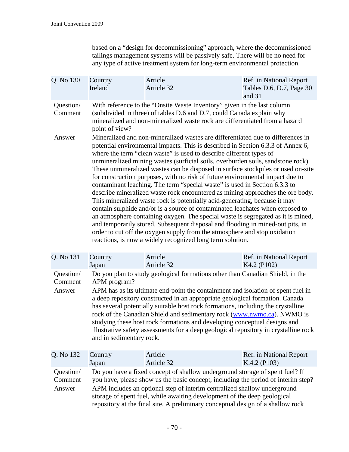based on a "design for decommissioning" approach, where the decommissioned tailings management systems will be passively safe. There will be no need for any type of active treatment system for long-term environmental protection.

| Q. No 130            | Country<br>Ireland | Article<br>Article 32                                                                                                                                                                                                                                                                                                                                                                                                                                                                                                                                                                                                                                                                                                                                                                                                                                                                                                                                                                                                                                                                                                                             | Ref. in National Report<br>Tables D.6, D.7, Page 30<br>and 31 |  |
|----------------------|--------------------|---------------------------------------------------------------------------------------------------------------------------------------------------------------------------------------------------------------------------------------------------------------------------------------------------------------------------------------------------------------------------------------------------------------------------------------------------------------------------------------------------------------------------------------------------------------------------------------------------------------------------------------------------------------------------------------------------------------------------------------------------------------------------------------------------------------------------------------------------------------------------------------------------------------------------------------------------------------------------------------------------------------------------------------------------------------------------------------------------------------------------------------------------|---------------------------------------------------------------|--|
| Question/<br>Comment | point of view?     | With reference to the "Onsite Waste Inventory" given in the last column<br>(subdivided in three) of tables D.6 and D.7, could Canada explain why<br>mineralized and non-mineralized waste rock are differentiated from a hazard                                                                                                                                                                                                                                                                                                                                                                                                                                                                                                                                                                                                                                                                                                                                                                                                                                                                                                                   |                                                               |  |
| Answer               |                    | Mineralized and non-mineralized wastes are differentiated due to differences in<br>potential environmental impacts. This is described in Section 6.3.3 of Annex 6,<br>where the term "clean waste" is used to describe different types of<br>unmineralized mining wastes (surficial soils, overburden soils, sandstone rock).<br>These unmineralized wastes can be disposed in surface stockpiles or used on-site<br>for construction purposes, with no risk of future environmental impact due to<br>contaminant leaching. The term "special waste" is used in Section 6.3.3 to<br>describe mineralized waste rock encountered as mining approaches the ore body.<br>This mineralized waste rock is potentially acid-generating, because it may<br>contain sulphide and/or is a source of contaminated leachates when exposed to<br>an atmosphere containing oxygen. The special waste is segregated as it is mined,<br>and temporarily stored. Subsequent disposal and flooding in mined-out pits, in<br>order to cut off the oxygen supply from the atmosphere and stop oxidation<br>reactions, is now a widely recognized long term solution. |                                                               |  |
| Q. No 131            | Country<br>Japan   | Article<br>Article 32                                                                                                                                                                                                                                                                                                                                                                                                                                                                                                                                                                                                                                                                                                                                                                                                                                                                                                                                                                                                                                                                                                                             | Ref. in National Report<br>K4.2 (P102)                        |  |
|                      |                    | $\bigcap_{i=1}^n$ $\bigcap_{i=1}^n$ $\bigcap_{i=1}^n$ $\bigcap_{i=1}^n$ $\bigcap_{i=1}^n$ $\bigcap_{i=1}^n$ $\bigcap_{i=1}^n$ $\bigcap_{i=1}^n$ $\bigcap_{i=1}^n$ $\bigcap_{i=1}^n$ $\bigcap_{i=1}^n$ $\bigcap_{i=1}^n$ $\bigcap_{i=1}^n$ $\bigcap_{i=1}^n$ $\bigcap_{i=1}^n$ $\bigcap_{i=1}^n$ $\bigcap_{i=1}^n$                                                                                                                                                                                                                                                                                                                                                                                                                                                                                                                                                                                                                                                                                                                                                                                                                                 |                                                               |  |

| Question/ | Do you plan to study geological formations other than Canadian Shield, in the |
|-----------|-------------------------------------------------------------------------------|
|           | Comment APM program?                                                          |

Answer APM has as its ultimate end-point the containment and isolation of spent fuel in a deep repository constructed in an appropriate geological formation. Canada has several potentially suitable host rock formations, including the crystalline rock of the Canadian Shield and sedimentary rock ([www.nwmo.ca](http://www.nwmo.ca/)). NWMO is studying these host rock formations and developing conceptual designs and illustrative safety assessments for a deep geological repository in crystalline rock and in sedimentary rock.

| Q. No 132 | Country                                                                           | Article    | Ref. in National Report |
|-----------|-----------------------------------------------------------------------------------|------------|-------------------------|
|           | Japan                                                                             | Article 32 | $K.4.2$ (P103)          |
| Question/ | Do you have a fixed concept of shallow underground storage of spent fuel? If      |            |                         |
| Comment   | you have, please show us the basic concept, including the period of interim step? |            |                         |
| Answer    | APM includes an optional step of interim centralized shallow underground          |            |                         |
|           | storage of spent fuel, while awaiting development of the deep geological          |            |                         |
|           | repository at the final site. A preliminary conceptual design of a shallow rock   |            |                         |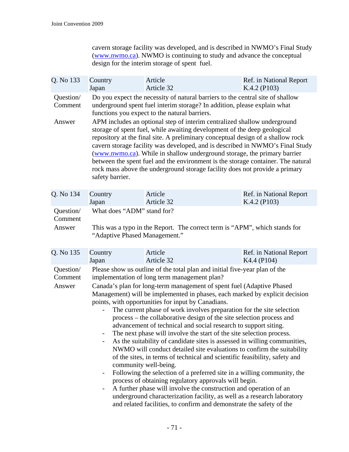cavern storage facility was developed, and is described in NWMO's Final Study ([www.nwmo.ca](http://www.nwmo.ca/)). NWMO is continuing to study and advance the conceptual design for the interim storage of spent fuel.

| Q. No 133                      | Country                                                                                                                                                                                                                                                                                                                                                                                                                                                                                                                                                                                                                                                                                                                                                                                                                                                                                                                                                                                                                                                                                                                                                                                                                                                                                                                                         | Article    | Ref. in National Report |
|--------------------------------|-------------------------------------------------------------------------------------------------------------------------------------------------------------------------------------------------------------------------------------------------------------------------------------------------------------------------------------------------------------------------------------------------------------------------------------------------------------------------------------------------------------------------------------------------------------------------------------------------------------------------------------------------------------------------------------------------------------------------------------------------------------------------------------------------------------------------------------------------------------------------------------------------------------------------------------------------------------------------------------------------------------------------------------------------------------------------------------------------------------------------------------------------------------------------------------------------------------------------------------------------------------------------------------------------------------------------------------------------|------------|-------------------------|
|                                | Japan                                                                                                                                                                                                                                                                                                                                                                                                                                                                                                                                                                                                                                                                                                                                                                                                                                                                                                                                                                                                                                                                                                                                                                                                                                                                                                                                           | Article 32 | K.4.2 (P103)            |
| Question/<br>Comment<br>Answer | Do you expect the necessity of natural barriers to the central site of shallow<br>underground spent fuel interim storage? In addition, please explain what<br>functions you expect to the natural barriers.<br>APM includes an optional step of interim centralized shallow underground<br>storage of spent fuel, while awaiting development of the deep geological<br>repository at the final site. A preliminary conceptual design of a shallow rock<br>cavern storage facility was developed, and is described in NWMO's Final Study<br>(www.nwmo.ca). While in shallow underground storage, the primary barrier<br>between the spent fuel and the environment is the storage container. The natural<br>rock mass above the underground storage facility does not provide a primary<br>safety barrier.                                                                                                                                                                                                                                                                                                                                                                                                                                                                                                                                       |            |                         |
| Q. No 134                      | Country                                                                                                                                                                                                                                                                                                                                                                                                                                                                                                                                                                                                                                                                                                                                                                                                                                                                                                                                                                                                                                                                                                                                                                                                                                                                                                                                         | Article    | Ref. in National Report |
|                                | Japan                                                                                                                                                                                                                                                                                                                                                                                                                                                                                                                                                                                                                                                                                                                                                                                                                                                                                                                                                                                                                                                                                                                                                                                                                                                                                                                                           | Article 32 | K.4.2 (P103)            |
| Question/                      | What does "ADM" stand for?                                                                                                                                                                                                                                                                                                                                                                                                                                                                                                                                                                                                                                                                                                                                                                                                                                                                                                                                                                                                                                                                                                                                                                                                                                                                                                                      |            |                         |
| Comment                        | This was a typo in the Report. The correct term is "APM", which stands for                                                                                                                                                                                                                                                                                                                                                                                                                                                                                                                                                                                                                                                                                                                                                                                                                                                                                                                                                                                                                                                                                                                                                                                                                                                                      |            |                         |
| Answer                         | "Adaptive Phased Management."                                                                                                                                                                                                                                                                                                                                                                                                                                                                                                                                                                                                                                                                                                                                                                                                                                                                                                                                                                                                                                                                                                                                                                                                                                                                                                                   |            |                         |
| Q. No 135                      | Country                                                                                                                                                                                                                                                                                                                                                                                                                                                                                                                                                                                                                                                                                                                                                                                                                                                                                                                                                                                                                                                                                                                                                                                                                                                                                                                                         | Article    | Ref. in National Report |
|                                | Japan                                                                                                                                                                                                                                                                                                                                                                                                                                                                                                                                                                                                                                                                                                                                                                                                                                                                                                                                                                                                                                                                                                                                                                                                                                                                                                                                           | Article 32 | K4.4 (P104)             |
| Question/<br>Comment<br>Answer | Please show us outline of the total plan and initial five-year plan of the<br>implementation of long term management plan?<br>Canada's plan for long-term management of spent fuel (Adaptive Phased<br>Management) will be implemented in phases, each marked by explicit decision<br>points, with opportunities for input by Canadians.<br>The current phase of work involves preparation for the site selection<br>process – the collaborative design of the site selection process and<br>advancement of technical and social research to support siting.<br>The next phase will involve the start of the site selection process.<br>As the suitability of candidate sites is assessed in willing communities,<br>$\qquad \qquad -$<br>NWMO will conduct detailed site evaluations to confirm the suitability<br>of the sites, in terms of technical and scientific feasibility, safety and<br>community well-being.<br>Following the selection of a preferred site in a willing community, the<br>$\overline{\phantom{0}}$<br>process of obtaining regulatory approvals will begin.<br>A further phase will involve the construction and operation of an<br>$\qquad \qquad \blacksquare$<br>underground characterization facility, as well as a research laboratory<br>and related facilities, to confirm and demonstrate the safety of the |            |                         |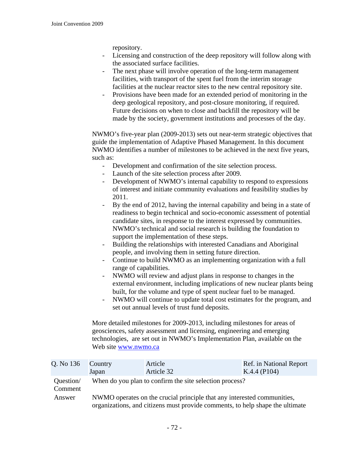repository.

- Licensing and construction of the deep repository will follow along with the associated surface facilities.
- The next phase will involve operation of the long-term management facilities, with transport of the spent fuel from the interim storage facilities at the nuclear reactor sites to the new central repository site.
- Provisions have been made for an extended period of monitoring in the deep geological repository, and post-closure monitoring, if required. Future decisions on when to close and backfill the repository will be made by the society, government institutions and processes of the day.

NWMO's five-year plan (2009-2013) sets out near-term strategic objectives that guide the implementation of Adaptive Phased Management. In this document NWMO identifies a number of milestones to be achieved in the next five years, such as:

- Development and confirmation of the site selection process.
- Launch of the site selection process after 2009.
- Development of NWMO's internal capability to respond to expressions of interest and initiate community evaluations and feasibility studies by 2011.
- By the end of 2012, having the internal capability and being in a state of readiness to begin technical and socio-economic assessment of potential candidate sites, in response to the interest expressed by communities. NWMO's technical and social research is building the foundation to support the implementation of these steps.
- Building the relationships with interested Canadians and Aboriginal people, and involving them in setting future direction.
- Continue to build NWMO as an implementing organization with a full range of capabilities.
- NWMO will review and adjust plans in response to changes in the external environment, including implications of new nuclear plants being built, for the volume and type of spent nuclear fuel to be managed.
- NWMO will continue to update total cost estimates for the program, and set out annual levels of trust fund deposits.

More detailed milestones for 2009-2013, including milestones for areas of geosciences, safety assessment and licensing, engineering and emerging technologies, are set out in NWMO's Implementation Plan, available on the Web site [www.nwmo.ca](http://www.nwmo.ca/)

| Q. No 136            | Country<br>Japan                                                                                                                                         | Article<br>Article 32                                   | Ref. in National Report<br>$K.4.4$ (P104) |
|----------------------|----------------------------------------------------------------------------------------------------------------------------------------------------------|---------------------------------------------------------|-------------------------------------------|
| Question/<br>Comment |                                                                                                                                                          | When do you plan to confirm the site selection process? |                                           |
| Answer               | NWMO operates on the crucial principle that any interested communities,<br>organizations, and citizens must provide comments, to help shape the ultimate |                                                         |                                           |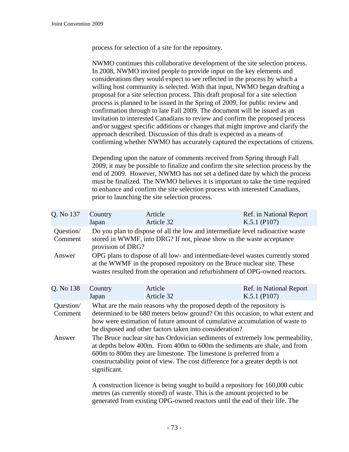process for selection of a site for the repository.

NWMO continues this collaborative development of the site selection process. In 2008, NWMO invited people to provide input on the key elements and considerations they would expect to see reflected in the process by which a willing host community is selected. With that input, NWMO began drafting a proposal for a site selection process. This draft proposal for a site selection process is planned to be issued in the Spring of 2009, for public review and confirmation through to late Fall 2009. The document will be issued as an invitation to interested Canadians to review and confirm the proposed process and/or suggest specific additions or changes that might improve and clarify the approach described. Discussion of this draft is expected as a means of confirming whether NWMO has accurately captured the expectations of citizens.

Depending upon the nature of comments received from Spring through Fall 2009, it may be possible to finalize and confirm the site selection process by the end of 2009. However, NWMO has not set a defined date by which the process must be finalized. The NWMO believes it is important to take the time required to enhance and confirm the site selection process with interested Canadians, prior to launching the site selection process.

| Q. No 137            | Country<br>Japan                                                                                                                                                                                                                                                                                                                    | Article<br>Article 32 | Ref. in National Report<br>$K.5.1$ (P107) |
|----------------------|-------------------------------------------------------------------------------------------------------------------------------------------------------------------------------------------------------------------------------------------------------------------------------------------------------------------------------------|-----------------------|-------------------------------------------|
| Question/<br>Comment | Do you plan to dispose of all the low and intermediate level radioactive waste<br>stored in WWMF, into DRG? If not, please show us the waste acceptance<br>provision of DRG?                                                                                                                                                        |                       |                                           |
| Answer               | OPG plans to dispose of all low- and intermediate-level wastes currently stored<br>at the WWMF in the proposed repository on the Bruce nuclear site. These<br>wastes resulted from the operation and refurbishment of OPG-owned reactors.                                                                                           |                       |                                           |
| Q. No 138            | Country<br>Japan                                                                                                                                                                                                                                                                                                                    | Article<br>Article 32 | Ref. in National Report<br>$K.5.1$ (P107) |
| Question/<br>Comment | What are the main reasons why the proposed depth of the repository is<br>determined to be 680 meters below ground? On this occasion, to what extent and<br>how were estimation of future amount of cumulative accumulation of waste to<br>be disposed and other factors taken into consideration?                                   |                       |                                           |
| Answer               | The Bruce nuclear site has Ordovician sediments of extremely low permeability,<br>at depths below 400m. From 400m to 600m the sediments are shale, and from<br>600m to 800m they are limestone. The limestone is preferred from a<br>constructability point of view. The cost difference for a greater depth is not<br>significant. |                       |                                           |
|                      | A construction licence is being sought to build a repository for 160,000 cubic<br>metres (as currently stored) of waste. This is the amount projected to be                                                                                                                                                                         |                       |                                           |

metres (as currently stored) of waste. This is the amount projected to be generated from existing OPG-owned reactors until the end of their life. The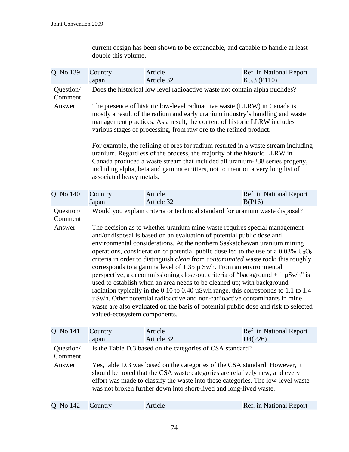current design has been shown to be expandable, and capable to handle at least double this volume.

| Q. No 139                      | Country<br>Japan                                                                                                                                                                                                                                                                                                                                                                  | Article<br>Article 32                                                                                                                                                                                                                                                                                                                                                                                                                                                                                                                                                                                                                                                                                                                                                                                                                                                                                                                                                                                                                                                                   | Ref. in National Report<br>K5.3 (P110)                                                                                                                                                  |  |
|--------------------------------|-----------------------------------------------------------------------------------------------------------------------------------------------------------------------------------------------------------------------------------------------------------------------------------------------------------------------------------------------------------------------------------|-----------------------------------------------------------------------------------------------------------------------------------------------------------------------------------------------------------------------------------------------------------------------------------------------------------------------------------------------------------------------------------------------------------------------------------------------------------------------------------------------------------------------------------------------------------------------------------------------------------------------------------------------------------------------------------------------------------------------------------------------------------------------------------------------------------------------------------------------------------------------------------------------------------------------------------------------------------------------------------------------------------------------------------------------------------------------------------------|-----------------------------------------------------------------------------------------------------------------------------------------------------------------------------------------|--|
| Question/<br>Comment<br>Answer |                                                                                                                                                                                                                                                                                                                                                                                   | Does the historical low level radioactive waste not contain alpha nuclides?<br>The presence of historic low-level radioactive waste (LLRW) in Canada is<br>mostly a result of the radium and early uranium industry's handling and waste<br>management practices. As a result, the content of historic LLRW includes<br>various stages of processing, from raw ore to the refined product.<br>For example, the refining of ores for radium resulted in a waste stream including<br>uranium. Regardless of the process, the majority of the historic LLRW in                                                                                                                                                                                                                                                                                                                                                                                                                                                                                                                             |                                                                                                                                                                                         |  |
| Q. No 140                      | associated heavy metals.<br>Country                                                                                                                                                                                                                                                                                                                                               | Article                                                                                                                                                                                                                                                                                                                                                                                                                                                                                                                                                                                                                                                                                                                                                                                                                                                                                                                                                                                                                                                                                 | Canada produced a waste stream that included all uranium-238 series progeny,<br>including alpha, beta and gamma emitters, not to mention a very long list of<br>Ref. in National Report |  |
|                                | Japan                                                                                                                                                                                                                                                                                                                                                                             | Article 32                                                                                                                                                                                                                                                                                                                                                                                                                                                                                                                                                                                                                                                                                                                                                                                                                                                                                                                                                                                                                                                                              | B(P16)                                                                                                                                                                                  |  |
| Question/<br>Comment<br>Answer |                                                                                                                                                                                                                                                                                                                                                                                   | Would you explain criteria or technical standard for uranium waste disposal?<br>The decision as to whether uranium mine waste requires special management<br>and/or disposal is based on an evaluation of potential public dose and<br>environmental considerations. At the northern Saskatchewan uranium mining<br>operations, consideration of potential public dose led to the use of a $0.03\%$ U <sub>3</sub> O <sub>8</sub><br>criteria in order to distinguish <i>clean</i> from <i>contaminated</i> waste rock; this roughly<br>corresponds to a gamma level of 1.35 $\mu$ Sv/h. From an environmental<br>perspective, a decommissioning close-out criteria of "background + $1 \mu Sv/h$ " is<br>used to establish when an area needs to be cleaned up; with background<br>radiation typically in the 0.10 to 0.40 $\mu$ Sv/h range, this corresponds to 1.1 to 1.4<br>$\mu$ Sv/h. Other potential radioactive and non-radioactive contaminants in mine<br>waste are also evaluated on the basis of potential public dose and risk to selected<br>valued-ecosystem components. |                                                                                                                                                                                         |  |
|                                |                                                                                                                                                                                                                                                                                                                                                                                   |                                                                                                                                                                                                                                                                                                                                                                                                                                                                                                                                                                                                                                                                                                                                                                                                                                                                                                                                                                                                                                                                                         |                                                                                                                                                                                         |  |
| Q. No 141                      | Country<br>Japan                                                                                                                                                                                                                                                                                                                                                                  | Article<br>Article 32                                                                                                                                                                                                                                                                                                                                                                                                                                                                                                                                                                                                                                                                                                                                                                                                                                                                                                                                                                                                                                                                   | Ref. in National Report<br>D4(P26)                                                                                                                                                      |  |
| Question/<br>Comment<br>Answer | Is the Table D.3 based on the categories of CSA standard?<br>Yes, table D.3 was based on the categories of the CSA standard. However, it<br>should be noted that the CSA waste categories are relatively new, and every<br>effort was made to classify the waste into these categories. The low-level waste<br>was not broken further down into short-lived and long-lived waste. |                                                                                                                                                                                                                                                                                                                                                                                                                                                                                                                                                                                                                                                                                                                                                                                                                                                                                                                                                                                                                                                                                         |                                                                                                                                                                                         |  |
| Q. No 142                      | Country                                                                                                                                                                                                                                                                                                                                                                           | Article                                                                                                                                                                                                                                                                                                                                                                                                                                                                                                                                                                                                                                                                                                                                                                                                                                                                                                                                                                                                                                                                                 | Ref. in National Report                                                                                                                                                                 |  |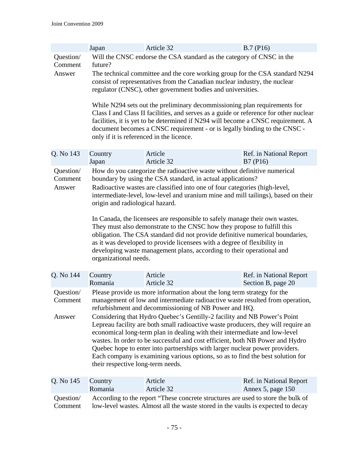|                                | Japan                                                                                                                                                                                                                                                                                                                                                                                                                                                                                                                                                                                                                                                                                                                                                                  | Article 32                                                                                                                                                                                                                                                                                                                                                                                                                                                                                                                                                                                                                                                                            | B.7(P16)                |  |
|--------------------------------|------------------------------------------------------------------------------------------------------------------------------------------------------------------------------------------------------------------------------------------------------------------------------------------------------------------------------------------------------------------------------------------------------------------------------------------------------------------------------------------------------------------------------------------------------------------------------------------------------------------------------------------------------------------------------------------------------------------------------------------------------------------------|---------------------------------------------------------------------------------------------------------------------------------------------------------------------------------------------------------------------------------------------------------------------------------------------------------------------------------------------------------------------------------------------------------------------------------------------------------------------------------------------------------------------------------------------------------------------------------------------------------------------------------------------------------------------------------------|-------------------------|--|
| Question/<br>Comment<br>Answer | future?                                                                                                                                                                                                                                                                                                                                                                                                                                                                                                                                                                                                                                                                                                                                                                | Will the CNSC endorse the CSA standard as the category of CNSC in the<br>The technical committee and the core working group for the CSA standard N294<br>consist of representatives from the Canadian nuclear industry, the nuclear<br>regulator (CNSC), other government bodies and universities.<br>While N294 sets out the preliminary decommissioning plan requirements for<br>Class I and Class II facilities, and serves as a guide or reference for other nuclear<br>facilities, it is yet to be determined if N294 will become a CNSC requirement. A<br>document becomes a CNSC requirement - or is legally binding to the CNSC -<br>only if it is referenced in the licence. |                         |  |
| Q. No 143                      | Country                                                                                                                                                                                                                                                                                                                                                                                                                                                                                                                                                                                                                                                                                                                                                                | Article                                                                                                                                                                                                                                                                                                                                                                                                                                                                                                                                                                                                                                                                               | Ref. in National Report |  |
|                                | Japan                                                                                                                                                                                                                                                                                                                                                                                                                                                                                                                                                                                                                                                                                                                                                                  | Article 32                                                                                                                                                                                                                                                                                                                                                                                                                                                                                                                                                                                                                                                                            | B7 (P16)                |  |
| Question/<br>Comment<br>Answer | How do you categorize the radioactive waste without definitive numerical<br>boundary by using the CSA standard, in actual applications?<br>Radioactive wastes are classified into one of four categories (high-level,<br>intermediate-level, low-level and uranium mine and mill tailings), based on their<br>origin and radiological hazard.<br>In Canada, the licensees are responsible to safely manage their own wastes.<br>They must also demonstrate to the CNSC how they propose to fulfill this<br>obligation. The CSA standard did not provide definitive numerical boundaries,<br>as it was developed to provide licensees with a degree of flexibility in<br>developing waste management plans, according to their operational and<br>organizational needs. |                                                                                                                                                                                                                                                                                                                                                                                                                                                                                                                                                                                                                                                                                       |                         |  |
| Q. No 144                      | Country                                                                                                                                                                                                                                                                                                                                                                                                                                                                                                                                                                                                                                                                                                                                                                | Article                                                                                                                                                                                                                                                                                                                                                                                                                                                                                                                                                                                                                                                                               | Ref. in National Report |  |
|                                | Romania                                                                                                                                                                                                                                                                                                                                                                                                                                                                                                                                                                                                                                                                                                                                                                | Article 32                                                                                                                                                                                                                                                                                                                                                                                                                                                                                                                                                                                                                                                                            | Section B, page 20      |  |
| Question/<br>Comment<br>Answer | Please provide us more information about the long term strategy for the<br>management of low and intermediate radioactive waste resulted from operation,<br>refurbishment and decommissioning of NB Power and HQ.<br>Considering that Hydro Quebec's Gentilly-2 facility and NB Power's Point<br>Lepreau facility are both small radioactive waste producers, they will require an<br>economical long-term plan in dealing with their intermediate and low-level<br>wastes. In order to be successful and cost efficient, both NB Power and Hydro<br>Quebec hope to enter into partnerships with larger nuclear power providers.<br>Each company is examining various options, so as to find the best solution for<br>their respective long-term needs.                |                                                                                                                                                                                                                                                                                                                                                                                                                                                                                                                                                                                                                                                                                       |                         |  |
| Q. No 145                      | Country                                                                                                                                                                                                                                                                                                                                                                                                                                                                                                                                                                                                                                                                                                                                                                | Article                                                                                                                                                                                                                                                                                                                                                                                                                                                                                                                                                                                                                                                                               | Ref. in National Report |  |
|                                | Romania                                                                                                                                                                                                                                                                                                                                                                                                                                                                                                                                                                                                                                                                                                                                                                | Article 32                                                                                                                                                                                                                                                                                                                                                                                                                                                                                                                                                                                                                                                                            | Annex 5, page 150       |  |
| Question/                      | According to the report "These concrete structures are used to store the bulk of                                                                                                                                                                                                                                                                                                                                                                                                                                                                                                                                                                                                                                                                                       |                                                                                                                                                                                                                                                                                                                                                                                                                                                                                                                                                                                                                                                                                       |                         |  |
| Comment                        | low-level wastes. Almost all the waste stored in the vaults is expected to decay                                                                                                                                                                                                                                                                                                                                                                                                                                                                                                                                                                                                                                                                                       |                                                                                                                                                                                                                                                                                                                                                                                                                                                                                                                                                                                                                                                                                       |                         |  |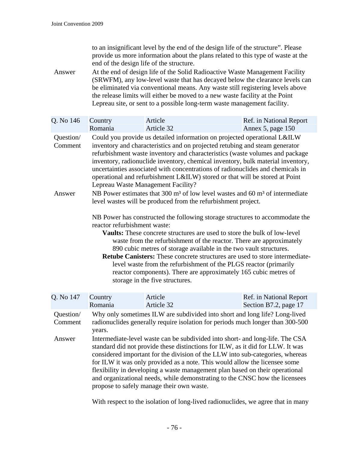to an insignificant level by the end of the design life of the structure". Please provide us more information about the plans related to this type of waste at the end of the design life of the structure.

Answer At the end of design life of the Solid Radioactive Waste Management Facility (SRWFM), any low-level waste that has decayed below the clearance levels can be eliminated via conventional means. Any waste still registering levels above the release limits will either be moved to a new waste facility at the Point Lepreau site, or sent to a possible long-term waste management facility.

| Country<br>Romania                                                                                                                                                                                                                                                                                                                                                                                                                                                                                                                                                                                                                                                                                         | Article<br>Article 32 | Ref. in National Report<br>Annex 5, page 150                                                                                                                 |  |
|------------------------------------------------------------------------------------------------------------------------------------------------------------------------------------------------------------------------------------------------------------------------------------------------------------------------------------------------------------------------------------------------------------------------------------------------------------------------------------------------------------------------------------------------------------------------------------------------------------------------------------------------------------------------------------------------------------|-----------------------|--------------------------------------------------------------------------------------------------------------------------------------------------------------|--|
| Could you provide us detailed information on projected operational L&ILW<br>inventory and characteristics and on projected retubing and steam generator<br>refurbishment waste inventory and characteristics (waste volumes and package<br>inventory, radionuclide inventory, chemical inventory, bulk material inventory,<br>uncertainties associated with concentrations of radionuclides and chemicals in<br>operational and refurbishment L&ILW) stored or that will be stored at Point<br>Lepreau Waste Management Facility?<br>NB Power estimates that 300 m <sup>3</sup> of low level wastes and 60 m <sup>3</sup> of intermediate<br>level wastes will be produced from the refurbishment project. |                       |                                                                                                                                                              |  |
| NB Power has constructed the following storage structures to accommodate the<br>reactor refurbishment waste:<br>Vaults: These concrete structures are used to store the bulk of low-level<br>waste from the refurbishment of the reactor. There are approximately<br>890 cubic metres of storage available in the two vault structures.<br><b>Retube Canisters:</b> These concrete structures are used to store intermediate-<br>level waste from the refurbishment of the PLGS reactor (primarily<br>reactor components). There are approximately 165 cubic metres of<br>storage in the five structures.                                                                                                  |                       |                                                                                                                                                              |  |
|                                                                                                                                                                                                                                                                                                                                                                                                                                                                                                                                                                                                                                                                                                            |                       |                                                                                                                                                              |  |
| Country<br>Romania                                                                                                                                                                                                                                                                                                                                                                                                                                                                                                                                                                                                                                                                                         | Article<br>Article 32 | Ref. in National Report<br>Section B7.2, page 17                                                                                                             |  |
| years.                                                                                                                                                                                                                                                                                                                                                                                                                                                                                                                                                                                                                                                                                                     |                       | Why only sometimes ILW are subdivided into short and long life? Long-lived<br>radionuclides generally require isolation for periods much longer than 300-500 |  |
|                                                                                                                                                                                                                                                                                                                                                                                                                                                                                                                                                                                                                                                                                                            |                       |                                                                                                                                                              |  |

With respect to the isolation of long-lived radionuclides, we agree that in many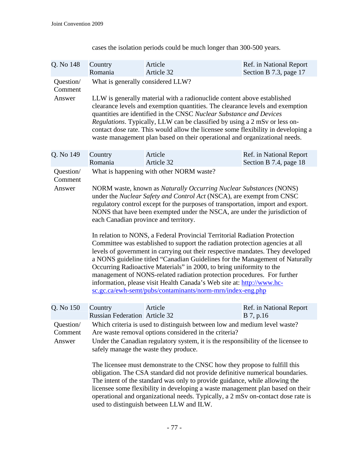| Q. No 148                      | Country<br>Romania                                                                                                                                                                                                                                                                                                                                                                                                                                                                                                                                                                                                                                                                                                                                                                                                                                                                                                                                                                                                            | Article<br>Article 32 | Ref. in National Report<br>Section B 7.3, page 17 |  |
|--------------------------------|-------------------------------------------------------------------------------------------------------------------------------------------------------------------------------------------------------------------------------------------------------------------------------------------------------------------------------------------------------------------------------------------------------------------------------------------------------------------------------------------------------------------------------------------------------------------------------------------------------------------------------------------------------------------------------------------------------------------------------------------------------------------------------------------------------------------------------------------------------------------------------------------------------------------------------------------------------------------------------------------------------------------------------|-----------------------|---------------------------------------------------|--|
| Question/<br>Comment<br>Answer | What is generally considered LLW?<br>LLW is generally material with a radionuclide content above established<br>clearance levels and exemption quantities. The clearance levels and exemption<br>quantities are identified in the CNSC Nuclear Substance and Devices<br><i>Regulations.</i> Typically, LLW can be classified by using a 2 mSv or less on-<br>contact dose rate. This would allow the licensee some flexibility in developing a<br>waste management plan based on their operational and organizational needs.                                                                                                                                                                                                                                                                                                                                                                                                                                                                                                  |                       |                                                   |  |
| Q. No 149                      | Country<br>Romania                                                                                                                                                                                                                                                                                                                                                                                                                                                                                                                                                                                                                                                                                                                                                                                                                                                                                                                                                                                                            | Article<br>Article 32 | Ref. in National Report<br>Section B 7.4, page 18 |  |
| Question/<br>Comment<br>Answer | What is happening with other NORM waste?<br>NORM waste, known as Naturally Occurring Nuclear Substances (NONS)<br>under the Nuclear Safety and Control Act (NSCA), are exempt from CNSC<br>regulatory control except for the purposes of transportation, import and export.<br>NONS that have been exempted under the NSCA, are under the jurisdiction of<br>each Canadian province and territory.<br>In relation to NONS, a Federal Provincial Territorial Radiation Protection<br>Committee was established to support the radiation protection agencies at all<br>levels of government in carrying out their respective mandates. They developed<br>a NONS guideline titled "Canadian Guidelines for the Management of Naturally<br>Occurring Radioactive Materials" in 2000, to bring uniformity to the<br>management of NONS-related radiation protection procedures. For further<br>information, please visit Health Canada's Web site at: http://www.hc-<br>sc.gc.ca/ewh-semt/pubs/contaminants/norm-mrn/index-eng.php |                       |                                                   |  |
| Q. No 150                      | Country<br><b>Russian Federation Article 32</b>                                                                                                                                                                                                                                                                                                                                                                                                                                                                                                                                                                                                                                                                                                                                                                                                                                                                                                                                                                               | Article               | Ref. in National Report<br>B 7, p.16              |  |
| Question/<br>Comment<br>Answer | Which criteria is used to distinguish between low and medium level waste?<br>Are waste removal options considered in the criteria?<br>Under the Canadian regulatory system, it is the responsibility of the licensee to<br>safely manage the waste they produce.<br>The licensee must demonstrate to the CNSC how they propose to fulfill this<br>obligation. The CSA standard did not provide definitive numerical boundaries.<br>The intent of the standard was only to provide guidance, while allowing the<br>licensee some flexibility in developing a waste management plan based on their<br>operational and organizational needs. Typically, a 2 mSv on-contact dose rate is<br>used to distinguish between LLW and ILW.                                                                                                                                                                                                                                                                                              |                       |                                                   |  |

cases the isolation periods could be much longer than 300-500 years.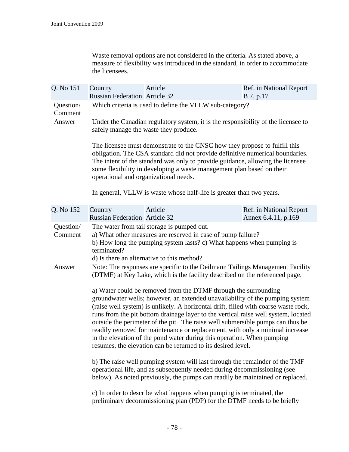Waste removal options are not considered in the criteria. As stated above, a measure of flexibility was introduced in the standard, in order to accommodate the licensees.

| Q. No 151            | Country<br><b>Russian Federation Article 32</b>                                                                                                                                                                                                                                                                                                                                                                                                                                                                                                                                                                                          | Article                                                              | Ref. in National Report<br>B 7, p.17           |
|----------------------|------------------------------------------------------------------------------------------------------------------------------------------------------------------------------------------------------------------------------------------------------------------------------------------------------------------------------------------------------------------------------------------------------------------------------------------------------------------------------------------------------------------------------------------------------------------------------------------------------------------------------------------|----------------------------------------------------------------------|------------------------------------------------|
| Question/<br>Comment | Which criteria is used to define the VLLW sub-category?                                                                                                                                                                                                                                                                                                                                                                                                                                                                                                                                                                                  |                                                                      |                                                |
| Answer               | Under the Canadian regulatory system, it is the responsibility of the licensee to<br>safely manage the waste they produce.                                                                                                                                                                                                                                                                                                                                                                                                                                                                                                               |                                                                      |                                                |
|                      | The licensee must demonstrate to the CNSC how they propose to fulfill this<br>obligation. The CSA standard did not provide definitive numerical boundaries.<br>The intent of the standard was only to provide guidance, allowing the licensee<br>some flexibility in developing a waste management plan based on their<br>operational and organizational needs.                                                                                                                                                                                                                                                                          |                                                                      |                                                |
|                      |                                                                                                                                                                                                                                                                                                                                                                                                                                                                                                                                                                                                                                          | In general, VLLW is waste whose half-life is greater than two years. |                                                |
| Q. No 152            | Country<br><b>Russian Federation Article 32</b>                                                                                                                                                                                                                                                                                                                                                                                                                                                                                                                                                                                          | Article                                                              | Ref. in National Report<br>Annex 6.4.11, p.169 |
| Question/<br>Comment | The water from tail storage is pumped out.<br>a) What other measures are reserved in case of pump failure?<br>b) How long the pumping system lasts? c) What happens when pumping is<br>terminated?<br>d) Is there an alternative to this method?                                                                                                                                                                                                                                                                                                                                                                                         |                                                                      |                                                |
| Answer               | Note: The responses are specific to the Deilmann Tailings Management Facility<br>(DTMF) at Key Lake, which is the facility described on the referenced page.                                                                                                                                                                                                                                                                                                                                                                                                                                                                             |                                                                      |                                                |
|                      | a) Water could be removed from the DTMF through the surrounding<br>groundwater wells; however, an extended unavailability of the pumping system<br>(raise well system) is unlikely. A horizontal drift, filled with coarse waste rock,<br>runs from the pit bottom drainage layer to the vertical raise well system, located<br>outside the perimeter of the pit. The raise well submersible pumps can thus be<br>readily removed for maintenance or replacement, with only a minimal increase<br>in the elevation of the pond water during this operation. When pumping<br>resumes, the elevation can be returned to its desired level. |                                                                      |                                                |
|                      | b) The raise well pumping system will last through the remainder of the TMF<br>operational life, and as subsequently needed during decommissioning (see<br>below). As noted previously, the pumps can readily be maintained or replaced.                                                                                                                                                                                                                                                                                                                                                                                                 |                                                                      |                                                |
|                      | c) In order to describe what happens when pumping is terminated, the<br>preliminary decommissioning plan (PDP) for the DTMF needs to be briefly                                                                                                                                                                                                                                                                                                                                                                                                                                                                                          |                                                                      |                                                |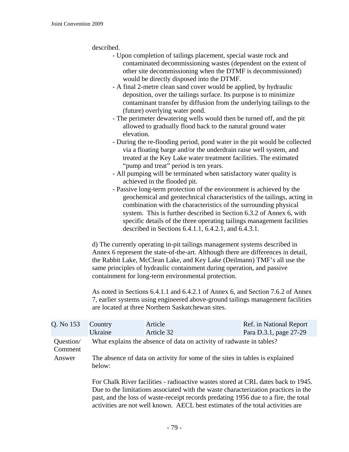described.

- Upon completion of tailings placement, special waste rock and contaminated decommissioning wastes (dependent on the extent of other site decommissioning when the DTMF is decommissioned) would be directly disposed into the DTMF.
- A final 2-metre clean sand cover would be applied, by hydraulic deposition, over the tailings surface. Its purpose is to minimize contaminant transfer by diffusion from the underlying tailings to the (future) overlying water pond.
- The perimeter dewatering wells would then be turned off, and the pit allowed to gradually flood back to the natural ground water elevation.
- During the re-flooding period, pond water in the pit would be collected via a floating barge and/or the underdrain raise well system, and treated at the Key Lake water treatment facilities. The estimated "pump and treat" period is ten years.
- All pumping will be terminated when satisfactory water quality is achieved in the flooded pit.
- Passive long-term protection of the environment is achieved by the geochemical and geotechnical characteristics of the tailings, acting in combination with the characteristics of the surrounding physical system. This is further described in Section 6.3.2 of Annex 6, with specific details of the three operating tailings management facilities described in Sections 6.4.1.1, 6.4.2.1, and 6.4.3.1.

d) The currently operating in-pit tailings management systems described in Annex 6 represent the state-of-the-art. Although there are differences in detail, the Rabbit Lake, McClean Lake, and Key Lake (Deilmann) TMF's all use the same principles of hydraulic containment during operation, and passive containment for long-term environmental protection.

As noted in Sections 6.4.1.1 and 6.4.2.1 of Annex 6, and Section 7.6.2 of Annex 7, earlier systems using engineered above-ground tailings management facilities are located at three Northern Saskatchewan sites.

| Q. No 153            | Country<br>Ukraine                                                                                                                                                                                                                                                                                                                               | Article<br>Article 32                                                        | Ref. in National Report<br>Para D.3.1, page 27-29 |
|----------------------|--------------------------------------------------------------------------------------------------------------------------------------------------------------------------------------------------------------------------------------------------------------------------------------------------------------------------------------------------|------------------------------------------------------------------------------|---------------------------------------------------|
| Question/<br>Comment |                                                                                                                                                                                                                                                                                                                                                  | What explains the absence of data on activity of radwaste in tables?         |                                                   |
| Answer               | below:                                                                                                                                                                                                                                                                                                                                           | The absence of data on activity for some of the sites in tables is explained |                                                   |
|                      | For Chalk River facilities - radioactive wastes stored at CRL dates back to 1945.<br>Due to the limitations associated with the waste characterization practices in the<br>past, and the loss of waste-receipt records predating 1956 due to a fire, the total<br>activities are not well known. AECL best estimates of the total activities are |                                                                              |                                                   |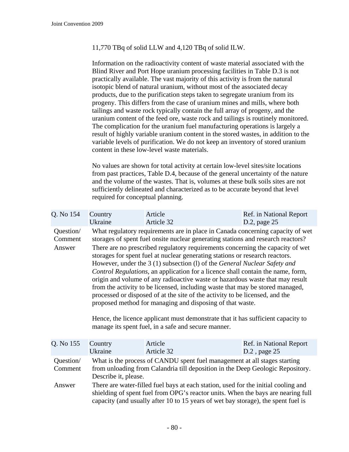## 11,770 TBq of solid LLW and 4,120 TBq of solid ILW.

Information on the radioactivity content of waste material associated with the Blind River and Port Hope uranium processing facilities in Table D.3 is not practically available. The vast majority of this activity is from the natural isotopic blend of natural uranium, without most of the associated decay products, due to the purification steps taken to segregate uranium from its progeny. This differs from the case of uranium mines and mills, where both tailings and waste rock typically contain the full array of progeny, and the uranium content of the feed ore, waste rock and tailings is routinely monitored. The complication for the uranium fuel manufacturing operations is largely a result of highly variable uranium content in the stored wastes, in addition to the variable levels of purification. We do not keep an inventory of stored uranium content in these low-level waste materials.

No values are shown for total activity at certain low-level sites/site locations from past practices, Table D.4, because of the general uncertainty of the nature and the volume of the wastes. That is, volumes at these bulk soils sites are not sufficiently delineated and characterized as to be accurate beyond that level required for conceptual planning.

| Q. No 154                      | Country<br>Ukraine                                                                                                                                                                                                                                                                                                                                                                                                                                                                                                                                                                                                                                                                                                                                                                                                                                                                                                                                             | Article<br>Article 32 | Ref. in National Report<br>D.2, page 25 |  |
|--------------------------------|----------------------------------------------------------------------------------------------------------------------------------------------------------------------------------------------------------------------------------------------------------------------------------------------------------------------------------------------------------------------------------------------------------------------------------------------------------------------------------------------------------------------------------------------------------------------------------------------------------------------------------------------------------------------------------------------------------------------------------------------------------------------------------------------------------------------------------------------------------------------------------------------------------------------------------------------------------------|-----------------------|-----------------------------------------|--|
| Question/<br>Comment<br>Answer | What regulatory requirements are in place in Canada concerning capacity of wet<br>storages of spent fuel onsite nuclear generating stations and research reactors?<br>There are no prescribed regulatory requirements concerning the capacity of wet<br>storages for spent fuel at nuclear generating stations or research reactors.<br>However, under the 3 (1) subsection (1) of the General Nuclear Safety and<br>Control Regulations, an application for a licence shall contain the name, form,<br>origin and volume of any radioactive waste or hazardous waste that may result<br>from the activity to be licensed, including waste that may be stored managed,<br>processed or disposed of at the site of the activity to be licensed, and the<br>proposed method for managing and disposing of that waste.<br>Hence, the licence applicant must demonstrate that it has sufficient capacity to<br>manage its spent fuel, in a safe and secure manner. |                       |                                         |  |
| Q. No 155                      | Country<br>Ukraine                                                                                                                                                                                                                                                                                                                                                                                                                                                                                                                                                                                                                                                                                                                                                                                                                                                                                                                                             | Article<br>Article 32 | Ref. in National Report<br>D.2, page 25 |  |
| Question/<br>Comment           | What is the process of CANDU spent fuel management at all stages starting<br>from unloading from Calandria till deposition in the Deep Geologic Repository.<br>Describe it, please.                                                                                                                                                                                                                                                                                                                                                                                                                                                                                                                                                                                                                                                                                                                                                                            |                       |                                         |  |
| Answer                         | There are water-filled fuel bays at each station, used for the initial cooling and<br>shielding of spent fuel from OPG's reactor units. When the bays are nearing full<br>capacity (and usually after 10 to 15 years of wet bay storage), the spent fuel is                                                                                                                                                                                                                                                                                                                                                                                                                                                                                                                                                                                                                                                                                                    |                       |                                         |  |
|                                |                                                                                                                                                                                                                                                                                                                                                                                                                                                                                                                                                                                                                                                                                                                                                                                                                                                                                                                                                                |                       |                                         |  |